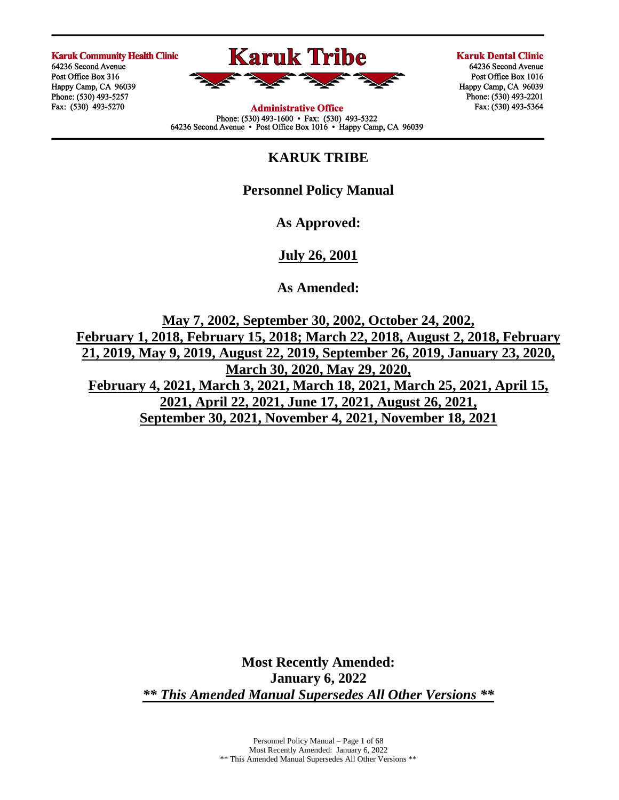**Karuk Community Health Clinic** 

64236 Second Avenue Post Office Box 316 Happy Camp, CA 96039 Phone: (530) 493-5257 Fax: (530) 493-5270



**Administrative Office** Phone:  $(530)$  493-1600 • Fax:  $(530)$  493-5322<br>64236 Second Avenue • Post Office Box 1016 • Happy Camp, CA 96039 **Karuk Dental Clinic** 

64236 Second Avenue Post Office Box 1016 Happy Camp, CA 96039 Phone: (530) 493-2201 Fax: (530) 493-5364

# **KARUK TRIBE**

# **Personnel Policy Manual**

**As Approved:**

**July 26, 2001** 

**As Amended:**

**May 7, 2002, September 30, 2002, October 24, 2002, February 1, 2018, February 15, 2018; March 22, 2018, August 2, 2018, February 21, 2019, May 9, 2019, August 22, 2019, September 26, 2019, January 23, 2020, March 30, 2020, May 29, 2020, February 4, 2021, March 3, 2021, March 18, 2021, March 25, 2021, April 15, 2021, April 22, 2021, June 17, 2021, August 26, 2021, September 30, 2021, November 4, 2021, November 18, 2021**

> **Most Recently Amended: January 6, 2022** *\*\* This Amended Manual Supersedes All Other Versions \*\**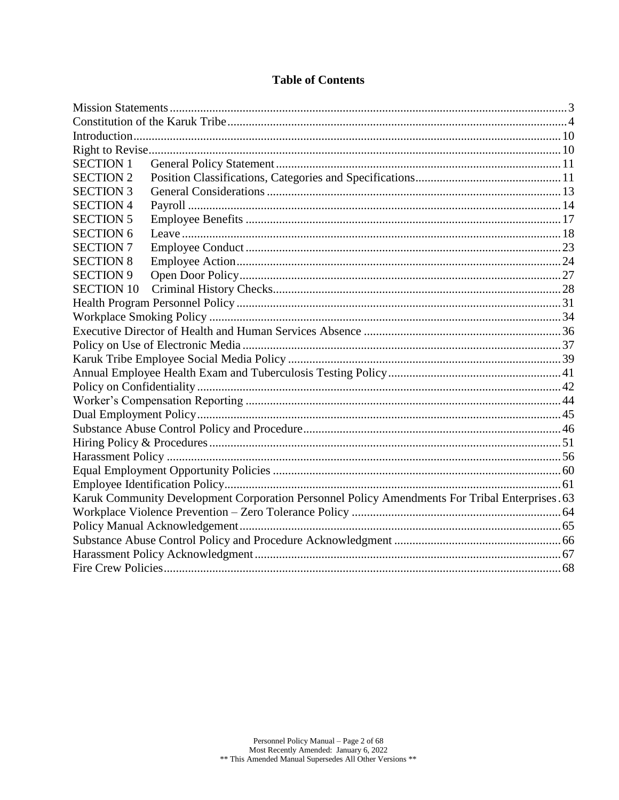| <b>SECTION 1</b>  |                                                                                                |  |
|-------------------|------------------------------------------------------------------------------------------------|--|
| <b>SECTION 2</b>  |                                                                                                |  |
| <b>SECTION 3</b>  |                                                                                                |  |
| <b>SECTION 4</b>  |                                                                                                |  |
| <b>SECTION 5</b>  |                                                                                                |  |
| <b>SECTION 6</b>  |                                                                                                |  |
| <b>SECTION 7</b>  |                                                                                                |  |
| <b>SECTION 8</b>  |                                                                                                |  |
| <b>SECTION 9</b>  |                                                                                                |  |
| <b>SECTION 10</b> |                                                                                                |  |
|                   |                                                                                                |  |
|                   |                                                                                                |  |
|                   |                                                                                                |  |
|                   |                                                                                                |  |
|                   |                                                                                                |  |
|                   |                                                                                                |  |
|                   |                                                                                                |  |
|                   |                                                                                                |  |
|                   |                                                                                                |  |
|                   |                                                                                                |  |
|                   |                                                                                                |  |
|                   |                                                                                                |  |
|                   |                                                                                                |  |
|                   |                                                                                                |  |
|                   | Karuk Community Development Corporation Personnel Policy Amendments For Tribal Enterprises. 63 |  |
|                   |                                                                                                |  |
|                   |                                                                                                |  |
|                   |                                                                                                |  |
|                   |                                                                                                |  |
|                   |                                                                                                |  |

# **Table of Contents**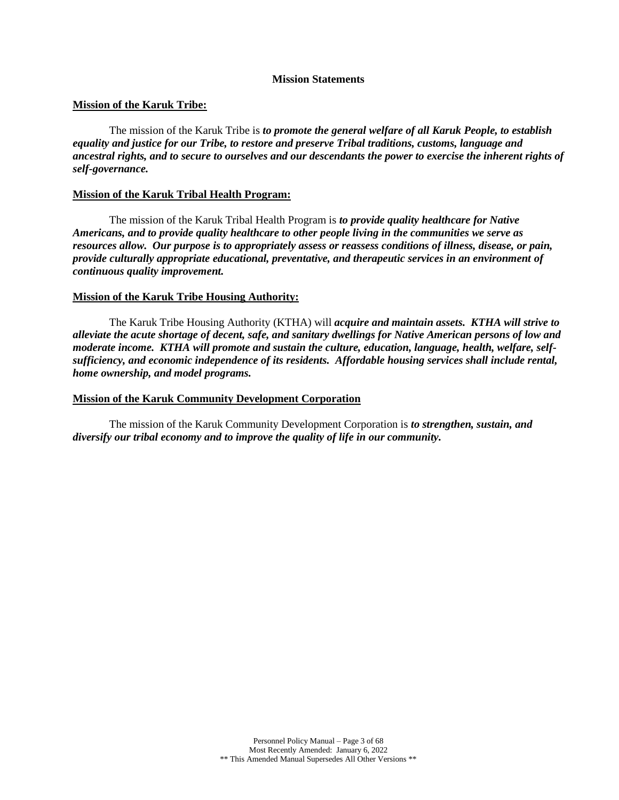#### **Mission Statements**

### <span id="page-2-0"></span>**Mission of the Karuk Tribe:**

The mission of the Karuk Tribe is *to promote the general welfare of all Karuk People, to establish equality and justice for our Tribe, to restore and preserve Tribal traditions, customs, language and ancestral rights, and to secure to ourselves and our descendants the power to exercise the inherent rights of self-governance.*

### **Mission of the Karuk Tribal Health Program:**

The mission of the Karuk Tribal Health Program is *to provide quality healthcare for Native Americans, and to provide quality healthcare to other people living in the communities we serve as resources allow. Our purpose is to appropriately assess or reassess conditions of illness, disease, or pain, provide culturally appropriate educational, preventative, and therapeutic services in an environment of continuous quality improvement.*

#### **Mission of the Karuk Tribe Housing Authority:**

The Karuk Tribe Housing Authority (KTHA) will *acquire and maintain assets. KTHA will strive to alleviate the acute shortage of decent, safe, and sanitary dwellings for Native American persons of low and moderate income. KTHA will promote and sustain the culture, education, language, health, welfare, selfsufficiency, and economic independence of its residents. Affordable housing services shall include rental, home ownership, and model programs.*

#### **Mission of the Karuk Community Development Corporation**

The mission of the Karuk Community Development Corporation is *to strengthen, sustain, and diversify our tribal economy and to improve the quality of life in our community.*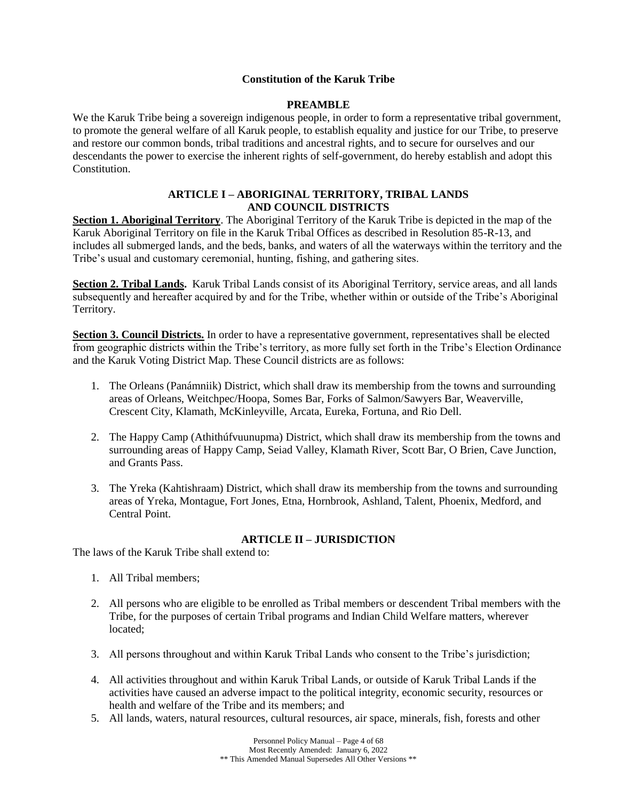### **Constitution of the Karuk Tribe**

## **PREAMBLE**

<span id="page-3-0"></span>We the Karuk Tribe being a sovereign indigenous people, in order to form a representative tribal government, to promote the general welfare of all Karuk people, to establish equality and justice for our Tribe, to preserve and restore our common bonds, tribal traditions and ancestral rights, and to secure for ourselves and our descendants the power to exercise the inherent rights of self-government, do hereby establish and adopt this Constitution.

## **ARTICLE I – ABORIGINAL TERRITORY, TRIBAL LANDS AND COUNCIL DISTRICTS**

**Section 1. Aboriginal Territory**. The Aboriginal Territory of the Karuk Tribe is depicted in the map of the Karuk Aboriginal Territory on file in the Karuk Tribal Offices as described in Resolution 85-R-13, and includes all submerged lands, and the beds, banks, and waters of all the waterways within the territory and the Tribe's usual and customary ceremonial, hunting, fishing, and gathering sites.

**Section 2. Tribal Lands.** Karuk Tribal Lands consist of its Aboriginal Territory, service areas, and all lands subsequently and hereafter acquired by and for the Tribe, whether within or outside of the Tribe's Aboriginal Territory.

**Section 3. Council Districts.** In order to have a representative government, representatives shall be elected from geographic districts within the Tribe's territory, as more fully set forth in the Tribe's Election Ordinance and the Karuk Voting District Map. These Council districts are as follows:

- 1. The Orleans (Panámniik) District, which shall draw its membership from the towns and surrounding areas of Orleans, Weitchpec/Hoopa, Somes Bar, Forks of Salmon/Sawyers Bar, Weaverville, Crescent City, Klamath, McKinleyville, Arcata, Eureka, Fortuna, and Rio Dell.
- 2. The Happy Camp (Athithúfvuunupma) District, which shall draw its membership from the towns and surrounding areas of Happy Camp, Seiad Valley, Klamath River, Scott Bar, O Brien, Cave Junction, and Grants Pass.
- 3. The Yreka (Kahtishraam) District, which shall draw its membership from the towns and surrounding areas of Yreka, Montague, Fort Jones, Etna, Hornbrook, Ashland, Talent, Phoenix, Medford, and Central Point.

## **ARTICLE II – JURISDICTION**

The laws of the Karuk Tribe shall extend to:

- 1. All Tribal members;
- 2. All persons who are eligible to be enrolled as Tribal members or descendent Tribal members with the Tribe, for the purposes of certain Tribal programs and Indian Child Welfare matters, wherever located;
- 3. All persons throughout and within Karuk Tribal Lands who consent to the Tribe's jurisdiction;
- 4. All activities throughout and within Karuk Tribal Lands, or outside of Karuk Tribal Lands if the activities have caused an adverse impact to the political integrity, economic security, resources or health and welfare of the Tribe and its members; and
- 5. All lands, waters, natural resources, cultural resources, air space, minerals, fish, forests and other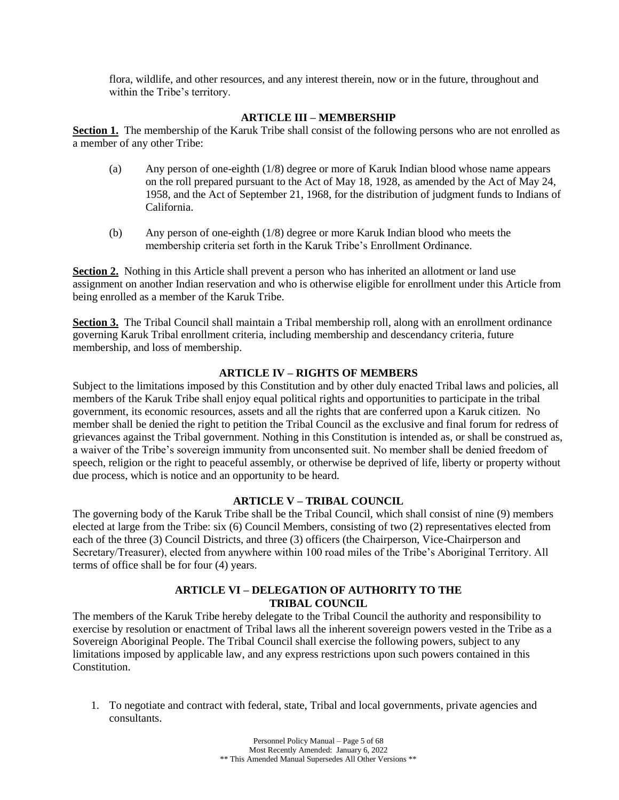flora, wildlife, and other resources, and any interest therein, now or in the future, throughout and within the Tribe's territory.

### **ARTICLE III – MEMBERSHIP**

**Section 1.** The membership of the Karuk Tribe shall consist of the following persons who are not enrolled as a member of any other Tribe:

- (a) Any person of one-eighth (1/8) degree or more of Karuk Indian blood whose name appears on the roll prepared pursuant to the Act of May 18, 1928, as amended by the Act of May 24, 1958, and the Act of September 21, 1968, for the distribution of judgment funds to Indians of California.
- (b) Any person of one-eighth (1/8) degree or more Karuk Indian blood who meets the membership criteria set forth in the Karuk Tribe's Enrollment Ordinance.

**Section 2.** Nothing in this Article shall prevent a person who has inherited an allotment or land use assignment on another Indian reservation and who is otherwise eligible for enrollment under this Article from being enrolled as a member of the Karuk Tribe.

**Section 3.** The Tribal Council shall maintain a Tribal membership roll, along with an enrollment ordinance governing Karuk Tribal enrollment criteria, including membership and descendancy criteria, future membership, and loss of membership.

#### **ARTICLE IV – RIGHTS OF MEMBERS**

Subject to the limitations imposed by this Constitution and by other duly enacted Tribal laws and policies, all members of the Karuk Tribe shall enjoy equal political rights and opportunities to participate in the tribal government, its economic resources, assets and all the rights that are conferred upon a Karuk citizen. No member shall be denied the right to petition the Tribal Council as the exclusive and final forum for redress of grievances against the Tribal government. Nothing in this Constitution is intended as, or shall be construed as, a waiver of the Tribe's sovereign immunity from unconsented suit. No member shall be denied freedom of speech, religion or the right to peaceful assembly, or otherwise be deprived of life, liberty or property without due process, which is notice and an opportunity to be heard.

#### **ARTICLE V – TRIBAL COUNCIL**

The governing body of the Karuk Tribe shall be the Tribal Council, which shall consist of nine (9) members elected at large from the Tribe: six (6) Council Members, consisting of two (2) representatives elected from each of the three (3) Council Districts, and three (3) officers (the Chairperson, Vice-Chairperson and Secretary/Treasurer), elected from anywhere within 100 road miles of the Tribe's Aboriginal Territory. All terms of office shall be for four (4) years.

## **ARTICLE VI – DELEGATION OF AUTHORITY TO THE TRIBAL COUNCIL**

The members of the Karuk Tribe hereby delegate to the Tribal Council the authority and responsibility to exercise by resolution or enactment of Tribal laws all the inherent sovereign powers vested in the Tribe as a Sovereign Aboriginal People. The Tribal Council shall exercise the following powers, subject to any limitations imposed by applicable law, and any express restrictions upon such powers contained in this Constitution.

1. To negotiate and contract with federal, state, Tribal and local governments, private agencies and consultants.

> Personnel Policy Manual – Page 5 of 68 Most Recently Amended: January 6, 2022 \*\* This Amended Manual Supersedes All Other Versions \*\*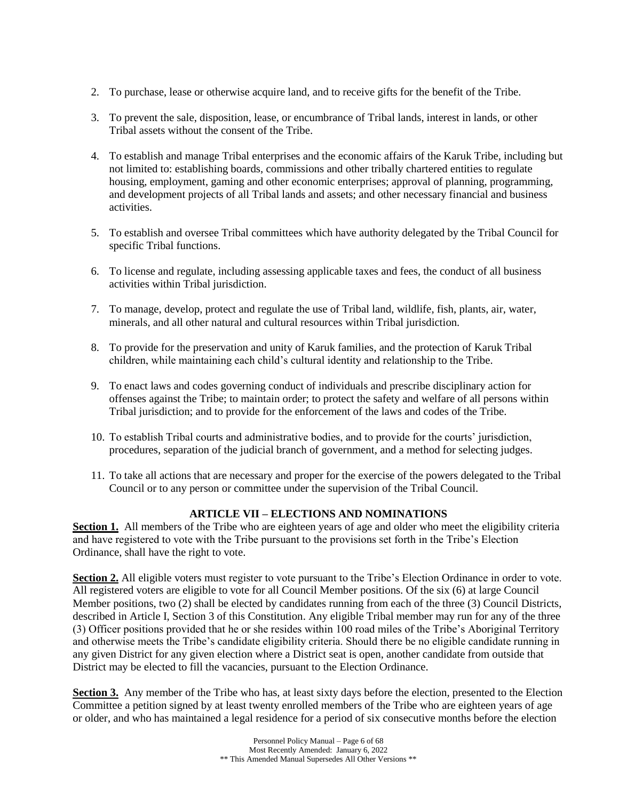- 2. To purchase, lease or otherwise acquire land, and to receive gifts for the benefit of the Tribe.
- 3. To prevent the sale, disposition, lease, or encumbrance of Tribal lands, interest in lands, or other Tribal assets without the consent of the Tribe.
- 4. To establish and manage Tribal enterprises and the economic affairs of the Karuk Tribe, including but not limited to: establishing boards, commissions and other tribally chartered entities to regulate housing, employment, gaming and other economic enterprises; approval of planning, programming, and development projects of all Tribal lands and assets; and other necessary financial and business activities.
- 5. To establish and oversee Tribal committees which have authority delegated by the Tribal Council for specific Tribal functions.
- 6. To license and regulate, including assessing applicable taxes and fees, the conduct of all business activities within Tribal jurisdiction.
- 7. To manage, develop, protect and regulate the use of Tribal land, wildlife, fish, plants, air, water, minerals, and all other natural and cultural resources within Tribal jurisdiction.
- 8. To provide for the preservation and unity of Karuk families, and the protection of Karuk Tribal children, while maintaining each child's cultural identity and relationship to the Tribe.
- 9. To enact laws and codes governing conduct of individuals and prescribe disciplinary action for offenses against the Tribe; to maintain order; to protect the safety and welfare of all persons within Tribal jurisdiction; and to provide for the enforcement of the laws and codes of the Tribe.
- 10. To establish Tribal courts and administrative bodies, and to provide for the courts' jurisdiction, procedures, separation of the judicial branch of government, and a method for selecting judges.
- 11. To take all actions that are necessary and proper for the exercise of the powers delegated to the Tribal Council or to any person or committee under the supervision of the Tribal Council.

## **ARTICLE VII – ELECTIONS AND NOMINATIONS**

**Section 1.** All members of the Tribe who are eighteen years of age and older who meet the eligibility criteria and have registered to vote with the Tribe pursuant to the provisions set forth in the Tribe's Election Ordinance, shall have the right to vote.

**Section 2.** All eligible voters must register to vote pursuant to the Tribe's Election Ordinance in order to vote. All registered voters are eligible to vote for all Council Member positions. Of the six (6) at large Council Member positions, two (2) shall be elected by candidates running from each of the three (3) Council Districts, described in Article I, Section 3 of this Constitution. Any eligible Tribal member may run for any of the three (3) Officer positions provided that he or she resides within 100 road miles of the Tribe's Aboriginal Territory and otherwise meets the Tribe's candidate eligibility criteria. Should there be no eligible candidate running in any given District for any given election where a District seat is open, another candidate from outside that District may be elected to fill the vacancies, pursuant to the Election Ordinance.

**Section 3.** Any member of the Tribe who has, at least sixty days before the election, presented to the Election Committee a petition signed by at least twenty enrolled members of the Tribe who are eighteen years of age or older, and who has maintained a legal residence for a period of six consecutive months before the election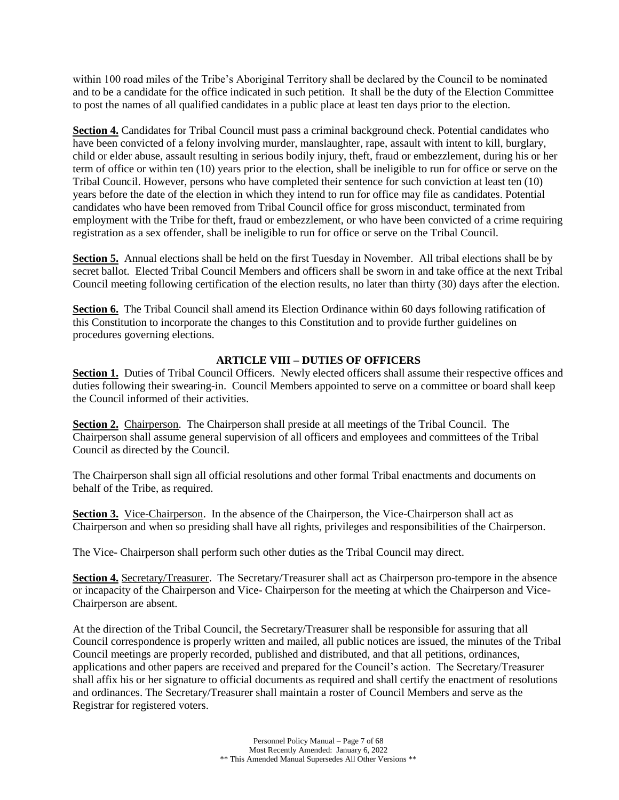within 100 road miles of the Tribe's Aboriginal Territory shall be declared by the Council to be nominated and to be a candidate for the office indicated in such petition. It shall be the duty of the Election Committee to post the names of all qualified candidates in a public place at least ten days prior to the election.

**Section 4.** Candidates for Tribal Council must pass a criminal background check. Potential candidates who have been convicted of a felony involving murder, manslaughter, rape, assault with intent to kill, burglary, child or elder abuse, assault resulting in serious bodily injury, theft, fraud or embezzlement, during his or her term of office or within ten (10) years prior to the election, shall be ineligible to run for office or serve on the Tribal Council. However, persons who have completed their sentence for such conviction at least ten (10) years before the date of the election in which they intend to run for office may file as candidates. Potential candidates who have been removed from Tribal Council office for gross misconduct, terminated from employment with the Tribe for theft, fraud or embezzlement, or who have been convicted of a crime requiring registration as a sex offender, shall be ineligible to run for office or serve on the Tribal Council.

**Section 5.** Annual elections shall be held on the first Tuesday in November. All tribal elections shall be by secret ballot. Elected Tribal Council Members and officers shall be sworn in and take office at the next Tribal Council meeting following certification of the election results, no later than thirty (30) days after the election.

**Section 6.** The Tribal Council shall amend its Election Ordinance within 60 days following ratification of this Constitution to incorporate the changes to this Constitution and to provide further guidelines on procedures governing elections.

## **ARTICLE VIII – DUTIES OF OFFICERS**

**Section 1.** Duties of Tribal Council Officers. Newly elected officers shall assume their respective offices and duties following their swearing-in. Council Members appointed to serve on a committee or board shall keep the Council informed of their activities.

**Section 2.** Chairperson. The Chairperson shall preside at all meetings of the Tribal Council. The Chairperson shall assume general supervision of all officers and employees and committees of the Tribal Council as directed by the Council.

The Chairperson shall sign all official resolutions and other formal Tribal enactments and documents on behalf of the Tribe, as required.

**Section 3.** Vice-Chairperson. In the absence of the Chairperson, the Vice-Chairperson shall act as Chairperson and when so presiding shall have all rights, privileges and responsibilities of the Chairperson.

The Vice- Chairperson shall perform such other duties as the Tribal Council may direct.

**Section 4.** Secretary/Treasurer. The Secretary/Treasurer shall act as Chairperson pro-tempore in the absence or incapacity of the Chairperson and Vice- Chairperson for the meeting at which the Chairperson and Vice-Chairperson are absent.

At the direction of the Tribal Council, the Secretary/Treasurer shall be responsible for assuring that all Council correspondence is properly written and mailed, all public notices are issued, the minutes of the Tribal Council meetings are properly recorded, published and distributed, and that all petitions, ordinances, applications and other papers are received and prepared for the Council's action. The Secretary/Treasurer shall affix his or her signature to official documents as required and shall certify the enactment of resolutions and ordinances. The Secretary/Treasurer shall maintain a roster of Council Members and serve as the Registrar for registered voters.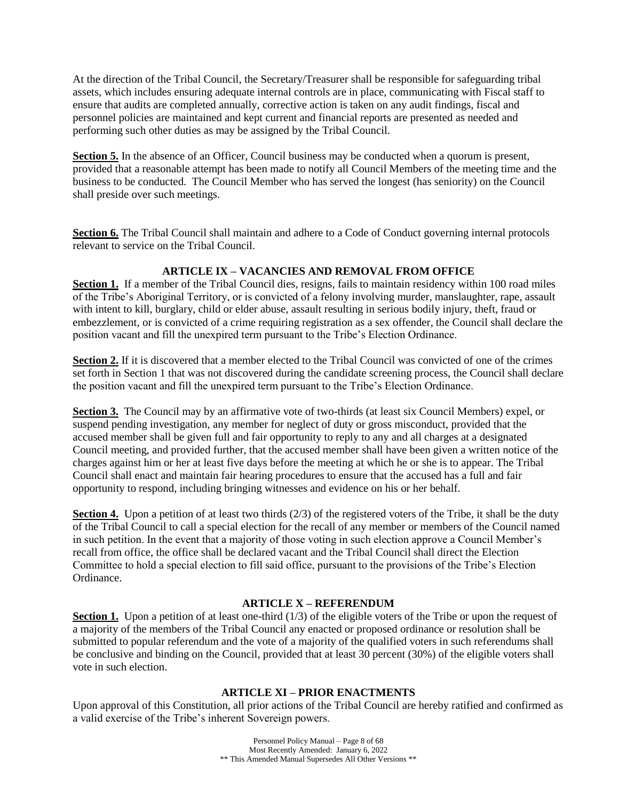At the direction of the Tribal Council, the Secretary/Treasurer shall be responsible for safeguarding tribal assets, which includes ensuring adequate internal controls are in place, communicating with Fiscal staff to ensure that audits are completed annually, corrective action is taken on any audit findings, fiscal and personnel policies are maintained and kept current and financial reports are presented as needed and performing such other duties as may be assigned by the Tribal Council.

**Section 5.** In the absence of an Officer, Council business may be conducted when a quorum is present, provided that a reasonable attempt has been made to notify all Council Members of the meeting time and the business to be conducted. The Council Member who has served the longest (has seniority) on the Council shall preside over such meetings.

**Section 6.** The Tribal Council shall maintain and adhere to a Code of Conduct governing internal protocols relevant to service on the Tribal Council.

## **ARTICLE IX – VACANCIES AND REMOVAL FROM OFFICE**

**Section 1.** If a member of the Tribal Council dies, resigns, fails to maintain residency within 100 road miles of the Tribe's Aboriginal Territory, or is convicted of a felony involving murder, manslaughter, rape, assault with intent to kill, burglary, child or elder abuse, assault resulting in serious bodily injury, theft, fraud or embezzlement, or is convicted of a crime requiring registration as a sex offender, the Council shall declare the position vacant and fill the unexpired term pursuant to the Tribe's Election Ordinance.

**Section 2.** If it is discovered that a member elected to the Tribal Council was convicted of one of the crimes set forth in Section 1 that was not discovered during the candidate screening process, the Council shall declare the position vacant and fill the unexpired term pursuant to the Tribe's Election Ordinance.

**Section 3.** The Council may by an affirmative vote of two-thirds (at least six Council Members) expel, or suspend pending investigation, any member for neglect of duty or gross misconduct, provided that the accused member shall be given full and fair opportunity to reply to any and all charges at a designated Council meeting, and provided further, that the accused member shall have been given a written notice of the charges against him or her at least five days before the meeting at which he or she is to appear. The Tribal Council shall enact and maintain fair hearing procedures to ensure that the accused has a full and fair opportunity to respond, including bringing witnesses and evidence on his or her behalf.

**Section 4.** Upon a petition of at least two thirds (2/3) of the registered voters of the Tribe, it shall be the duty of the Tribal Council to call a special election for the recall of any member or members of the Council named in such petition. In the event that a majority of those voting in such election approve a Council Member's recall from office, the office shall be declared vacant and the Tribal Council shall direct the Election Committee to hold a special election to fill said office, pursuant to the provisions of the Tribe's Election Ordinance.

## **ARTICLE X – REFERENDUM**

**Section 1.** Upon a petition of at least one-third (1/3) of the eligible voters of the Tribe or upon the request of a majority of the members of the Tribal Council any enacted or proposed ordinance or resolution shall be submitted to popular referendum and the vote of a majority of the qualified voters in such referendums shall be conclusive and binding on the Council, provided that at least 30 percent (30%) of the eligible voters shall vote in such election.

### **ARTICLE XI – PRIOR ENACTMENTS**

Upon approval of this Constitution, all prior actions of the Tribal Council are hereby ratified and confirmed as a valid exercise of the Tribe's inherent Sovereign powers.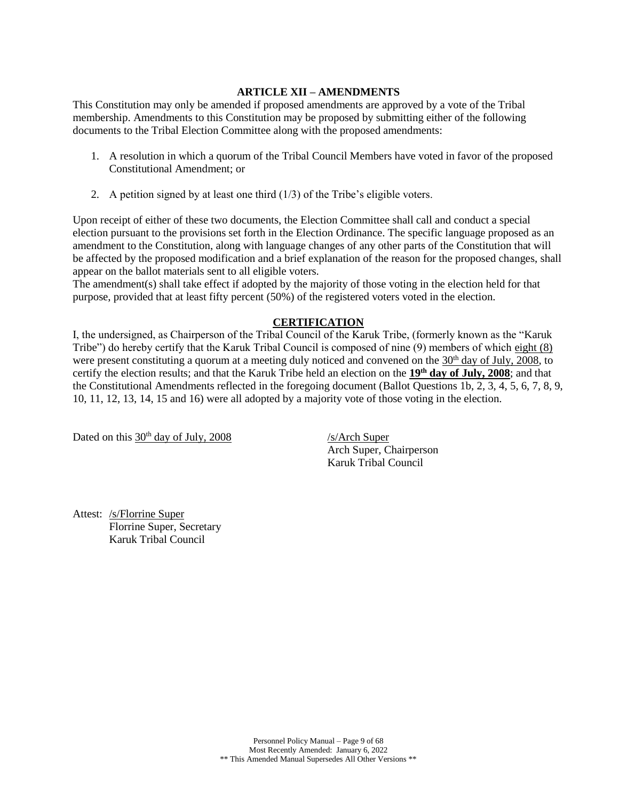## **ARTICLE XII – AMENDMENTS**

This Constitution may only be amended if proposed amendments are approved by a vote of the Tribal membership. Amendments to this Constitution may be proposed by submitting either of the following documents to the Tribal Election Committee along with the proposed amendments:

- 1. A resolution in which a quorum of the Tribal Council Members have voted in favor of the proposed Constitutional Amendment; or
- 2. A petition signed by at least one third  $(1/3)$  of the Tribe's eligible voters.

Upon receipt of either of these two documents, the Election Committee shall call and conduct a special election pursuant to the provisions set forth in the Election Ordinance. The specific language proposed as an amendment to the Constitution, along with language changes of any other parts of the Constitution that will be affected by the proposed modification and a brief explanation of the reason for the proposed changes, shall appear on the ballot materials sent to all eligible voters.

The amendment(s) shall take effect if adopted by the majority of those voting in the election held for that purpose, provided that at least fifty percent (50%) of the registered voters voted in the election.

## **CERTIFICATION**

I, the undersigned, as Chairperson of the Tribal Council of the Karuk Tribe, (formerly known as the "Karuk Tribe") do hereby certify that the Karuk Tribal Council is composed of nine (9) members of which eight (8) were present constituting a quorum at a meeting duly noticed and convened on the 30<sup>th</sup> day of July, 2008, to certify the election results; and that the Karuk Tribe held an election on the **19th day of July, 2008**; and that the Constitutional Amendments reflected in the foregoing document (Ballot Questions 1b, 2, 3, 4, 5, 6, 7, 8, 9, 10, 11, 12, 13, 14, 15 and 16) were all adopted by a majority vote of those voting in the election.

Dated on this  $30<sup>th</sup>$  day of July, 2008 /s/Arch Super

Arch Super, Chairperson Karuk Tribal Council

Attest: /s/Florrine Super Florrine Super, Secretary Karuk Tribal Council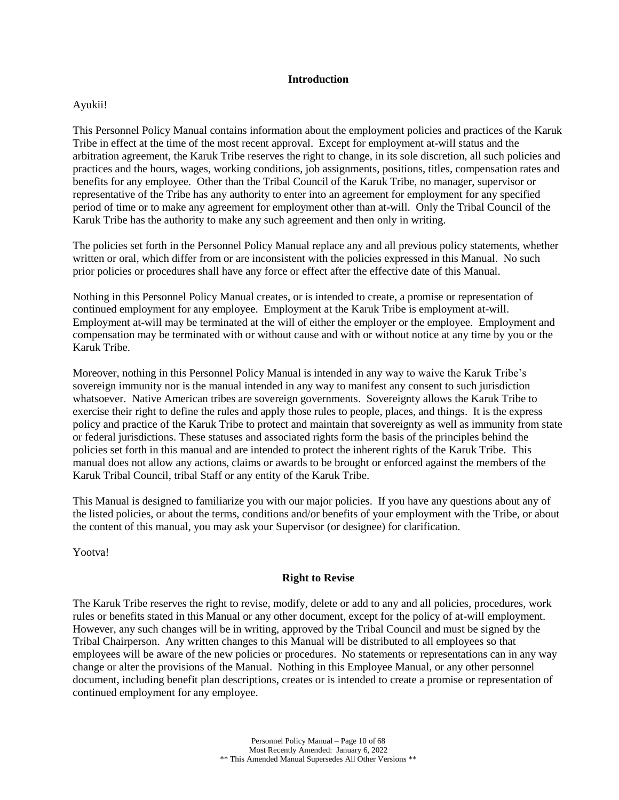#### **Introduction**

## <span id="page-9-0"></span>Ayukii!

This Personnel Policy Manual contains information about the employment policies and practices of the Karuk Tribe in effect at the time of the most recent approval. Except for employment at-will status and the arbitration agreement, the Karuk Tribe reserves the right to change, in its sole discretion, all such policies and practices and the hours, wages, working conditions, job assignments, positions, titles, compensation rates and benefits for any employee. Other than the Tribal Council of the Karuk Tribe, no manager, supervisor or representative of the Tribe has any authority to enter into an agreement for employment for any specified period of time or to make any agreement for employment other than at-will. Only the Tribal Council of the Karuk Tribe has the authority to make any such agreement and then only in writing.

The policies set forth in the Personnel Policy Manual replace any and all previous policy statements, whether written or oral, which differ from or are inconsistent with the policies expressed in this Manual. No such prior policies or procedures shall have any force or effect after the effective date of this Manual.

Nothing in this Personnel Policy Manual creates, or is intended to create, a promise or representation of continued employment for any employee. Employment at the Karuk Tribe is employment at-will. Employment at-will may be terminated at the will of either the employer or the employee. Employment and compensation may be terminated with or without cause and with or without notice at any time by you or the Karuk Tribe.

Moreover, nothing in this Personnel Policy Manual is intended in any way to waive the Karuk Tribe's sovereign immunity nor is the manual intended in any way to manifest any consent to such jurisdiction whatsoever. Native American tribes are sovereign governments. Sovereignty allows the Karuk Tribe to exercise their right to define the rules and apply those rules to people, places, and things. It is the express policy and practice of the Karuk Tribe to protect and maintain that sovereignty as well as immunity from state or federal jurisdictions. These statuses and associated rights form the basis of the principles behind the policies set forth in this manual and are intended to protect the inherent rights of the Karuk Tribe. This manual does not allow any actions, claims or awards to be brought or enforced against the members of the Karuk Tribal Council, tribal Staff or any entity of the Karuk Tribe.

This Manual is designed to familiarize you with our major policies. If you have any questions about any of the listed policies, or about the terms, conditions and/or benefits of your employment with the Tribe, or about the content of this manual, you may ask your Supervisor (or designee) for clarification.

<span id="page-9-1"></span>Yootva!

## **Right to Revise**

The Karuk Tribe reserves the right to revise, modify, delete or add to any and all policies, procedures, work rules or benefits stated in this Manual or any other document, except for the policy of at-will employment. However, any such changes will be in writing, approved by the Tribal Council and must be signed by the Tribal Chairperson. Any written changes to this Manual will be distributed to all employees so that employees will be aware of the new policies or procedures. No statements or representations can in any way change or alter the provisions of the Manual. Nothing in this Employee Manual, or any other personnel document, including benefit plan descriptions, creates or is intended to create a promise or representation of continued employment for any employee.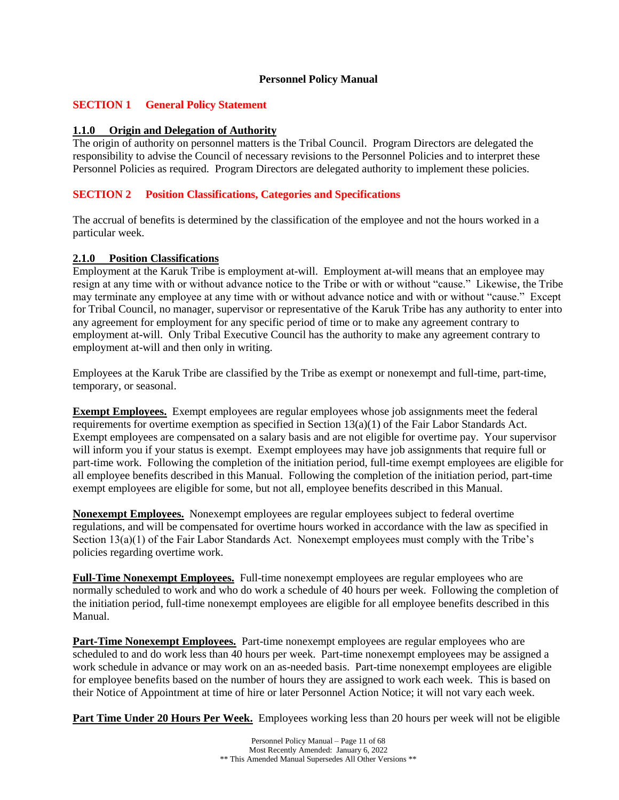### **Personnel Policy Manual**

## <span id="page-10-0"></span>**SECTION 1 General Policy Statement**

### **1.1.0 Origin and Delegation of Authority**

The origin of authority on personnel matters is the Tribal Council. Program Directors are delegated the responsibility to advise the Council of necessary revisions to the Personnel Policies and to interpret these Personnel Policies as required. Program Directors are delegated authority to implement these policies.

## <span id="page-10-1"></span>**SECTION 2 Position Classifications, Categories and Specifications**

The accrual of benefits is determined by the classification of the employee and not the hours worked in a particular week.

### **2.1.0 Position Classifications**

Employment at the Karuk Tribe is employment at-will. Employment at-will means that an employee may resign at any time with or without advance notice to the Tribe or with or without "cause." Likewise, the Tribe may terminate any employee at any time with or without advance notice and with or without "cause." Except for Tribal Council, no manager, supervisor or representative of the Karuk Tribe has any authority to enter into any agreement for employment for any specific period of time or to make any agreement contrary to employment at-will. Only Tribal Executive Council has the authority to make any agreement contrary to employment at-will and then only in writing.

Employees at the Karuk Tribe are classified by the Tribe as exempt or nonexempt and full-time, part-time, temporary, or seasonal.

**Exempt Employees.** Exempt employees are regular employees whose job assignments meet the federal requirements for overtime exemption as specified in Section  $13(a)(1)$  of the Fair Labor Standards Act. Exempt employees are compensated on a salary basis and are not eligible for overtime pay. Your supervisor will inform you if your status is exempt. Exempt employees may have job assignments that require full or part-time work. Following the completion of the initiation period, full-time exempt employees are eligible for all employee benefits described in this Manual. Following the completion of the initiation period, part-time exempt employees are eligible for some, but not all, employee benefits described in this Manual.

**Nonexempt Employees.** Nonexempt employees are regular employees subject to federal overtime regulations, and will be compensated for overtime hours worked in accordance with the law as specified in Section 13(a)(1) of the Fair Labor Standards Act. Nonexempt employees must comply with the Tribe's policies regarding overtime work.

**Full-Time Nonexempt Employees.** Full-time nonexempt employees are regular employees who are normally scheduled to work and who do work a schedule of 40 hours per week. Following the completion of the initiation period, full-time nonexempt employees are eligible for all employee benefits described in this Manual.

**Part-Time Nonexempt Employees.** Part-time nonexempt employees are regular employees who are scheduled to and do work less than 40 hours per week. Part-time nonexempt employees may be assigned a work schedule in advance or may work on an as-needed basis. Part-time nonexempt employees are eligible for employee benefits based on the number of hours they are assigned to work each week. This is based on their Notice of Appointment at time of hire or later Personnel Action Notice; it will not vary each week.

**Part Time Under 20 Hours Per Week.** Employees working less than 20 hours per week will not be eligible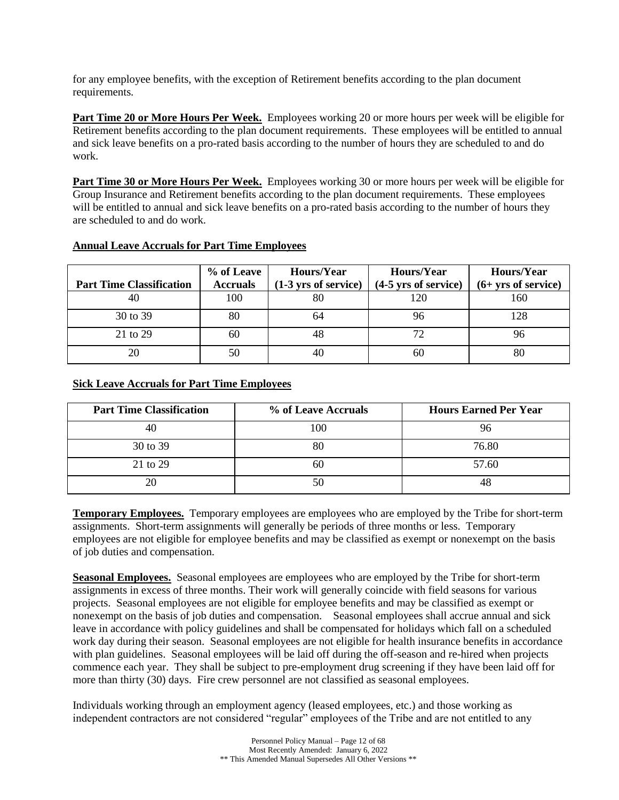for any employee benefits, with the exception of Retirement benefits according to the plan document requirements.

**Part Time 20 or More Hours Per Week.** Employees working 20 or more hours per week will be eligible for Retirement benefits according to the plan document requirements. These employees will be entitled to annual and sick leave benefits on a pro-rated basis according to the number of hours they are scheduled to and do work.

**Part Time 30 or More Hours Per Week.** Employees working 30 or more hours per week will be eligible for Group Insurance and Retirement benefits according to the plan document requirements. These employees will be entitled to annual and sick leave benefits on a pro-rated basis according to the number of hours they are scheduled to and do work.

|                                 | % of Leave      | Hours/Year             | Hours/Year             | Hours/Year            |
|---------------------------------|-----------------|------------------------|------------------------|-----------------------|
| <b>Part Time Classification</b> | <b>Accruals</b> | $(1-3$ yrs of service) | $(4-5$ yrs of service) | $(6+ yrs of service)$ |
| 40                              | 100             | 80                     | 120                    | l 60                  |
| 30 to 39                        | 80              | 64                     | 96                     |                       |
| 21 to 29                        | 60              | 48                     | 72                     |                       |
| 20                              | 50              | 40.                    | 60                     | 80                    |

### **Annual Leave Accruals for Part Time Employees**

## **Sick Leave Accruals for Part Time Employees**

| <b>Part Time Classification</b> | % of Leave Accruals | <b>Hours Earned Per Year</b> |
|---------------------------------|---------------------|------------------------------|
| 40                              | -00                 |                              |
| 30 to 39                        |                     | 76.80                        |
| 21 to 29                        | бΙ.                 | 57.60                        |
| 20                              |                     |                              |

**Temporary Employees.** Temporary employees are employees who are employed by the Tribe for short-term assignments. Short-term assignments will generally be periods of three months or less. Temporary employees are not eligible for employee benefits and may be classified as exempt or nonexempt on the basis of job duties and compensation.

**Seasonal Employees.** Seasonal employees are employees who are employed by the Tribe for short-term assignments in excess of three months. Their work will generally coincide with field seasons for various projects. Seasonal employees are not eligible for employee benefits and may be classified as exempt or nonexempt on the basis of job duties and compensation. Seasonal employees shall accrue annual and sick leave in accordance with policy guidelines and shall be compensated for holidays which fall on a scheduled work day during their season. Seasonal employees are not eligible for health insurance benefits in accordance with plan guidelines. Seasonal employees will be laid off during the off-season and re-hired when projects commence each year. They shall be subject to pre-employment drug screening if they have been laid off for more than thirty (30) days. Fire crew personnel are not classified as seasonal employees.

Individuals working through an employment agency (leased employees, etc.) and those working as independent contractors are not considered "regular" employees of the Tribe and are not entitled to any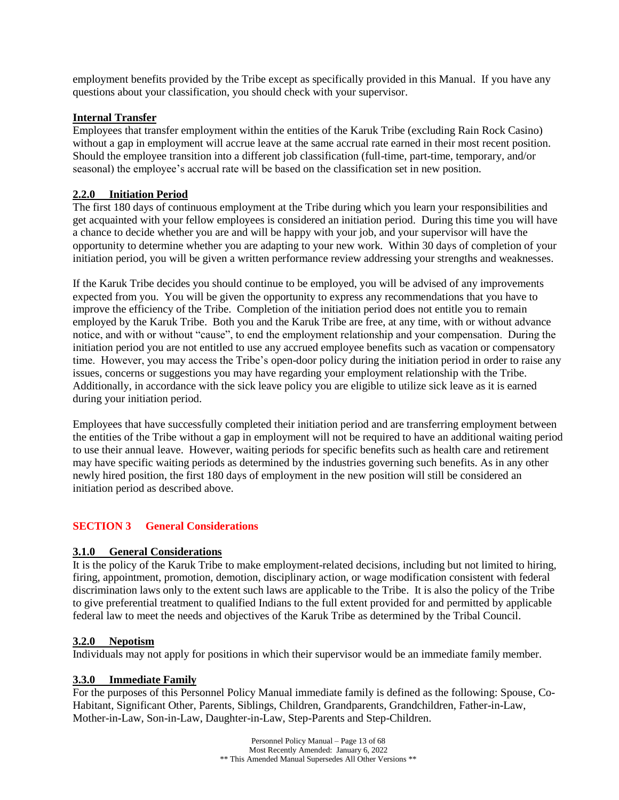employment benefits provided by the Tribe except as specifically provided in this Manual. If you have any questions about your classification, you should check with your supervisor.

## **Internal Transfer**

Employees that transfer employment within the entities of the Karuk Tribe (excluding Rain Rock Casino) without a gap in employment will accrue leave at the same accrual rate earned in their most recent position. Should the employee transition into a different job classification (full-time, part-time, temporary, and/or seasonal) the employee's accrual rate will be based on the classification set in new position.

## **2.2.0 Initiation Period**

The first 180 days of continuous employment at the Tribe during which you learn your responsibilities and get acquainted with your fellow employees is considered an initiation period. During this time you will have a chance to decide whether you are and will be happy with your job, and your supervisor will have the opportunity to determine whether you are adapting to your new work. Within 30 days of completion of your initiation period, you will be given a written performance review addressing your strengths and weaknesses.

If the Karuk Tribe decides you should continue to be employed, you will be advised of any improvements expected from you. You will be given the opportunity to express any recommendations that you have to improve the efficiency of the Tribe. Completion of the initiation period does not entitle you to remain employed by the Karuk Tribe. Both you and the Karuk Tribe are free, at any time, with or without advance notice, and with or without "cause", to end the employment relationship and your compensation. During the initiation period you are not entitled to use any accrued employee benefits such as vacation or compensatory time. However, you may access the Tribe's open-door policy during the initiation period in order to raise any issues, concerns or suggestions you may have regarding your employment relationship with the Tribe. Additionally, in accordance with the sick leave policy you are eligible to utilize sick leave as it is earned during your initiation period.

Employees that have successfully completed their initiation period and are transferring employment between the entities of the Tribe without a gap in employment will not be required to have an additional waiting period to use their annual leave. However, waiting periods for specific benefits such as health care and retirement may have specific waiting periods as determined by the industries governing such benefits. As in any other newly hired position, the first 180 days of employment in the new position will still be considered an initiation period as described above.

## <span id="page-12-0"></span>**SECTION 3 General Considerations**

## **3.1.0 General Considerations**

It is the policy of the Karuk Tribe to make employment-related decisions, including but not limited to hiring, firing, appointment, promotion, demotion, disciplinary action, or wage modification consistent with federal discrimination laws only to the extent such laws are applicable to the Tribe. It is also the policy of the Tribe to give preferential treatment to qualified Indians to the full extent provided for and permitted by applicable federal law to meet the needs and objectives of the Karuk Tribe as determined by the Tribal Council.

### **3.2.0 Nepotism**

Individuals may not apply for positions in which their supervisor would be an immediate family member.

### **3.3.0 Immediate Family**

For the purposes of this Personnel Policy Manual immediate family is defined as the following: Spouse, Co-Habitant, Significant Other, Parents, Siblings, Children, Grandparents, Grandchildren, Father-in-Law, Mother-in-Law, Son-in-Law, Daughter-in-Law, Step-Parents and Step-Children.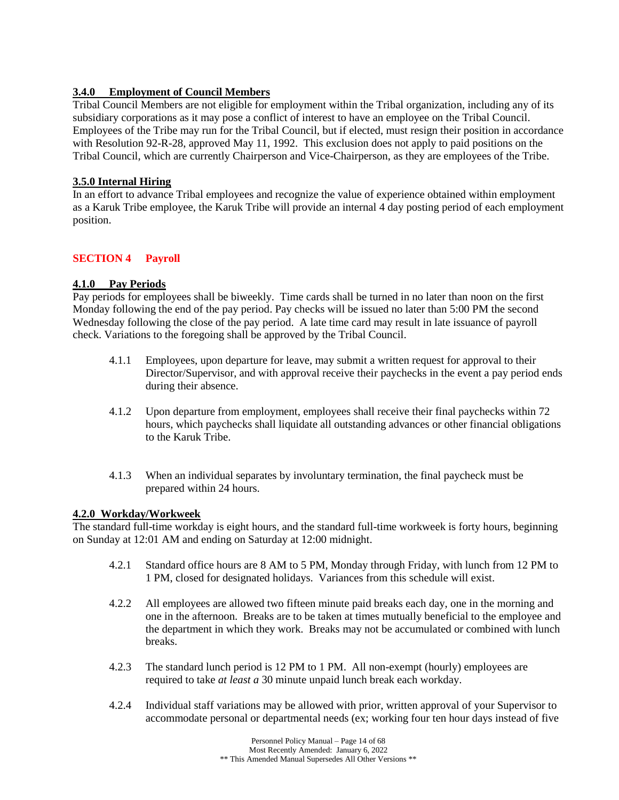## **3.4.0 Employment of Council Members**

Tribal Council Members are not eligible for employment within the Tribal organization, including any of its subsidiary corporations as it may pose a conflict of interest to have an employee on the Tribal Council. Employees of the Tribe may run for the Tribal Council, but if elected, must resign their position in accordance with Resolution 92-R-28, approved May 11, 1992. This exclusion does not apply to paid positions on the Tribal Council, which are currently Chairperson and Vice-Chairperson, as they are employees of the Tribe.

## **3.5.0 Internal Hiring**

In an effort to advance Tribal employees and recognize the value of experience obtained within employment as a Karuk Tribe employee, the Karuk Tribe will provide an internal 4 day posting period of each employment position.

## <span id="page-13-0"></span>**SECTION 4 Payroll**

## **4.1.0 Pay Periods**

Pay periods for employees shall be biweekly. Time cards shall be turned in no later than noon on the first Monday following the end of the pay period. Pay checks will be issued no later than 5:00 PM the second Wednesday following the close of the pay period. A late time card may result in late issuance of payroll check. Variations to the foregoing shall be approved by the Tribal Council.

- 4.1.1 Employees, upon departure for leave, may submit a written request for approval to their Director/Supervisor, and with approval receive their paychecks in the event a pay period ends during their absence.
- 4.1.2 Upon departure from employment, employees shall receive their final paychecks within 72 hours, which paychecks shall liquidate all outstanding advances or other financial obligations to the Karuk Tribe.
- 4.1.3 When an individual separates by involuntary termination, the final paycheck must be prepared within 24 hours.

## **4.2.0 Workday/Workweek**

The standard full-time workday is eight hours, and the standard full-time workweek is forty hours, beginning on Sunday at 12:01 AM and ending on Saturday at 12:00 midnight.

- 4.2.1 Standard office hours are 8 AM to 5 PM, Monday through Friday, with lunch from 12 PM to 1 PM, closed for designated holidays. Variances from this schedule will exist.
- 4.2.2 All employees are allowed two fifteen minute paid breaks each day, one in the morning and one in the afternoon. Breaks are to be taken at times mutually beneficial to the employee and the department in which they work. Breaks may not be accumulated or combined with lunch breaks.
- 4.2.3 The standard lunch period is 12 PM to 1 PM. All non-exempt (hourly) employees are required to take *at least a* 30 minute unpaid lunch break each workday.
- 4.2.4 Individual staff variations may be allowed with prior, written approval of your Supervisor to accommodate personal or departmental needs (ex; working four ten hour days instead of five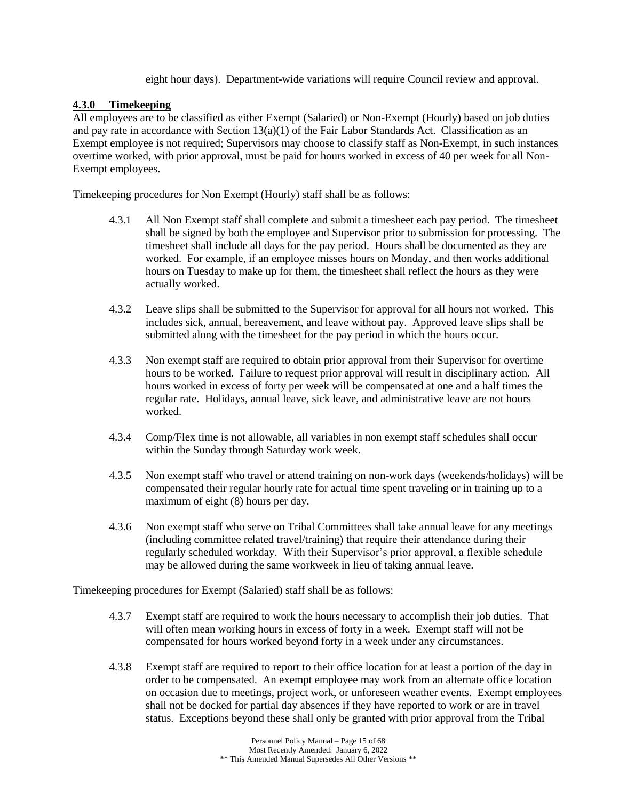eight hour days). Department-wide variations will require Council review and approval.

## **4.3.0 Timekeeping**

All employees are to be classified as either Exempt (Salaried) or Non-Exempt (Hourly) based on job duties and pay rate in accordance with Section  $13(a)(1)$  of the Fair Labor Standards Act. Classification as an Exempt employee is not required; Supervisors may choose to classify staff as Non-Exempt, in such instances overtime worked, with prior approval, must be paid for hours worked in excess of 40 per week for all Non-Exempt employees.

Timekeeping procedures for Non Exempt (Hourly) staff shall be as follows:

- 4.3.1 All Non Exempt staff shall complete and submit a timesheet each pay period. The timesheet shall be signed by both the employee and Supervisor prior to submission for processing. The timesheet shall include all days for the pay period. Hours shall be documented as they are worked. For example, if an employee misses hours on Monday, and then works additional hours on Tuesday to make up for them, the timesheet shall reflect the hours as they were actually worked.
- 4.3.2 Leave slips shall be submitted to the Supervisor for approval for all hours not worked. This includes sick, annual, bereavement, and leave without pay. Approved leave slips shall be submitted along with the timesheet for the pay period in which the hours occur.
- 4.3.3 Non exempt staff are required to obtain prior approval from their Supervisor for overtime hours to be worked. Failure to request prior approval will result in disciplinary action. All hours worked in excess of forty per week will be compensated at one and a half times the regular rate. Holidays, annual leave, sick leave, and administrative leave are not hours worked.
- 4.3.4 Comp/Flex time is not allowable, all variables in non exempt staff schedules shall occur within the Sunday through Saturday work week.
- 4.3.5 Non exempt staff who travel or attend training on non-work days (weekends/holidays) will be compensated their regular hourly rate for actual time spent traveling or in training up to a maximum of eight (8) hours per day.
- 4.3.6 Non exempt staff who serve on Tribal Committees shall take annual leave for any meetings (including committee related travel/training) that require their attendance during their regularly scheduled workday. With their Supervisor's prior approval, a flexible schedule may be allowed during the same workweek in lieu of taking annual leave.

Timekeeping procedures for Exempt (Salaried) staff shall be as follows:

- 4.3.7 Exempt staff are required to work the hours necessary to accomplish their job duties. That will often mean working hours in excess of forty in a week. Exempt staff will not be compensated for hours worked beyond forty in a week under any circumstances.
- 4.3.8 Exempt staff are required to report to their office location for at least a portion of the day in order to be compensated. An exempt employee may work from an alternate office location on occasion due to meetings, project work, or unforeseen weather events. Exempt employees shall not be docked for partial day absences if they have reported to work or are in travel status. Exceptions beyond these shall only be granted with prior approval from the Tribal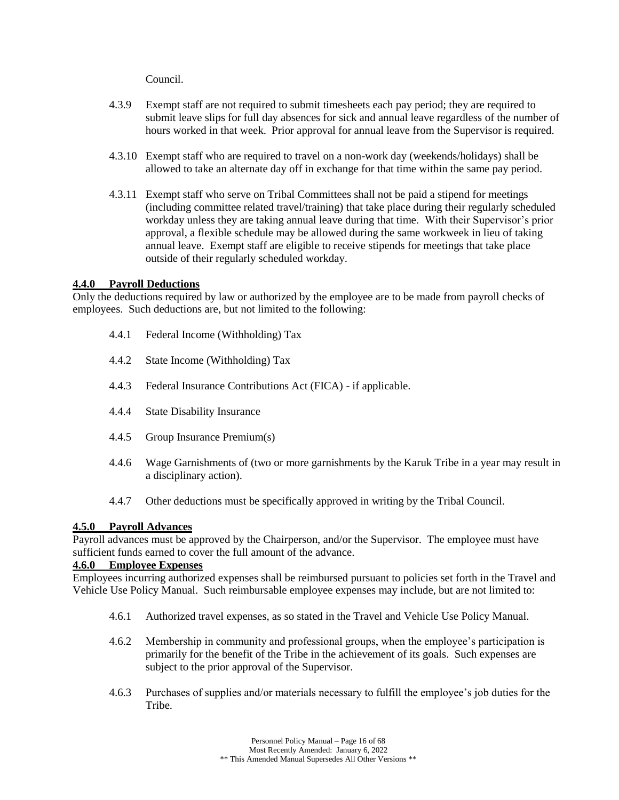Council.

- 4.3.9 Exempt staff are not required to submit timesheets each pay period; they are required to submit leave slips for full day absences for sick and annual leave regardless of the number of hours worked in that week. Prior approval for annual leave from the Supervisor is required.
- 4.3.10 Exempt staff who are required to travel on a non-work day (weekends/holidays) shall be allowed to take an alternate day off in exchange for that time within the same pay period.
- 4.3.11 Exempt staff who serve on Tribal Committees shall not be paid a stipend for meetings (including committee related travel/training) that take place during their regularly scheduled workday unless they are taking annual leave during that time. With their Supervisor's prior approval, a flexible schedule may be allowed during the same workweek in lieu of taking annual leave. Exempt staff are eligible to receive stipends for meetings that take place outside of their regularly scheduled workday.

### **4.4.0 Payroll Deductions**

Only the deductions required by law or authorized by the employee are to be made from payroll checks of employees. Such deductions are, but not limited to the following:

- 4.4.1 Federal Income (Withholding) Tax
- 4.4.2 State Income (Withholding) Tax
- 4.4.3 Federal Insurance Contributions Act (FICA) if applicable.
- 4.4.4 State Disability Insurance
- 4.4.5 Group Insurance Premium(s)
- 4.4.6 Wage Garnishments of (two or more garnishments by the Karuk Tribe in a year may result in a disciplinary action).
- 4.4.7 Other deductions must be specifically approved in writing by the Tribal Council.

#### **4.5.0 Payroll Advances**

Payroll advances must be approved by the Chairperson, and/or the Supervisor. The employee must have sufficient funds earned to cover the full amount of the advance.

## **4.6.0 Employee Expenses**

Employees incurring authorized expenses shall be reimbursed pursuant to policies set forth in the Travel and Vehicle Use Policy Manual. Such reimbursable employee expenses may include, but are not limited to:

- 4.6.1 Authorized travel expenses, as so stated in the Travel and Vehicle Use Policy Manual.
- 4.6.2 Membership in community and professional groups, when the employee's participation is primarily for the benefit of the Tribe in the achievement of its goals. Such expenses are subject to the prior approval of the Supervisor.
- 4.6.3 Purchases of supplies and/or materials necessary to fulfill the employee's job duties for the Tribe.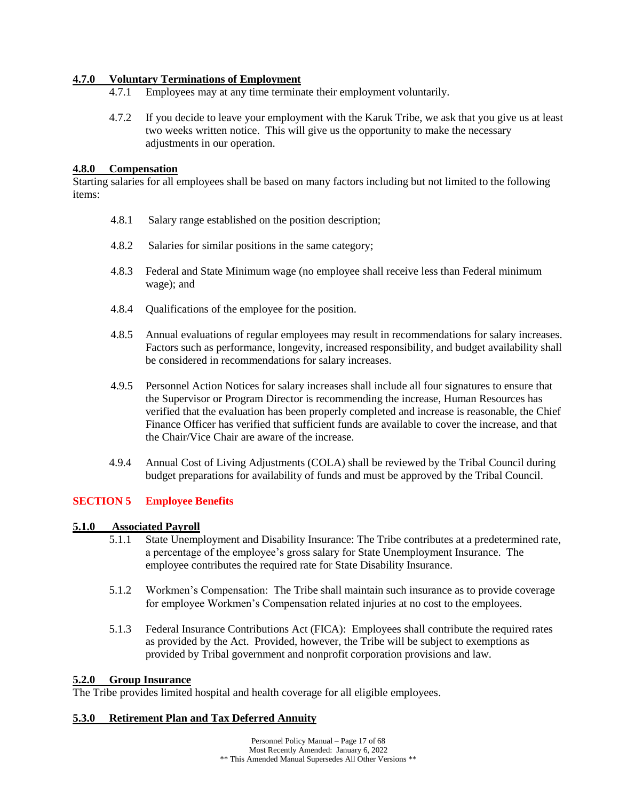## **4.7.0 Voluntary Terminations of Employment**

- 4.7.1 Employees may at any time terminate their employment voluntarily.
- 4.7.2 If you decide to leave your employment with the Karuk Tribe, we ask that you give us at least two weeks written notice. This will give us the opportunity to make the necessary adjustments in our operation.

## **4.8.0 Compensation**

Starting salaries for all employees shall be based on many factors including but not limited to the following items:

- 4.8.1 Salary range established on the position description;
- 4.8.2 Salaries for similar positions in the same category;
- 4.8.3 Federal and State Minimum wage (no employee shall receive less than Federal minimum wage); and
- 4.8.4 Qualifications of the employee for the position.
- 4.8.5 Annual evaluations of regular employees may result in recommendations for salary increases. Factors such as performance, longevity, increased responsibility, and budget availability shall be considered in recommendations for salary increases.
- 4.9.5 Personnel Action Notices for salary increases shall include all four signatures to ensure that the Supervisor or Program Director is recommending the increase, Human Resources has verified that the evaluation has been properly completed and increase is reasonable, the Chief Finance Officer has verified that sufficient funds are available to cover the increase, and that the Chair/Vice Chair are aware of the increase.
- 4.9.4 Annual Cost of Living Adjustments (COLA) shall be reviewed by the Tribal Council during budget preparations for availability of funds and must be approved by the Tribal Council.

## <span id="page-16-0"></span>**SECTION 5 Employee Benefits**

### **5.1.0 Associated Payroll**

- 5.1.1 State Unemployment and Disability Insurance: The Tribe contributes at a predetermined rate, a percentage of the employee's gross salary for State Unemployment Insurance. The employee contributes the required rate for State Disability Insurance.
- 5.1.2 Workmen's Compensation: The Tribe shall maintain such insurance as to provide coverage for employee Workmen's Compensation related injuries at no cost to the employees.
- 5.1.3 Federal Insurance Contributions Act (FICA): Employees shall contribute the required rates as provided by the Act. Provided, however, the Tribe will be subject to exemptions as provided by Tribal government and nonprofit corporation provisions and law.

### **5.2.0 Group Insurance**

The Tribe provides limited hospital and health coverage for all eligible employees.

### **5.3.0 Retirement Plan and Tax Deferred Annuity**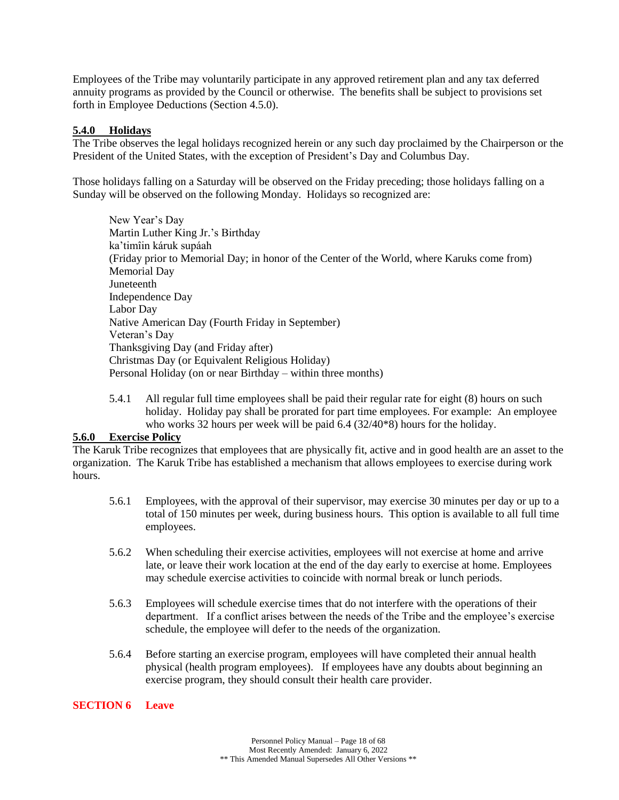Employees of the Tribe may voluntarily participate in any approved retirement plan and any tax deferred annuity programs as provided by the Council or otherwise. The benefits shall be subject to provisions set forth in Employee Deductions (Section 4.5.0).

### **5.4.0 Holidays**

The Tribe observes the legal holidays recognized herein or any such day proclaimed by the Chairperson or the President of the United States, with the exception of President's Day and Columbus Day.

Those holidays falling on a Saturday will be observed on the Friday preceding; those holidays falling on a Sunday will be observed on the following Monday. Holidays so recognized are:

New Year's Day Martin Luther King Jr.'s Birthday ka'timîin káruk supáah (Friday prior to Memorial Day; in honor of the Center of the World, where Karuks come from) Memorial Day Juneteenth Independence Day Labor Day Native American Day (Fourth Friday in September) Veteran's Day Thanksgiving Day (and Friday after) Christmas Day (or Equivalent Religious Holiday) Personal Holiday (on or near Birthday – within three months)

5.4.1 All regular full time employees shall be paid their regular rate for eight (8) hours on such holiday. Holiday pay shall be prorated for part time employees. For example: An employee who works 32 hours per week will be paid 6.4 (32/40<sup>\*8</sup>) hours for the holiday.

## **5.6.0 Exercise Policy**

The Karuk Tribe recognizes that employees that are physically fit, active and in good health are an asset to the organization. The Karuk Tribe has established a mechanism that allows employees to exercise during work hours.

- 5.6.1 Employees, with the approval of their supervisor, may exercise 30 minutes per day or up to a total of 150 minutes per week, during business hours. This option is available to all full time employees.
- 5.6.2 When scheduling their exercise activities, employees will not exercise at home and arrive late, or leave their work location at the end of the day early to exercise at home. Employees may schedule exercise activities to coincide with normal break or lunch periods.
- 5.6.3 Employees will schedule exercise times that do not interfere with the operations of their department. If a conflict arises between the needs of the Tribe and the employee's exercise schedule, the employee will defer to the needs of the organization.
- 5.6.4 Before starting an exercise program, employees will have completed their annual health physical (health program employees). If employees have any doubts about beginning an exercise program, they should consult their health care provider.

### <span id="page-17-0"></span>**SECTION 6 Leave**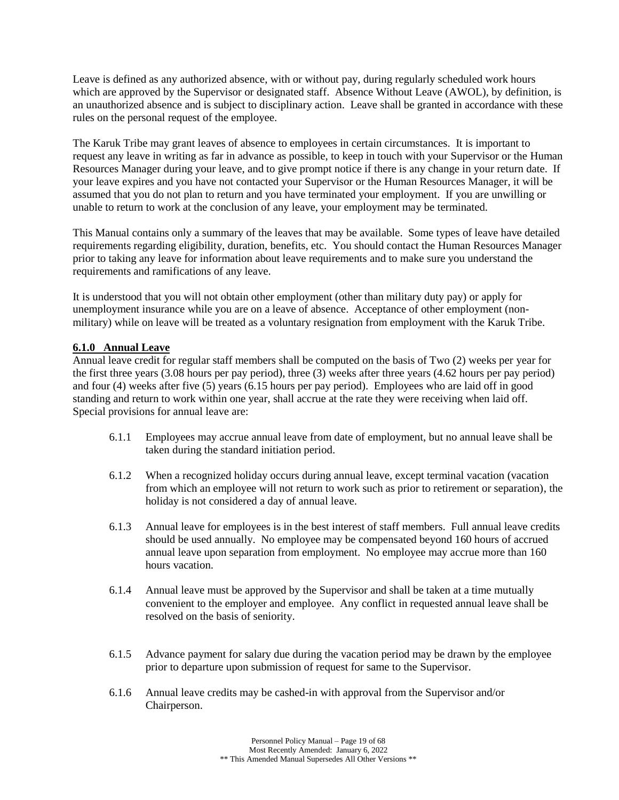Leave is defined as any authorized absence, with or without pay, during regularly scheduled work hours which are approved by the Supervisor or designated staff. Absence Without Leave (AWOL), by definition, is an unauthorized absence and is subject to disciplinary action. Leave shall be granted in accordance with these rules on the personal request of the employee.

The Karuk Tribe may grant leaves of absence to employees in certain circumstances. It is important to request any leave in writing as far in advance as possible, to keep in touch with your Supervisor or the Human Resources Manager during your leave, and to give prompt notice if there is any change in your return date. If your leave expires and you have not contacted your Supervisor or the Human Resources Manager, it will be assumed that you do not plan to return and you have terminated your employment. If you are unwilling or unable to return to work at the conclusion of any leave, your employment may be terminated.

This Manual contains only a summary of the leaves that may be available. Some types of leave have detailed requirements regarding eligibility, duration, benefits, etc. You should contact the Human Resources Manager prior to taking any leave for information about leave requirements and to make sure you understand the requirements and ramifications of any leave.

It is understood that you will not obtain other employment (other than military duty pay) or apply for unemployment insurance while you are on a leave of absence. Acceptance of other employment (nonmilitary) while on leave will be treated as a voluntary resignation from employment with the Karuk Tribe.

## **6.1.0 Annual Leave**

Annual leave credit for regular staff members shall be computed on the basis of Two (2) weeks per year for the first three years (3.08 hours per pay period), three (3) weeks after three years (4.62 hours per pay period) and four (4) weeks after five (5) years (6.15 hours per pay period). Employees who are laid off in good standing and return to work within one year, shall accrue at the rate they were receiving when laid off. Special provisions for annual leave are:

- 6.1.1 Employees may accrue annual leave from date of employment, but no annual leave shall be taken during the standard initiation period.
- 6.1.2 When a recognized holiday occurs during annual leave, except terminal vacation (vacation from which an employee will not return to work such as prior to retirement or separation), the holiday is not considered a day of annual leave.
- 6.1.3 Annual leave for employees is in the best interest of staff members. Full annual leave credits should be used annually. No employee may be compensated beyond 160 hours of accrued annual leave upon separation from employment. No employee may accrue more than 160 hours vacation.
- 6.1.4 Annual leave must be approved by the Supervisor and shall be taken at a time mutually convenient to the employer and employee. Any conflict in requested annual leave shall be resolved on the basis of seniority.
- 6.1.5 Advance payment for salary due during the vacation period may be drawn by the employee prior to departure upon submission of request for same to the Supervisor.
- 6.1.6 Annual leave credits may be cashed-in with approval from the Supervisor and/or Chairperson.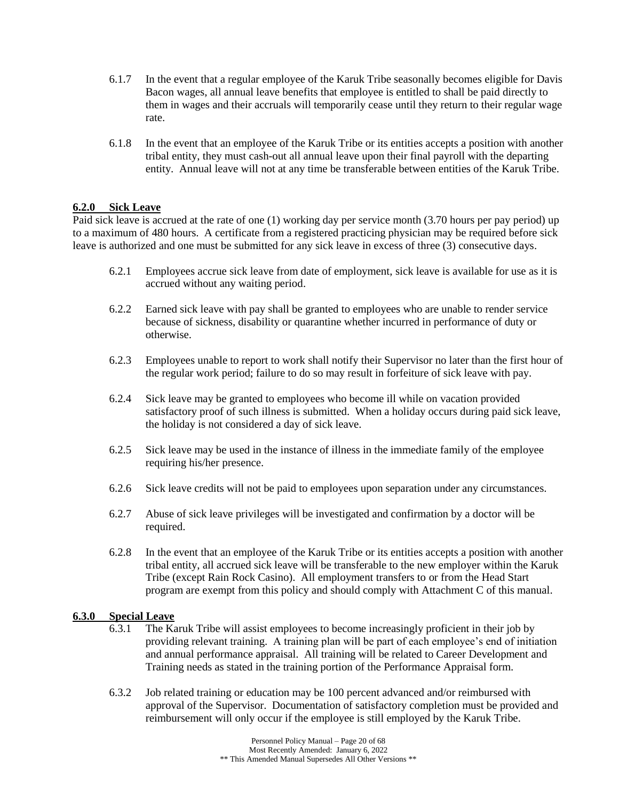- 6.1.7 In the event that a regular employee of the Karuk Tribe seasonally becomes eligible for Davis Bacon wages, all annual leave benefits that employee is entitled to shall be paid directly to them in wages and their accruals will temporarily cease until they return to their regular wage rate.
- 6.1.8 In the event that an employee of the Karuk Tribe or its entities accepts a position with another tribal entity, they must cash-out all annual leave upon their final payroll with the departing entity. Annual leave will not at any time be transferable between entities of the Karuk Tribe.

### **6.2.0 Sick Leave**

Paid sick leave is accrued at the rate of one (1) working day per service month (3.70 hours per pay period) up to a maximum of 480 hours. A certificate from a registered practicing physician may be required before sick leave is authorized and one must be submitted for any sick leave in excess of three (3) consecutive days.

- 6.2.1 Employees accrue sick leave from date of employment, sick leave is available for use as it is accrued without any waiting period.
- 6.2.2 Earned sick leave with pay shall be granted to employees who are unable to render service because of sickness, disability or quarantine whether incurred in performance of duty or otherwise.
- 6.2.3 Employees unable to report to work shall notify their Supervisor no later than the first hour of the regular work period; failure to do so may result in forfeiture of sick leave with pay.
- 6.2.4 Sick leave may be granted to employees who become ill while on vacation provided satisfactory proof of such illness is submitted. When a holiday occurs during paid sick leave, the holiday is not considered a day of sick leave.
- 6.2.5 Sick leave may be used in the instance of illness in the immediate family of the employee requiring his/her presence.
- 6.2.6 Sick leave credits will not be paid to employees upon separation under any circumstances.
- 6.2.7 Abuse of sick leave privileges will be investigated and confirmation by a doctor will be required.
- 6.2.8 In the event that an employee of the Karuk Tribe or its entities accepts a position with another tribal entity, all accrued sick leave will be transferable to the new employer within the Karuk Tribe (except Rain Rock Casino). All employment transfers to or from the Head Start program are exempt from this policy and should comply with Attachment C of this manual.

### **6.3.0 Special Leave**

- 6.3.1 The Karuk Tribe will assist employees to become increasingly proficient in their job by providing relevant training. A training plan will be part of each employee's end of initiation and annual performance appraisal. All training will be related to Career Development and Training needs as stated in the training portion of the Performance Appraisal form.
- 6.3.2 Job related training or education may be 100 percent advanced and/or reimbursed with approval of the Supervisor. Documentation of satisfactory completion must be provided and reimbursement will only occur if the employee is still employed by the Karuk Tribe.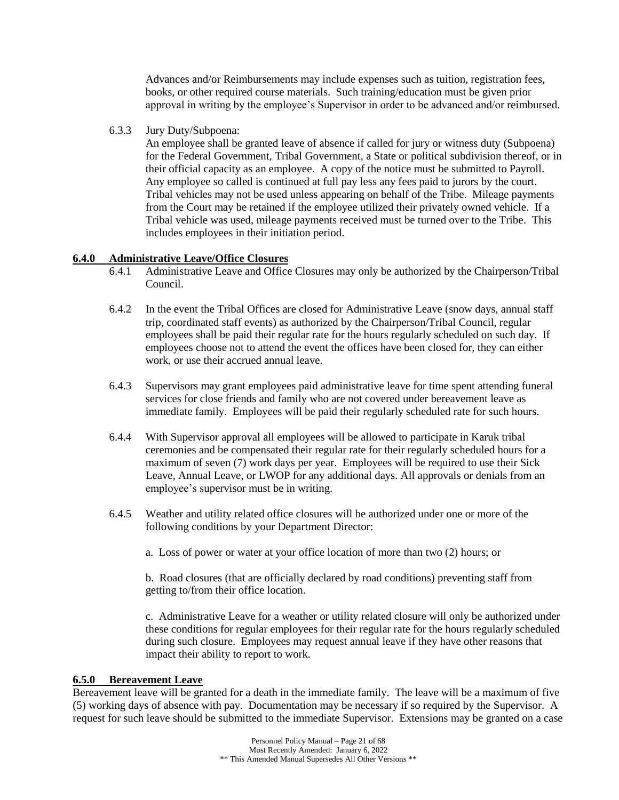Advances and/or Reimbursements may include expenses such as tuition, registration fees, books, or other required course materials. Such training/education must be given prior approval in writing by the employee's Supervisor in order to be advanced and/or reimbursed.

6.3.3 Jury Duty/Subpoena:

An employee shall be granted leave of absence if called for jury or witness duty (Subpoena) for the Federal Government, Tribal Government, a State or political subdivision thereof, or in their official capacity as an employee. A copy of the notice must be submitted to Payroll. Any employee so called is continued at full pay less any fees paid to jurors by the court. Tribal vehicles may not be used unless appearing on behalf of the Tribe. Mileage payments from the Court may be retained if the employee utilized their privately owned vehicle. If a Tribal vehicle was used, mileage payments received must be turned over to the Tribe. This includes employees in their initiation period.

## **6.4.0 Administrative Leave/Office Closures**

- 6.4.1 Administrative Leave and Office Closures may only be authorized by the Chairperson/Tribal Council.
- 6.4.2 In the event the Tribal Offices are closed for Administrative Leave (snow days, annual staff trip, coordinated staff events) as authorized by the Chairperson/Tribal Council, regular employees shall be paid their regular rate for the hours regularly scheduled on such day. If employees choose not to attend the event the offices have been closed for, they can either work, or use their accrued annual leave.
- 6.4.3 Supervisors may grant employees paid administrative leave for time spent attending funeral services for close friends and family who are not covered under bereavement leave as immediate family. Employees will be paid their regularly scheduled rate for such hours.
- 6.4.4 With Supervisor approval all employees will be allowed to participate in Karuk tribal ceremonies and be compensated their regular rate for their regularly scheduled hours for a maximum of seven (7) work days per year. Employees will be required to use their Sick Leave, Annual Leave, or LWOP for any additional days. All approvals or denials from an employee's supervisor must be in writing.
- 6.4.5 Weather and utility related office closures will be authorized under one or more of the following conditions by your Department Director:
	- a. Loss of power or water at your office location of more than two (2) hours; or

b. Road closures (that are officially declared by road conditions) preventing staff from getting to/from their office location.

c. Administrative Leave for a weather or utility related closure will only be authorized under these conditions for regular employees for their regular rate for the hours regularly scheduled during such closure. Employees may request annual leave if they have other reasons that impact their ability to report to work.

### **6.5.0 Bereavement Leave**

Bereavement leave will be granted for a death in the immediate family. The leave will be a maximum of five (5) working days of absence with pay. Documentation may be necessary if so required by the Supervisor. A request for such leave should be submitted to the immediate Supervisor. Extensions may be granted on a case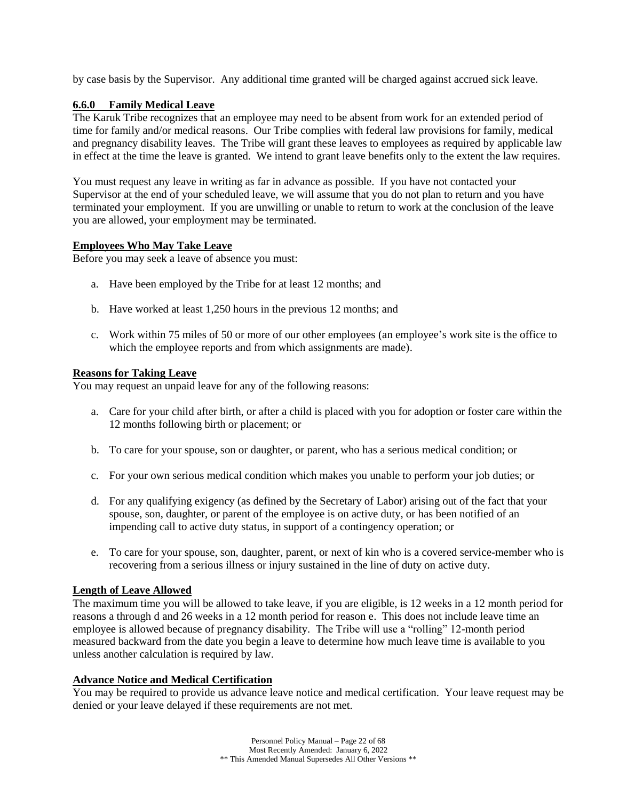by case basis by the Supervisor. Any additional time granted will be charged against accrued sick leave.

## **6.6.0 Family Medical Leave**

The Karuk Tribe recognizes that an employee may need to be absent from work for an extended period of time for family and/or medical reasons. Our Tribe complies with federal law provisions for family, medical and pregnancy disability leaves. The Tribe will grant these leaves to employees as required by applicable law in effect at the time the leave is granted. We intend to grant leave benefits only to the extent the law requires.

You must request any leave in writing as far in advance as possible. If you have not contacted your Supervisor at the end of your scheduled leave, we will assume that you do not plan to return and you have terminated your employment. If you are unwilling or unable to return to work at the conclusion of the leave you are allowed, your employment may be terminated.

## **Employees Who May Take Leave**

Before you may seek a leave of absence you must:

- a. Have been employed by the Tribe for at least 12 months; and
- b. Have worked at least 1,250 hours in the previous 12 months; and
- c. Work within 75 miles of 50 or more of our other employees (an employee's work site is the office to which the employee reports and from which assignments are made).

## **Reasons for Taking Leave**

You may request an unpaid leave for any of the following reasons:

- a. Care for your child after birth, or after a child is placed with you for adoption or foster care within the 12 months following birth or placement; or
- b. To care for your spouse, son or daughter, or parent, who has a serious medical condition; or
- c. For your own serious medical condition which makes you unable to perform your job duties; or
- d. For any qualifying exigency (as defined by the Secretary of Labor) arising out of the fact that your spouse, son, daughter, or parent of the employee is on active duty, or has been notified of an impending call to active duty status, in support of a contingency operation; or
- e. To care for your spouse, son, daughter, parent, or next of kin who is a covered service-member who is recovering from a serious illness or injury sustained in the line of duty on active duty.

### **Length of Leave Allowed**

The maximum time you will be allowed to take leave, if you are eligible, is 12 weeks in a 12 month period for reasons a through d and 26 weeks in a 12 month period for reason e. This does not include leave time an employee is allowed because of pregnancy disability. The Tribe will use a "rolling" 12-month period measured backward from the date you begin a leave to determine how much leave time is available to you unless another calculation is required by law.

## **Advance Notice and Medical Certification**

You may be required to provide us advance leave notice and medical certification. Your leave request may be denied or your leave delayed if these requirements are not met.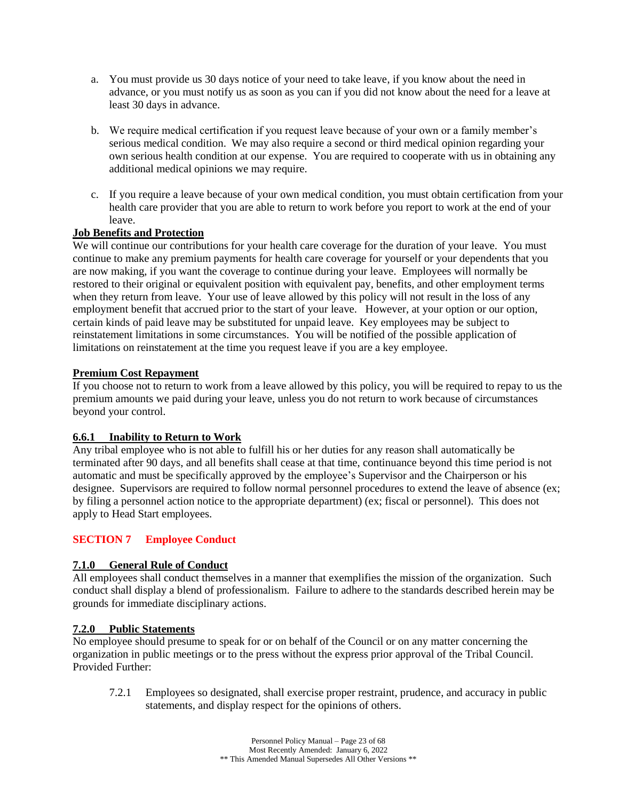- a. You must provide us 30 days notice of your need to take leave, if you know about the need in advance, or you must notify us as soon as you can if you did not know about the need for a leave at least 30 days in advance.
- b. We require medical certification if you request leave because of your own or a family member's serious medical condition. We may also require a second or third medical opinion regarding your own serious health condition at our expense. You are required to cooperate with us in obtaining any additional medical opinions we may require.
- c. If you require a leave because of your own medical condition, you must obtain certification from your health care provider that you are able to return to work before you report to work at the end of your leave.

## **Job Benefits and Protection**

We will continue our contributions for your health care coverage for the duration of your leave. You must continue to make any premium payments for health care coverage for yourself or your dependents that you are now making, if you want the coverage to continue during your leave. Employees will normally be restored to their original or equivalent position with equivalent pay, benefits, and other employment terms when they return from leave. Your use of leave allowed by this policy will not result in the loss of any employment benefit that accrued prior to the start of your leave. However, at your option or our option, certain kinds of paid leave may be substituted for unpaid leave. Key employees may be subject to reinstatement limitations in some circumstances. You will be notified of the possible application of limitations on reinstatement at the time you request leave if you are a key employee.

### **Premium Cost Repayment**

If you choose not to return to work from a leave allowed by this policy, you will be required to repay to us the premium amounts we paid during your leave, unless you do not return to work because of circumstances beyond your control.

### **6.6.1 Inability to Return to Work**

Any tribal employee who is not able to fulfill his or her duties for any reason shall automatically be terminated after 90 days, and all benefits shall cease at that time, continuance beyond this time period is not automatic and must be specifically approved by the employee's Supervisor and the Chairperson or his designee. Supervisors are required to follow normal personnel procedures to extend the leave of absence (ex; by filing a personnel action notice to the appropriate department) (ex; fiscal or personnel). This does not apply to Head Start employees.

## <span id="page-22-0"></span>**SECTION 7 Employee Conduct**

### **7.1.0 General Rule of Conduct**

All employees shall conduct themselves in a manner that exemplifies the mission of the organization. Such conduct shall display a blend of professionalism. Failure to adhere to the standards described herein may be grounds for immediate disciplinary actions.

### **7.2.0 Public Statements**

No employee should presume to speak for or on behalf of the Council or on any matter concerning the organization in public meetings or to the press without the express prior approval of the Tribal Council. Provided Further:

7.2.1 Employees so designated, shall exercise proper restraint, prudence, and accuracy in public statements, and display respect for the opinions of others.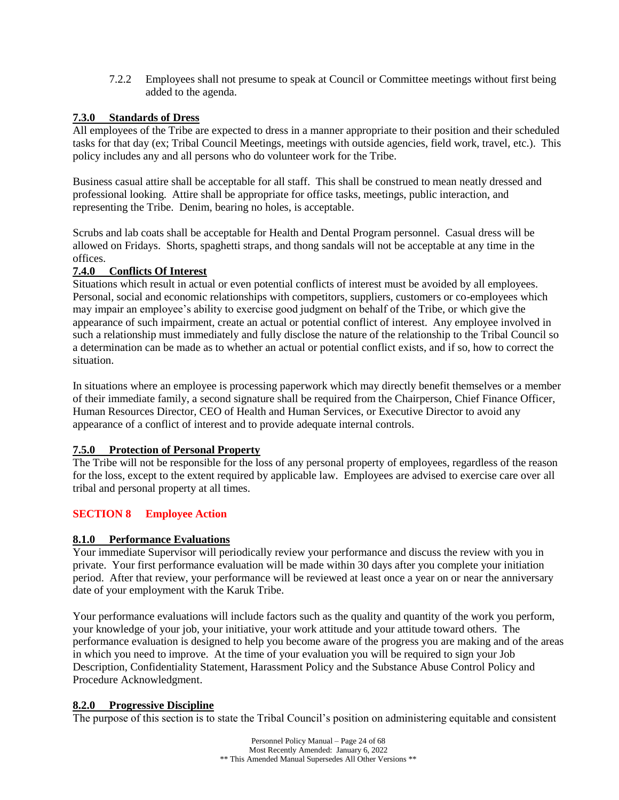7.2.2 Employees shall not presume to speak at Council or Committee meetings without first being added to the agenda.

## **7.3.0 Standards of Dress**

All employees of the Tribe are expected to dress in a manner appropriate to their position and their scheduled tasks for that day (ex; Tribal Council Meetings, meetings with outside agencies, field work, travel, etc.). This policy includes any and all persons who do volunteer work for the Tribe.

Business casual attire shall be acceptable for all staff. This shall be construed to mean neatly dressed and professional looking. Attire shall be appropriate for office tasks, meetings, public interaction, and representing the Tribe. Denim, bearing no holes, is acceptable.

Scrubs and lab coats shall be acceptable for Health and Dental Program personnel. Casual dress will be allowed on Fridays. Shorts, spaghetti straps, and thong sandals will not be acceptable at any time in the offices.

## **7.4.0 Conflicts Of Interest**

Situations which result in actual or even potential conflicts of interest must be avoided by all employees. Personal, social and economic relationships with competitors, suppliers, customers or co-employees which may impair an employee's ability to exercise good judgment on behalf of the Tribe, or which give the appearance of such impairment, create an actual or potential conflict of interest. Any employee involved in such a relationship must immediately and fully disclose the nature of the relationship to the Tribal Council so a determination can be made as to whether an actual or potential conflict exists, and if so, how to correct the situation.

In situations where an employee is processing paperwork which may directly benefit themselves or a member of their immediate family, a second signature shall be required from the Chairperson, Chief Finance Officer, Human Resources Director, CEO of Health and Human Services, or Executive Director to avoid any appearance of a conflict of interest and to provide adequate internal controls.

### **7.5.0 Protection of Personal Property**

The Tribe will not be responsible for the loss of any personal property of employees, regardless of the reason for the loss, except to the extent required by applicable law. Employees are advised to exercise care over all tribal and personal property at all times.

## <span id="page-23-0"></span>**SECTION 8 Employee Action**

## **8.1.0 Performance Evaluations**

Your immediate Supervisor will periodically review your performance and discuss the review with you in private. Your first performance evaluation will be made within 30 days after you complete your initiation period. After that review, your performance will be reviewed at least once a year on or near the anniversary date of your employment with the Karuk Tribe.

Your performance evaluations will include factors such as the quality and quantity of the work you perform, your knowledge of your job, your initiative, your work attitude and your attitude toward others. The performance evaluation is designed to help you become aware of the progress you are making and of the areas in which you need to improve. At the time of your evaluation you will be required to sign your Job Description, Confidentiality Statement, Harassment Policy and the Substance Abuse Control Policy and Procedure Acknowledgment.

### **8.2.0 Progressive Discipline**

The purpose of this section is to state the Tribal Council's position on administering equitable and consistent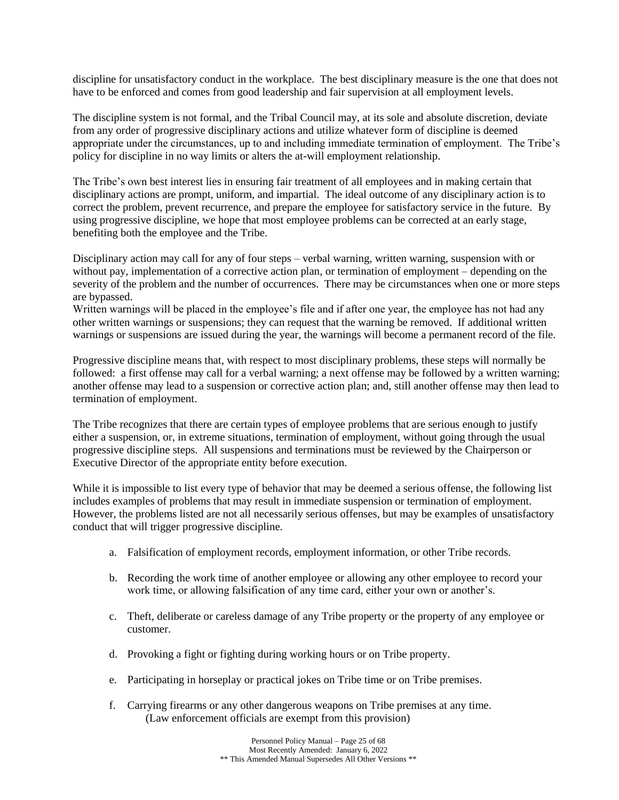discipline for unsatisfactory conduct in the workplace. The best disciplinary measure is the one that does not have to be enforced and comes from good leadership and fair supervision at all employment levels.

The discipline system is not formal, and the Tribal Council may, at its sole and absolute discretion, deviate from any order of progressive disciplinary actions and utilize whatever form of discipline is deemed appropriate under the circumstances, up to and including immediate termination of employment. The Tribe's policy for discipline in no way limits or alters the at-will employment relationship.

The Tribe's own best interest lies in ensuring fair treatment of all employees and in making certain that disciplinary actions are prompt, uniform, and impartial. The ideal outcome of any disciplinary action is to correct the problem, prevent recurrence, and prepare the employee for satisfactory service in the future. By using progressive discipline, we hope that most employee problems can be corrected at an early stage, benefiting both the employee and the Tribe.

Disciplinary action may call for any of four steps – verbal warning, written warning, suspension with or without pay, implementation of a corrective action plan, or termination of employment – depending on the severity of the problem and the number of occurrences. There may be circumstances when one or more steps are bypassed.

Written warnings will be placed in the employee's file and if after one year, the employee has not had any other written warnings or suspensions; they can request that the warning be removed. If additional written warnings or suspensions are issued during the year, the warnings will become a permanent record of the file.

Progressive discipline means that, with respect to most disciplinary problems, these steps will normally be followed: a first offense may call for a verbal warning; a next offense may be followed by a written warning; another offense may lead to a suspension or corrective action plan; and, still another offense may then lead to termination of employment.

The Tribe recognizes that there are certain types of employee problems that are serious enough to justify either a suspension, or, in extreme situations, termination of employment, without going through the usual progressive discipline steps. All suspensions and terminations must be reviewed by the Chairperson or Executive Director of the appropriate entity before execution.

While it is impossible to list every type of behavior that may be deemed a serious offense, the following list includes examples of problems that may result in immediate suspension or termination of employment. However, the problems listed are not all necessarily serious offenses, but may be examples of unsatisfactory conduct that will trigger progressive discipline.

- a. Falsification of employment records, employment information, or other Tribe records.
- b. Recording the work time of another employee or allowing any other employee to record your work time, or allowing falsification of any time card, either your own or another's.
- c. Theft, deliberate or careless damage of any Tribe property or the property of any employee or customer.
- d. Provoking a fight or fighting during working hours or on Tribe property.
- e. Participating in horseplay or practical jokes on Tribe time or on Tribe premises.
- f. Carrying firearms or any other dangerous weapons on Tribe premises at any time. (Law enforcement officials are exempt from this provision)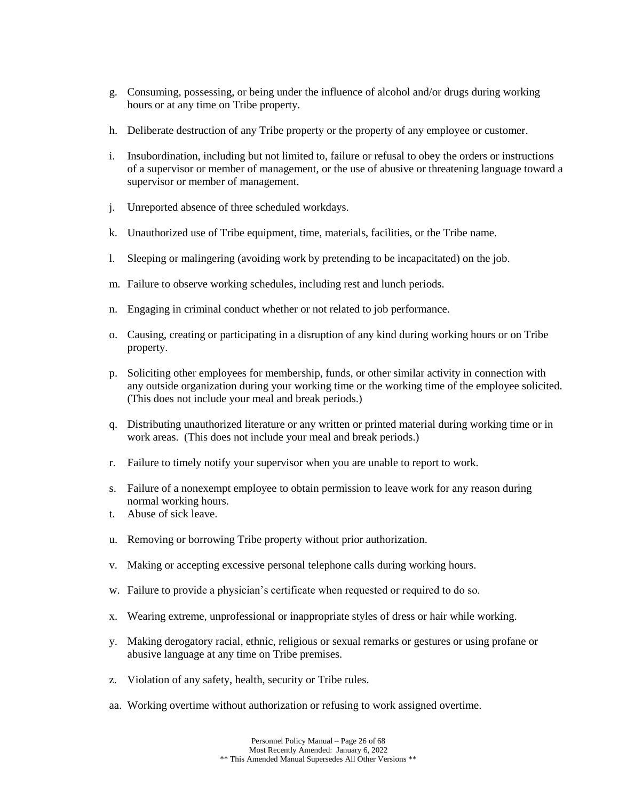- g. Consuming, possessing, or being under the influence of alcohol and/or drugs during working hours or at any time on Tribe property.
- h. Deliberate destruction of any Tribe property or the property of any employee or customer.
- i. Insubordination, including but not limited to, failure or refusal to obey the orders or instructions of a supervisor or member of management, or the use of abusive or threatening language toward a supervisor or member of management.
- j. Unreported absence of three scheduled workdays.
- k. Unauthorized use of Tribe equipment, time, materials, facilities, or the Tribe name.
- l. Sleeping or malingering (avoiding work by pretending to be incapacitated) on the job.
- m. Failure to observe working schedules, including rest and lunch periods.
- n. Engaging in criminal conduct whether or not related to job performance.
- o. Causing, creating or participating in a disruption of any kind during working hours or on Tribe property.
- p. Soliciting other employees for membership, funds, or other similar activity in connection with any outside organization during your working time or the working time of the employee solicited. (This does not include your meal and break periods.)
- q. Distributing unauthorized literature or any written or printed material during working time or in work areas. (This does not include your meal and break periods.)
- r. Failure to timely notify your supervisor when you are unable to report to work.
- s. Failure of a nonexempt employee to obtain permission to leave work for any reason during normal working hours.
- t. Abuse of sick leave.
- u. Removing or borrowing Tribe property without prior authorization.
- v. Making or accepting excessive personal telephone calls during working hours.
- w. Failure to provide a physician's certificate when requested or required to do so.
- x. Wearing extreme, unprofessional or inappropriate styles of dress or hair while working.
- y. Making derogatory racial, ethnic, religious or sexual remarks or gestures or using profane or abusive language at any time on Tribe premises.
- z. Violation of any safety, health, security or Tribe rules.
- aa. Working overtime without authorization or refusing to work assigned overtime.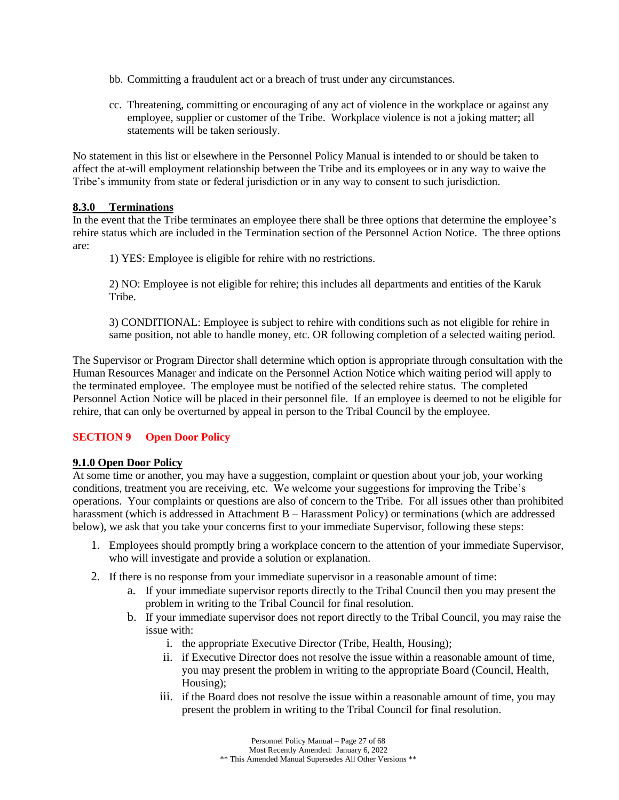- bb. Committing a fraudulent act or a breach of trust under any circumstances.
- cc. Threatening, committing or encouraging of any act of violence in the workplace or against any employee, supplier or customer of the Tribe. Workplace violence is not a joking matter; all statements will be taken seriously.

No statement in this list or elsewhere in the Personnel Policy Manual is intended to or should be taken to affect the at-will employment relationship between the Tribe and its employees or in any way to waive the Tribe's immunity from state or federal jurisdiction or in any way to consent to such jurisdiction.

### **8.3.0 Terminations**

In the event that the Tribe terminates an employee there shall be three options that determine the employee's rehire status which are included in the Termination section of the Personnel Action Notice. The three options are:

1) YES: Employee is eligible for rehire with no restrictions.

2) NO: Employee is not eligible for rehire; this includes all departments and entities of the Karuk Tribe.

3) CONDITIONAL: Employee is subject to rehire with conditions such as not eligible for rehire in same position, not able to handle money, etc. OR following completion of a selected waiting period.

The Supervisor or Program Director shall determine which option is appropriate through consultation with the Human Resources Manager and indicate on the Personnel Action Notice which waiting period will apply to the terminated employee. The employee must be notified of the selected rehire status. The completed Personnel Action Notice will be placed in their personnel file. If an employee is deemed to not be eligible for rehire, that can only be overturned by appeal in person to the Tribal Council by the employee.

## <span id="page-26-0"></span>**SECTION 9 Open Door Policy**

### **9.1.0 Open Door Policy**

At some time or another, you may have a suggestion, complaint or question about your job, your working conditions, treatment you are receiving, etc. We welcome your suggestions for improving the Tribe's operations. Your complaints or questions are also of concern to the Tribe. For all issues other than prohibited harassment (which is addressed in Attachment B – Harassment Policy) or terminations (which are addressed below), we ask that you take your concerns first to your immediate Supervisor, following these steps:

- 1. Employees should promptly bring a workplace concern to the attention of your immediate Supervisor, who will investigate and provide a solution or explanation.
- 2. If there is no response from your immediate supervisor in a reasonable amount of time:
	- a. If your immediate supervisor reports directly to the Tribal Council then you may present the problem in writing to the Tribal Council for final resolution.
	- b. If your immediate supervisor does not report directly to the Tribal Council, you may raise the issue with:
		- i. the appropriate Executive Director (Tribe, Health, Housing);
		- ii. if Executive Director does not resolve the issue within a reasonable amount of time, you may present the problem in writing to the appropriate Board (Council, Health, Housing);
		- iii. if the Board does not resolve the issue within a reasonable amount of time, you may present the problem in writing to the Tribal Council for final resolution.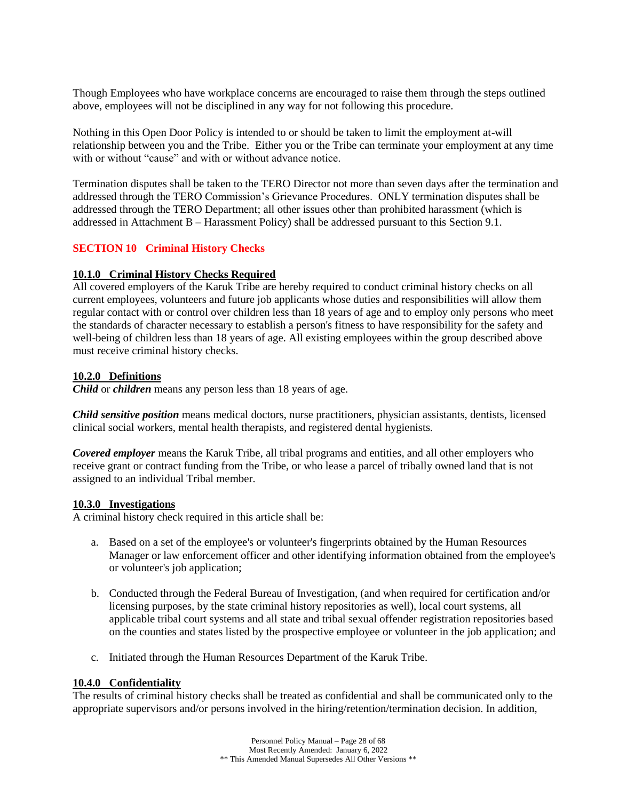Though Employees who have workplace concerns are encouraged to raise them through the steps outlined above, employees will not be disciplined in any way for not following this procedure.

Nothing in this Open Door Policy is intended to or should be taken to limit the employment at-will relationship between you and the Tribe. Either you or the Tribe can terminate your employment at any time with or without "cause" and with or without advance notice.

Termination disputes shall be taken to the TERO Director not more than seven days after the termination and addressed through the TERO Commission's Grievance Procedures. ONLY termination disputes shall be addressed through the TERO Department; all other issues other than prohibited harassment (which is addressed in Attachment B – Harassment Policy) shall be addressed pursuant to this Section 9.1.

### <span id="page-27-0"></span>**SECTION 10 Criminal History Checks**

### **10.1.0 Criminal History Checks Required**

All covered employers of the Karuk Tribe are hereby required to conduct criminal history checks on all current employees, volunteers and future job applicants whose duties and responsibilities will allow them regular contact with or control over children less than 18 years of age and to employ only persons who meet the standards of character necessary to establish a person's fitness to have responsibility for the safety and well-being of children less than 18 years of age. All existing employees within the group described above must receive criminal history checks.

### **10.2.0 Definitions**

*Child* or *children* means any person less than 18 years of age.

*Child sensitive position* means medical doctors, nurse practitioners, physician assistants, dentists, licensed clinical social workers, mental health therapists, and registered dental hygienists.

*Covered employer* means the Karuk Tribe, all tribal programs and entities, and all other employers who receive grant or contract funding from the Tribe, or who lease a parcel of tribally owned land that is not assigned to an individual Tribal member.

### **10.3.0 Investigations**

A criminal history check required in this article shall be:

- a. Based on a set of the employee's or volunteer's fingerprints obtained by the Human Resources Manager or law enforcement officer and other identifying information obtained from the employee's or volunteer's job application;
- b. Conducted through the Federal Bureau of Investigation, (and when required for certification and/or licensing purposes, by the state criminal history repositories as well), local court systems, all applicable tribal court systems and all state and tribal sexual offender registration repositories based on the counties and states listed by the prospective employee or volunteer in the job application; and
- c. Initiated through the Human Resources Department of the Karuk Tribe.

## **10.4.0 Confidentiality**

The results of criminal history checks shall be treated as confidential and shall be communicated only to the appropriate supervisors and/or persons involved in the hiring/retention/termination decision. In addition,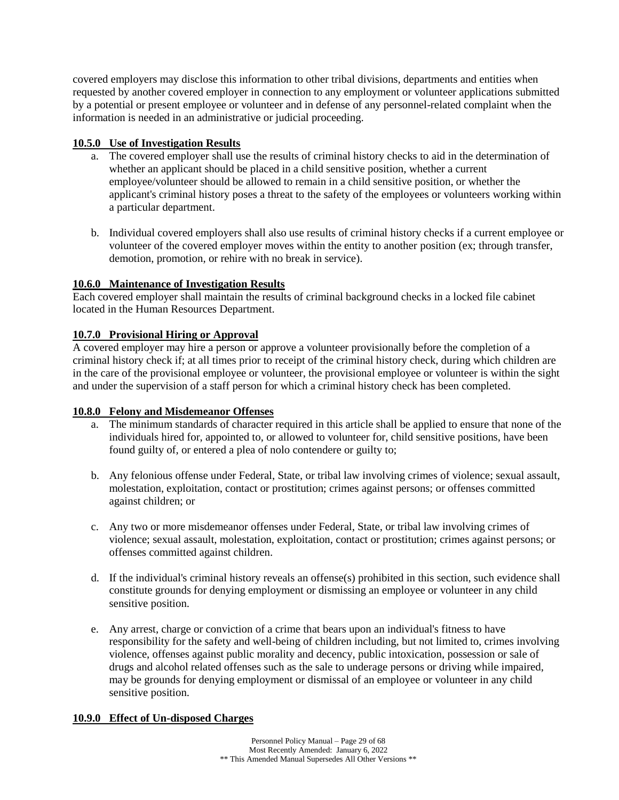covered employers may disclose this information to other tribal divisions, departments and entities when requested by another covered employer in connection to any employment or volunteer applications submitted by a potential or present employee or volunteer and in defense of any personnel-related complaint when the information is needed in an administrative or judicial proceeding.

## **10.5.0 Use of Investigation Results**

- a. The covered employer shall use the results of criminal history checks to aid in the determination of whether an applicant should be placed in a child sensitive position, whether a current employee/volunteer should be allowed to remain in a child sensitive position, or whether the applicant's criminal history poses a threat to the safety of the employees or volunteers working within a particular department.
- b. Individual covered employers shall also use results of criminal history checks if a current employee or volunteer of the covered employer moves within the entity to another position (ex; through transfer, demotion, promotion, or rehire with no break in service).

## **10.6.0 Maintenance of Investigation Results**

Each covered employer shall maintain the results of criminal background checks in a locked file cabinet located in the Human Resources Department.

## **10.7.0 Provisional Hiring or Approval**

A covered employer may hire a person or approve a volunteer provisionally before the completion of a criminal history check if; at all times prior to receipt of the criminal history check, during which children are in the care of the provisional employee or volunteer, the provisional employee or volunteer is within the sight and under the supervision of a staff person for which a criminal history check has been completed.

### **10.8.0 Felony and Misdemeanor Offenses**

- a. The minimum standards of character required in this article shall be applied to ensure that none of the individuals hired for, appointed to, or allowed to volunteer for, child sensitive positions, have been found guilty of, or entered a plea of nolo contendere or guilty to;
- b. Any felonious offense under Federal, State, or tribal law involving crimes of violence; sexual assault, molestation, exploitation, contact or prostitution; crimes against persons; or offenses committed against children; or
- c. Any two or more misdemeanor offenses under Federal, State, or tribal law involving crimes of violence; sexual assault, molestation, exploitation, contact or prostitution; crimes against persons; or offenses committed against children.
- d. If the individual's criminal history reveals an offense(s) prohibited in this section, such evidence shall constitute grounds for denying employment or dismissing an employee or volunteer in any child sensitive position.
- e. Any arrest, charge or conviction of a crime that bears upon an individual's fitness to have responsibility for the safety and well-being of children including, but not limited to, crimes involving violence, offenses against public morality and decency, public intoxication, possession or sale of drugs and alcohol related offenses such as the sale to underage persons or driving while impaired, may be grounds for denying employment or dismissal of an employee or volunteer in any child sensitive position.

### **10.9.0 Effect of Un-disposed Charges**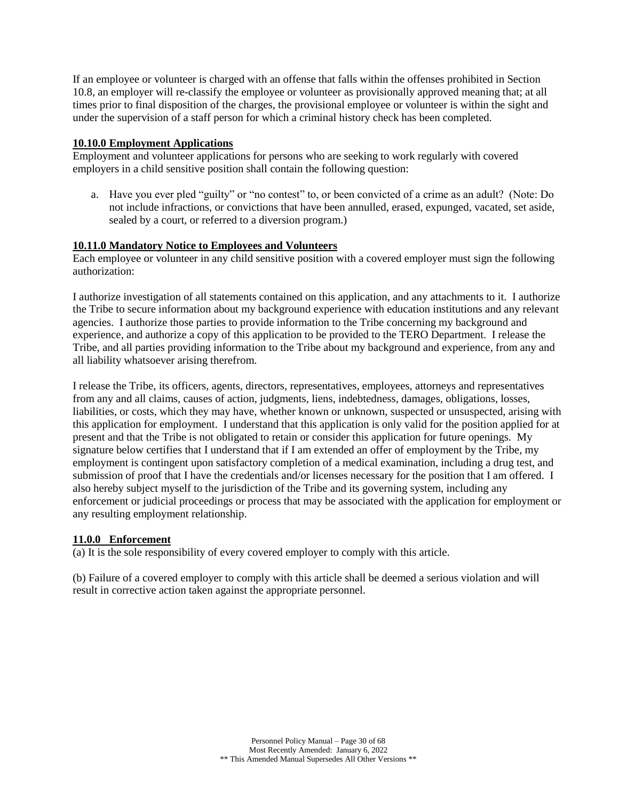If an employee or volunteer is charged with an offense that falls within the offenses prohibited in Section 10.8, an employer will re-classify the employee or volunteer as provisionally approved meaning that; at all times prior to final disposition of the charges, the provisional employee or volunteer is within the sight and under the supervision of a staff person for which a criminal history check has been completed.

## **10.10.0 Employment Applications**

Employment and volunteer applications for persons who are seeking to work regularly with covered employers in a child sensitive position shall contain the following question:

a. Have you ever pled "guilty" or "no contest" to, or been convicted of a crime as an adult? (Note: Do not include infractions, or convictions that have been annulled, erased, expunged, vacated, set aside, sealed by a court, or referred to a diversion program.)

## **10.11.0 Mandatory Notice to Employees and Volunteers**

Each employee or volunteer in any child sensitive position with a covered employer must sign the following authorization:

I authorize investigation of all statements contained on this application, and any attachments to it. I authorize the Tribe to secure information about my background experience with education institutions and any relevant agencies. I authorize those parties to provide information to the Tribe concerning my background and experience, and authorize a copy of this application to be provided to the TERO Department. I release the Tribe, and all parties providing information to the Tribe about my background and experience, from any and all liability whatsoever arising therefrom.

I release the Tribe, its officers, agents, directors, representatives, employees, attorneys and representatives from any and all claims, causes of action, judgments, liens, indebtedness, damages, obligations, losses, liabilities, or costs, which they may have, whether known or unknown, suspected or unsuspected, arising with this application for employment. I understand that this application is only valid for the position applied for at present and that the Tribe is not obligated to retain or consider this application for future openings. My signature below certifies that I understand that if I am extended an offer of employment by the Tribe, my employment is contingent upon satisfactory completion of a medical examination, including a drug test, and submission of proof that I have the credentials and/or licenses necessary for the position that I am offered. I also hereby subject myself to the jurisdiction of the Tribe and its governing system, including any enforcement or judicial proceedings or process that may be associated with the application for employment or any resulting employment relationship.

## **11.0.0 Enforcement**

(a) It is the sole responsibility of every covered employer to comply with this article.

(b) Failure of a covered employer to comply with this article shall be deemed a serious violation and will result in corrective action taken against the appropriate personnel.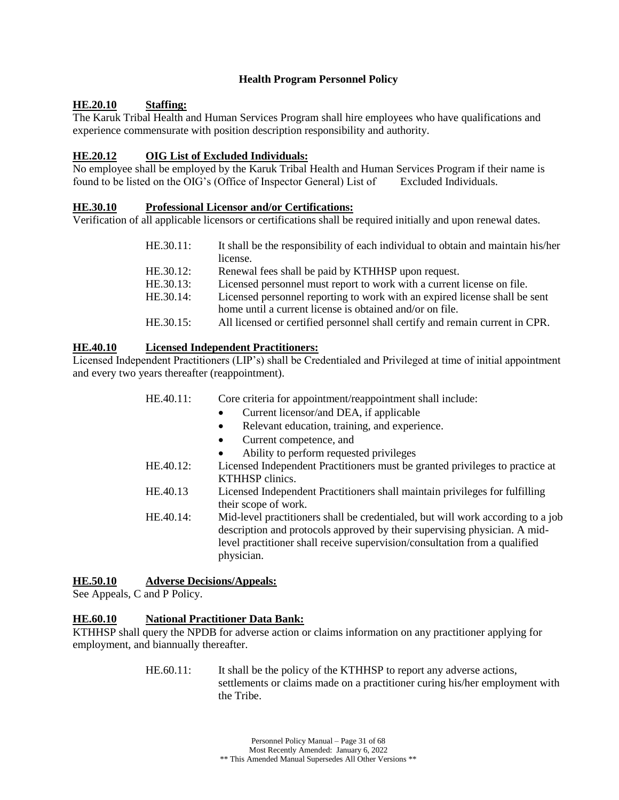### **Health Program Personnel Policy**

## <span id="page-30-0"></span>**HE.20.10 Staffing:**

The Karuk Tribal Health and Human Services Program shall hire employees who have qualifications and experience commensurate with position description responsibility and authority.

## **HE.20.12 OIG List of Excluded Individuals:**

No employee shall be employed by the Karuk Tribal Health and Human Services Program if their name is found to be listed on the OIG's (Office of Inspector General) List of Excluded Individuals.

## **HE.30.10 Professional Licensor and/or Certifications:**

Verification of all applicable licensors or certifications shall be required initially and upon renewal dates.

| HE.30.11: | It shall be the responsibility of each individual to obtain and maintain his/her |
|-----------|----------------------------------------------------------------------------------|
|           | license.                                                                         |
| HE.30.12: | Renewal fees shall be paid by KTHHSP upon request.                               |
| HE.30.13: | Licensed personnel must report to work with a current license on file.           |
| HE.30.14: | Licensed personnel reporting to work with an expired license shall be sent       |
|           | home until a current license is obtained and/or on file.                         |
| HE.30.15: | All licensed or certified personnel shall certify and remain current in CPR.     |

## **HE.40.10 Licensed Independent Practitioners:**

Licensed Independent Practitioners (LIP's) shall be Credentialed and Privileged at time of initial appointment and every two years thereafter (reappointment).

| HE.40.11: | Core criteria for appointment/reappointment shall include:                      |
|-----------|---------------------------------------------------------------------------------|
|           | Current licensor/and DEA, if applicable                                         |
|           | Relevant education, training, and experience.<br>$\bullet$                      |
|           | Current competence, and<br>$\bullet$                                            |
|           | Ability to perform requested privileges<br>$\bullet$                            |
| HE.40.12: | Licensed Independent Practitioners must be granted privileges to practice at    |
|           | KTHHSP clinics.                                                                 |
| HE.40.13  | Licensed Independent Practitioners shall maintain privileges for fulfilling     |
|           | their scope of work.                                                            |
| HE.40.14: | Mid-level practitioners shall be credentialed, but will work according to a job |
|           | description and protocols approved by their supervising physician. A mid-       |
|           | level practitioner shall receive supervision/consultation from a qualified      |
|           | physician.                                                                      |
|           |                                                                                 |

### **HE.50.10 Adverse Decisions/Appeals:**

See Appeals, C and P Policy.

## **HE.60.10 National Practitioner Data Bank:**

KTHHSP shall query the NPDB for adverse action or claims information on any practitioner applying for employment, and biannually thereafter.

> HE.60.11: It shall be the policy of the KTHHSP to report any adverse actions, settlements or claims made on a practitioner curing his/her employment with the Tribe.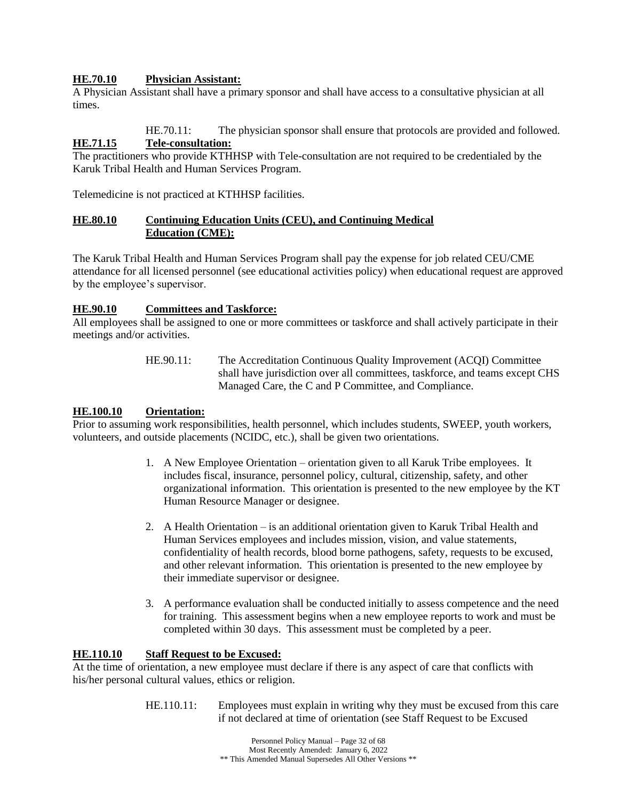## **HE.70.10 Physician Assistant:**

A Physician Assistant shall have a primary sponsor and shall have access to a consultative physician at all times.

HE.70.11: The physician sponsor shall ensure that protocols are provided and followed. **HE.71.15 Tele-consultation:**

The practitioners who provide KTHHSP with Tele-consultation are not required to be credentialed by the Karuk Tribal Health and Human Services Program.

Telemedicine is not practiced at KTHHSP facilities.

### **HE.80.10 Continuing Education Units (CEU), and Continuing Medical Education (CME):**

The Karuk Tribal Health and Human Services Program shall pay the expense for job related CEU/CME attendance for all licensed personnel (see educational activities policy) when educational request are approved by the employee's supervisor.

## **HE.90.10 Committees and Taskforce:**

All employees shall be assigned to one or more committees or taskforce and shall actively participate in their meetings and/or activities.

> HE.90.11: The Accreditation Continuous Quality Improvement (ACQI) Committee shall have jurisdiction over all committees, taskforce, and teams except CHS Managed Care, the C and P Committee, and Compliance.

### **HE.100.10 Orientation:**

Prior to assuming work responsibilities, health personnel, which includes students, SWEEP, youth workers, volunteers, and outside placements (NCIDC, etc.), shall be given two orientations.

- 1. A New Employee Orientation orientation given to all Karuk Tribe employees. It includes fiscal, insurance, personnel policy, cultural, citizenship, safety, and other organizational information. This orientation is presented to the new employee by the KT Human Resource Manager or designee.
- 2. A Health Orientation is an additional orientation given to Karuk Tribal Health and Human Services employees and includes mission, vision, and value statements, confidentiality of health records, blood borne pathogens, safety, requests to be excused, and other relevant information. This orientation is presented to the new employee by their immediate supervisor or designee.
- 3. A performance evaluation shall be conducted initially to assess competence and the need for training. This assessment begins when a new employee reports to work and must be completed within 30 days. This assessment must be completed by a peer.

### **HE.110.10 Staff Request to be Excused:**

At the time of orientation, a new employee must declare if there is any aspect of care that conflicts with his/her personal cultural values, ethics or religion.

> HE.110.11: Employees must explain in writing why they must be excused from this care if not declared at time of orientation (see Staff Request to be Excused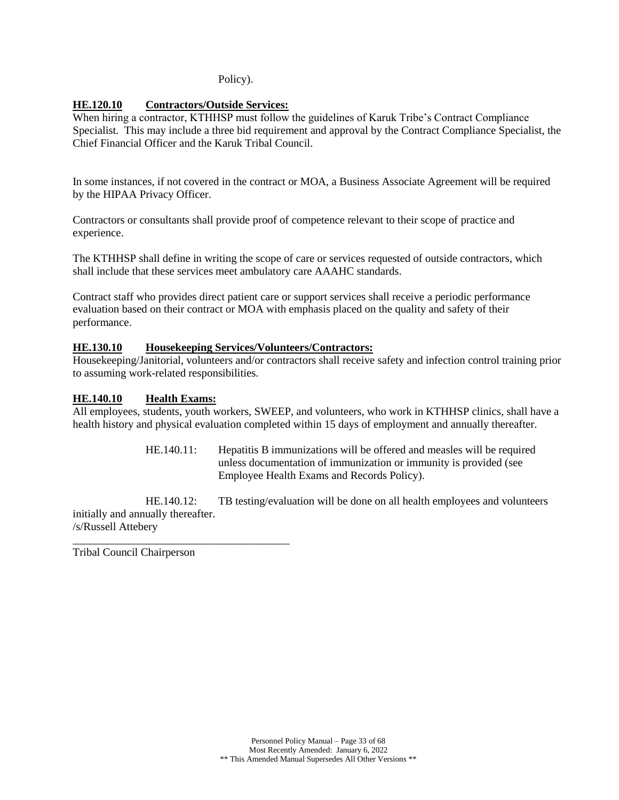### Policy).

## **HE.120.10 Contractors/Outside Services:**

When hiring a contractor, KTHHSP must follow the guidelines of Karuk Tribe's Contract Compliance Specialist. This may include a three bid requirement and approval by the Contract Compliance Specialist, the Chief Financial Officer and the Karuk Tribal Council.

In some instances, if not covered in the contract or MOA, a Business Associate Agreement will be required by the HIPAA Privacy Officer.

Contractors or consultants shall provide proof of competence relevant to their scope of practice and experience.

The KTHHSP shall define in writing the scope of care or services requested of outside contractors, which shall include that these services meet ambulatory care AAAHC standards.

Contract staff who provides direct patient care or support services shall receive a periodic performance evaluation based on their contract or MOA with emphasis placed on the quality and safety of their performance.

### **HE.130.10 Housekeeping Services/Volunteers/Contractors:**

Housekeeping/Janitorial, volunteers and/or contractors shall receive safety and infection control training prior to assuming work-related responsibilities.

### **HE.140.10 Health Exams:**

All employees, students, youth workers, SWEEP, and volunteers, who work in KTHHSP clinics, shall have a health history and physical evaluation completed within 15 days of employment and annually thereafter.

> HE.140.11: Hepatitis B immunizations will be offered and measles will be required unless documentation of immunization or immunity is provided (see Employee Health Exams and Records Policy).

HE.140.12: TB testing/evaluation will be done on all health employees and volunteers initially and annually thereafter. /s/Russell Attebery

Tribal Council Chairperson

\_\_\_\_\_\_\_\_\_\_\_\_\_\_\_\_\_\_\_\_\_\_\_\_\_\_\_\_\_\_\_\_\_\_\_\_\_\_\_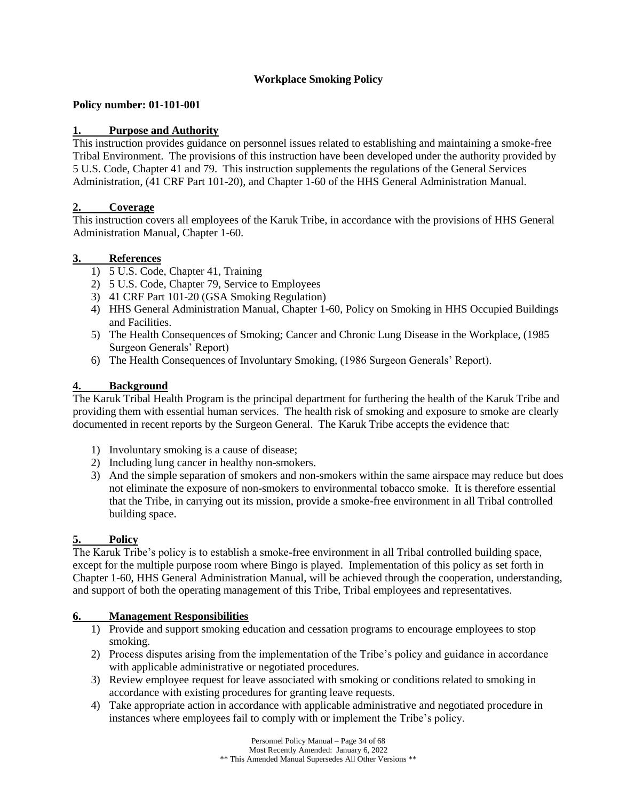## **Workplace Smoking Policy**

## <span id="page-33-0"></span>**Policy number: 01-101-001**

## **1. Purpose and Authority**

This instruction provides guidance on personnel issues related to establishing and maintaining a smoke-free Tribal Environment. The provisions of this instruction have been developed under the authority provided by 5 U.S. Code, Chapter 41 and 79. This instruction supplements the regulations of the General Services Administration, (41 CRF Part 101-20), and Chapter 1-60 of the HHS General Administration Manual.

## **2. Coverage**

This instruction covers all employees of the Karuk Tribe, in accordance with the provisions of HHS General Administration Manual, Chapter 1-60.

### **3. References**

- 1) 5 U.S. Code, Chapter 41, Training
- 2) 5 U.S. Code, Chapter 79, Service to Employees
- 3) 41 CRF Part 101-20 (GSA Smoking Regulation)
- 4) HHS General Administration Manual, Chapter 1-60, Policy on Smoking in HHS Occupied Buildings and Facilities.
- 5) The Health Consequences of Smoking; Cancer and Chronic Lung Disease in the Workplace, (1985 Surgeon Generals' Report)
- 6) The Health Consequences of Involuntary Smoking, (1986 Surgeon Generals' Report).

### **4. Background**

The Karuk Tribal Health Program is the principal department for furthering the health of the Karuk Tribe and providing them with essential human services. The health risk of smoking and exposure to smoke are clearly documented in recent reports by the Surgeon General. The Karuk Tribe accepts the evidence that:

- 1) Involuntary smoking is a cause of disease;
- 2) Including lung cancer in healthy non-smokers.
- 3) And the simple separation of smokers and non-smokers within the same airspace may reduce but does not eliminate the exposure of non-smokers to environmental tobacco smoke. It is therefore essential that the Tribe, in carrying out its mission, provide a smoke-free environment in all Tribal controlled building space.

## **5. Policy**

The Karuk Tribe's policy is to establish a smoke-free environment in all Tribal controlled building space, except for the multiple purpose room where Bingo is played. Implementation of this policy as set forth in Chapter 1-60, HHS General Administration Manual, will be achieved through the cooperation, understanding, and support of both the operating management of this Tribe, Tribal employees and representatives.

### **6. Management Responsibilities**

- 1) Provide and support smoking education and cessation programs to encourage employees to stop smoking.
- 2) Process disputes arising from the implementation of the Tribe's policy and guidance in accordance with applicable administrative or negotiated procedures.
- 3) Review employee request for leave associated with smoking or conditions related to smoking in accordance with existing procedures for granting leave requests.
- 4) Take appropriate action in accordance with applicable administrative and negotiated procedure in instances where employees fail to comply with or implement the Tribe's policy.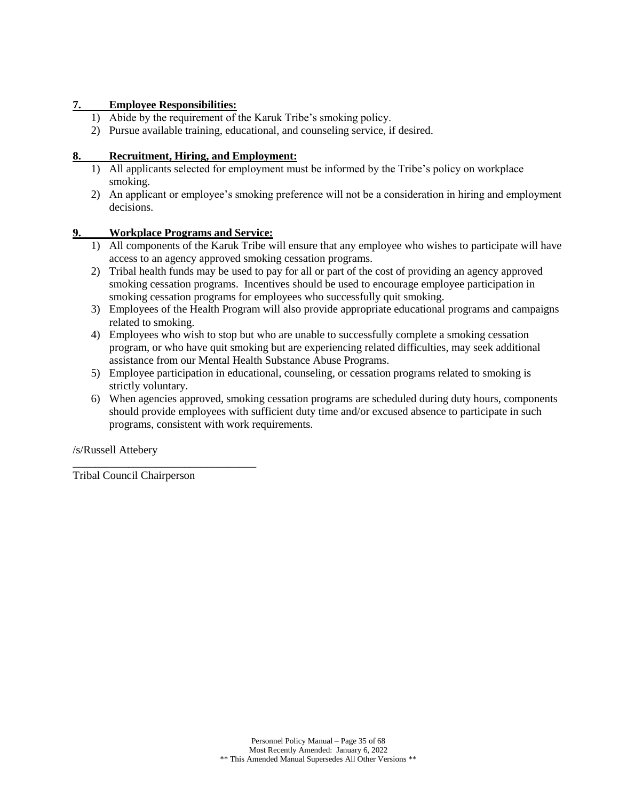## **7. Employee Responsibilities:**

- 1) Abide by the requirement of the Karuk Tribe's smoking policy.
- 2) Pursue available training, educational, and counseling service, if desired.

## **8. Recruitment, Hiring, and Employment:**

- 1) All applicants selected for employment must be informed by the Tribe's policy on workplace smoking.
- 2) An applicant or employee's smoking preference will not be a consideration in hiring and employment decisions.

## **9. Workplace Programs and Service:**

- 1) All components of the Karuk Tribe will ensure that any employee who wishes to participate will have access to an agency approved smoking cessation programs.
- 2) Tribal health funds may be used to pay for all or part of the cost of providing an agency approved smoking cessation programs. Incentives should be used to encourage employee participation in smoking cessation programs for employees who successfully quit smoking.
- 3) Employees of the Health Program will also provide appropriate educational programs and campaigns related to smoking.
- 4) Employees who wish to stop but who are unable to successfully complete a smoking cessation program, or who have quit smoking but are experiencing related difficulties, may seek additional assistance from our Mental Health Substance Abuse Programs.
- 5) Employee participation in educational, counseling, or cessation programs related to smoking is strictly voluntary.
- 6) When agencies approved, smoking cessation programs are scheduled during duty hours, components should provide employees with sufficient duty time and/or excused absence to participate in such programs, consistent with work requirements.

/s/Russell Attebery

Tribal Council Chairperson

\_\_\_\_\_\_\_\_\_\_\_\_\_\_\_\_\_\_\_\_\_\_\_\_\_\_\_\_\_\_\_\_\_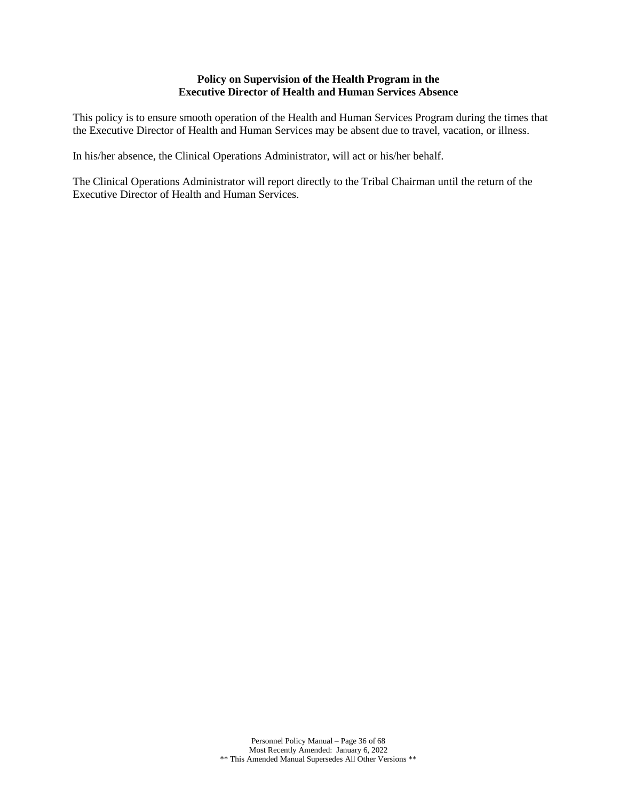#### **Policy on Supervision of the Health Program in the Executive Director of Health and Human Services Absence**

<span id="page-35-0"></span>This policy is to ensure smooth operation of the Health and Human Services Program during the times that the Executive Director of Health and Human Services may be absent due to travel, vacation, or illness.

In his/her absence, the Clinical Operations Administrator, will act or his/her behalf.

The Clinical Operations Administrator will report directly to the Tribal Chairman until the return of the Executive Director of Health and Human Services.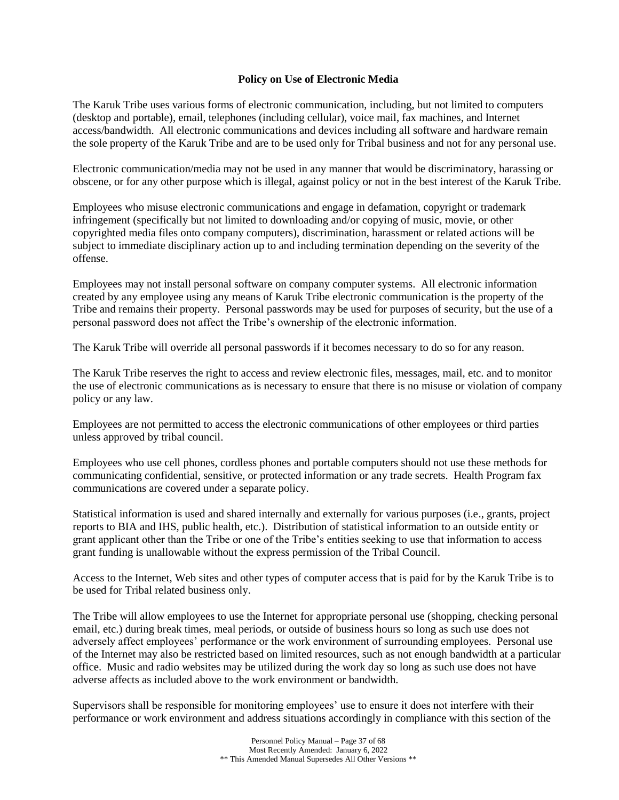### **Policy on Use of Electronic Media**

<span id="page-36-0"></span>The Karuk Tribe uses various forms of electronic communication, including, but not limited to computers (desktop and portable), email, telephones (including cellular), voice mail, fax machines, and Internet access/bandwidth. All electronic communications and devices including all software and hardware remain the sole property of the Karuk Tribe and are to be used only for Tribal business and not for any personal use.

Electronic communication/media may not be used in any manner that would be discriminatory, harassing or obscene, or for any other purpose which is illegal, against policy or not in the best interest of the Karuk Tribe.

Employees who misuse electronic communications and engage in defamation, copyright or trademark infringement (specifically but not limited to downloading and/or copying of music, movie, or other copyrighted media files onto company computers), discrimination, harassment or related actions will be subject to immediate disciplinary action up to and including termination depending on the severity of the offense.

Employees may not install personal software on company computer systems. All electronic information created by any employee using any means of Karuk Tribe electronic communication is the property of the Tribe and remains their property. Personal passwords may be used for purposes of security, but the use of a personal password does not affect the Tribe's ownership of the electronic information.

The Karuk Tribe will override all personal passwords if it becomes necessary to do so for any reason.

The Karuk Tribe reserves the right to access and review electronic files, messages, mail, etc. and to monitor the use of electronic communications as is necessary to ensure that there is no misuse or violation of company policy or any law.

Employees are not permitted to access the electronic communications of other employees or third parties unless approved by tribal council.

Employees who use cell phones, cordless phones and portable computers should not use these methods for communicating confidential, sensitive, or protected information or any trade secrets. Health Program fax communications are covered under a separate policy.

Statistical information is used and shared internally and externally for various purposes (i.e., grants, project reports to BIA and IHS, public health, etc.). Distribution of statistical information to an outside entity or grant applicant other than the Tribe or one of the Tribe's entities seeking to use that information to access grant funding is unallowable without the express permission of the Tribal Council.

Access to the Internet, Web sites and other types of computer access that is paid for by the Karuk Tribe is to be used for Tribal related business only.

The Tribe will allow employees to use the Internet for appropriate personal use (shopping, checking personal email, etc.) during break times, meal periods, or outside of business hours so long as such use does not adversely affect employees' performance or the work environment of surrounding employees. Personal use of the Internet may also be restricted based on limited resources, such as not enough bandwidth at a particular office. Music and radio websites may be utilized during the work day so long as such use does not have adverse affects as included above to the work environment or bandwidth.

Supervisors shall be responsible for monitoring employees' use to ensure it does not interfere with their performance or work environment and address situations accordingly in compliance with this section of the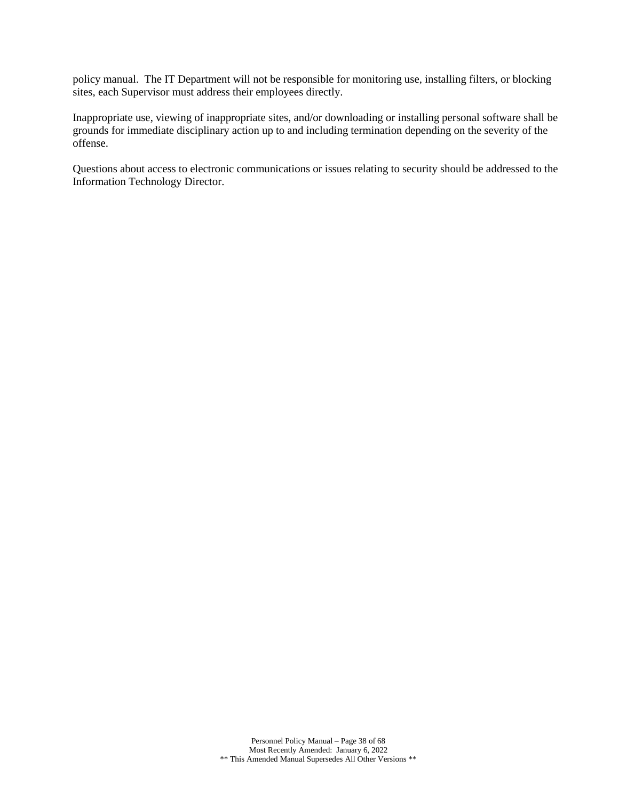policy manual. The IT Department will not be responsible for monitoring use, installing filters, or blocking sites, each Supervisor must address their employees directly.

Inappropriate use, viewing of inappropriate sites, and/or downloading or installing personal software shall be grounds for immediate disciplinary action up to and including termination depending on the severity of the offense.

Questions about access to electronic communications or issues relating to security should be addressed to the Information Technology Director.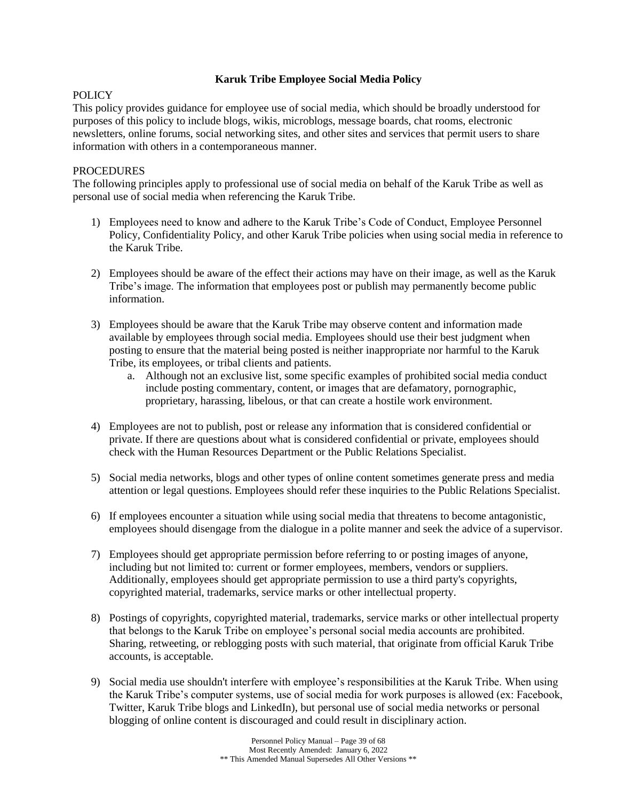## **Karuk Tribe Employee Social Media Policy**

## <span id="page-38-0"></span>**POLICY**

This policy provides guidance for employee use of social media, which should be broadly understood for purposes of this policy to include blogs, wikis, microblogs, message boards, chat rooms, electronic newsletters, online forums, social networking sites, and other sites and services that permit users to share information with others in a contemporaneous manner.

## **PROCEDURES**

The following principles apply to professional use of social media on behalf of the Karuk Tribe as well as personal use of social media when referencing the Karuk Tribe.

- 1) Employees need to know and adhere to the Karuk Tribe's Code of Conduct, Employee Personnel Policy, Confidentiality Policy, and other Karuk Tribe policies when using social media in reference to the Karuk Tribe.
- 2) Employees should be aware of the effect their actions may have on their image, as well as the Karuk Tribe's image. The information that employees post or publish may permanently become public information.
- 3) Employees should be aware that the Karuk Tribe may observe content and information made available by employees through social media. Employees should use their best judgment when posting to ensure that the material being posted is neither inappropriate nor harmful to the Karuk Tribe, its employees, or tribal clients and patients.
	- a. Although not an exclusive list, some specific examples of prohibited social media conduct include posting commentary, content, or images that are defamatory, pornographic, proprietary, harassing, libelous, or that can create a hostile work environment.
- 4) Employees are not to publish, post or release any information that is considered confidential or private. If there are questions about what is considered confidential or private, employees should check with the Human Resources Department or the Public Relations Specialist.
- 5) Social media networks, blogs and other types of online content sometimes generate press and media attention or legal questions. Employees should refer these inquiries to the Public Relations Specialist.
- 6) If employees encounter a situation while using social media that threatens to become antagonistic, employees should disengage from the dialogue in a polite manner and seek the advice of a supervisor.
- 7) Employees should get appropriate permission before referring to or posting images of anyone, including but not limited to: current or former employees, members, vendors or suppliers. Additionally, employees should get appropriate permission to use a third party's copyrights, copyrighted material, trademarks, service marks or other intellectual property.
- 8) Postings of copyrights, copyrighted material, trademarks, service marks or other intellectual property that belongs to the Karuk Tribe on employee's personal social media accounts are prohibited. Sharing, retweeting, or reblogging posts with such material, that originate from official Karuk Tribe accounts, is acceptable.
- 9) Social media use shouldn't interfere with employee's responsibilities at the Karuk Tribe. When using the Karuk Tribe's computer systems, use of social media for work purposes is allowed (ex: Facebook, Twitter, Karuk Tribe blogs and LinkedIn), but personal use of social media networks or personal blogging of online content is discouraged and could result in disciplinary action.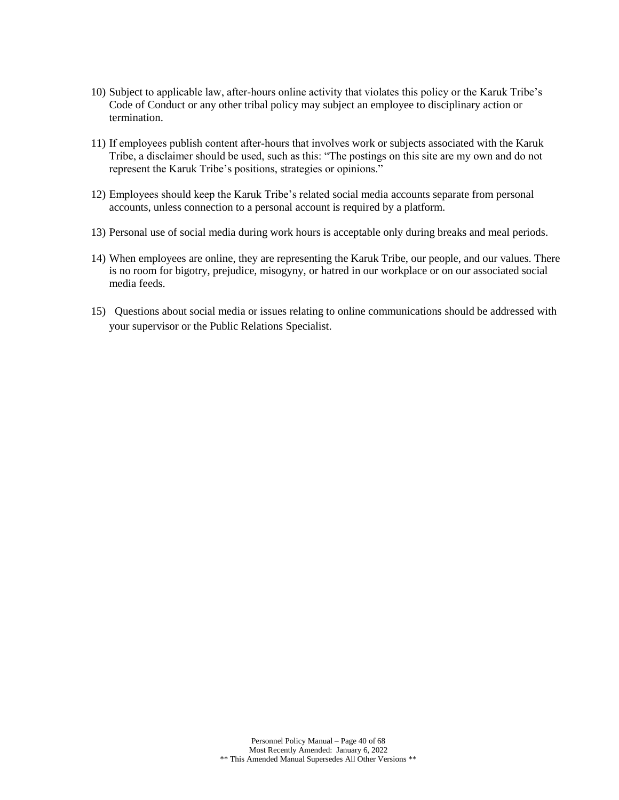- 10) Subject to applicable law, after‐hours online activity that violates this policy or the Karuk Tribe's Code of Conduct or any other tribal policy may subject an employee to disciplinary action or termination.
- 11) If employees publish content after‐hours that involves work or subjects associated with the Karuk Tribe, a disclaimer should be used, such as this: "The postings on this site are my own and do not represent the Karuk Tribe's positions, strategies or opinions."
- 12) Employees should keep the Karuk Tribe's related social media accounts separate from personal accounts, unless connection to a personal account is required by a platform.
- 13) Personal use of social media during work hours is acceptable only during breaks and meal periods.
- 14) When employees are online, they are representing the Karuk Tribe, our people, and our values. There is no room for bigotry, prejudice, misogyny, or hatred in our workplace or on our associated social media feeds.
- 15) Questions about social media or issues relating to online communications should be addressed with your supervisor or the Public Relations Specialist.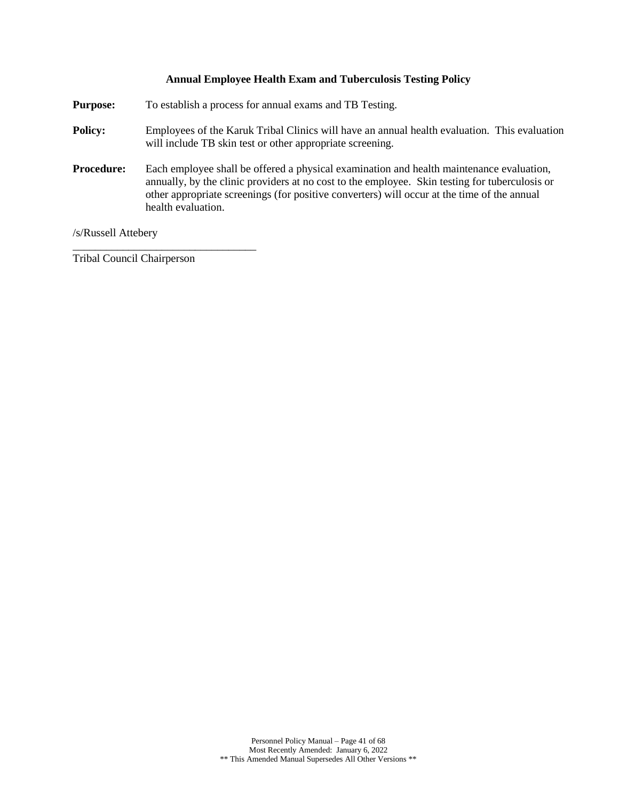### **Annual Employee Health Exam and Tuberculosis Testing Policy**

<span id="page-40-0"></span>**Purpose:** To establish a process for annual exams and TB Testing.

- **Policy:** Employees of the Karuk Tribal Clinics will have an annual health evaluation. This evaluation will include TB skin test or other appropriate screening.
- **Procedure:** Each employee shall be offered a physical examination and health maintenance evaluation, annually, by the clinic providers at no cost to the employee. Skin testing for tuberculosis or other appropriate screenings (for positive converters) will occur at the time of the annual health evaluation.

/s/Russell Attebery

Tribal Council Chairperson

\_\_\_\_\_\_\_\_\_\_\_\_\_\_\_\_\_\_\_\_\_\_\_\_\_\_\_\_\_\_\_\_\_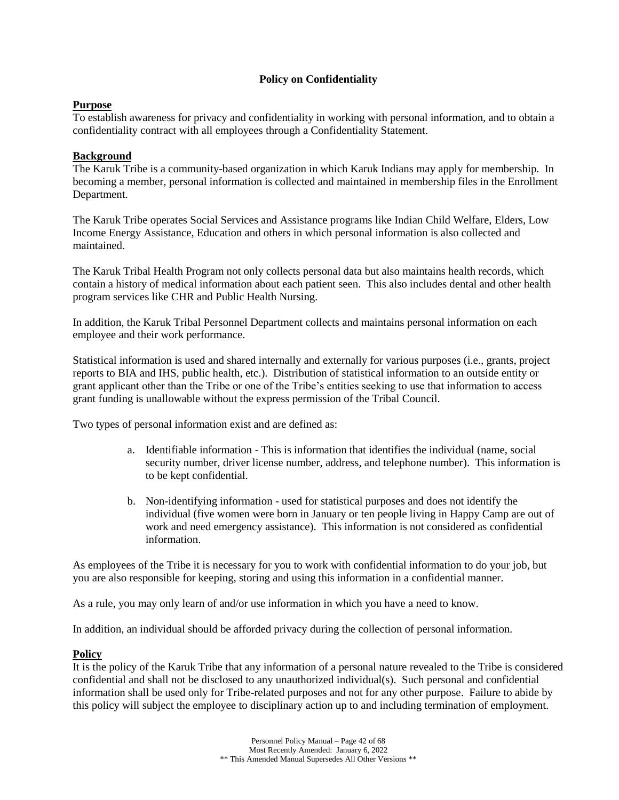## **Policy on Confidentiality**

## <span id="page-41-0"></span>**Purpose**

To establish awareness for privacy and confidentiality in working with personal information, and to obtain a confidentiality contract with all employees through a Confidentiality Statement.

## **Background**

The Karuk Tribe is a community-based organization in which Karuk Indians may apply for membership. In becoming a member, personal information is collected and maintained in membership files in the Enrollment Department.

The Karuk Tribe operates Social Services and Assistance programs like Indian Child Welfare, Elders, Low Income Energy Assistance, Education and others in which personal information is also collected and maintained.

The Karuk Tribal Health Program not only collects personal data but also maintains health records, which contain a history of medical information about each patient seen. This also includes dental and other health program services like CHR and Public Health Nursing.

In addition, the Karuk Tribal Personnel Department collects and maintains personal information on each employee and their work performance.

Statistical information is used and shared internally and externally for various purposes (i.e., grants, project reports to BIA and IHS, public health, etc.). Distribution of statistical information to an outside entity or grant applicant other than the Tribe or one of the Tribe's entities seeking to use that information to access grant funding is unallowable without the express permission of the Tribal Council.

Two types of personal information exist and are defined as:

- a. Identifiable information This is information that identifies the individual (name, social security number, driver license number, address, and telephone number). This information is to be kept confidential.
- b. Non-identifying information used for statistical purposes and does not identify the individual (five women were born in January or ten people living in Happy Camp are out of work and need emergency assistance). This information is not considered as confidential information.

As employees of the Tribe it is necessary for you to work with confidential information to do your job, but you are also responsible for keeping, storing and using this information in a confidential manner.

As a rule, you may only learn of and/or use information in which you have a need to know.

In addition, an individual should be afforded privacy during the collection of personal information.

### **Policy**

It is the policy of the Karuk Tribe that any information of a personal nature revealed to the Tribe is considered confidential and shall not be disclosed to any unauthorized individual(s). Such personal and confidential information shall be used only for Tribe-related purposes and not for any other purpose. Failure to abide by this policy will subject the employee to disciplinary action up to and including termination of employment.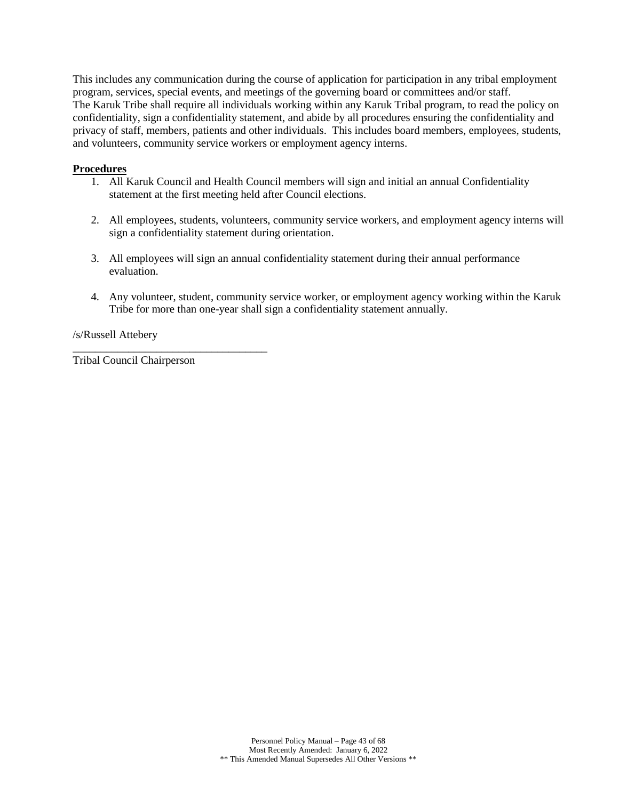This includes any communication during the course of application for participation in any tribal employment program, services, special events, and meetings of the governing board or committees and/or staff. The Karuk Tribe shall require all individuals working within any Karuk Tribal program, to read the policy on confidentiality, sign a confidentiality statement, and abide by all procedures ensuring the confidentiality and privacy of staff, members, patients and other individuals. This includes board members, employees, students, and volunteers, community service workers or employment agency interns.

#### **Procedures**

- 1. All Karuk Council and Health Council members will sign and initial an annual Confidentiality statement at the first meeting held after Council elections.
- 2. All employees, students, volunteers, community service workers, and employment agency interns will sign a confidentiality statement during orientation.
- 3. All employees will sign an annual confidentiality statement during their annual performance evaluation.
- 4. Any volunteer, student, community service worker, or employment agency working within the Karuk Tribe for more than one-year shall sign a confidentiality statement annually.

### /s/Russell Attebery

Tribal Council Chairperson

\_\_\_\_\_\_\_\_\_\_\_\_\_\_\_\_\_\_\_\_\_\_\_\_\_\_\_\_\_\_\_\_\_\_\_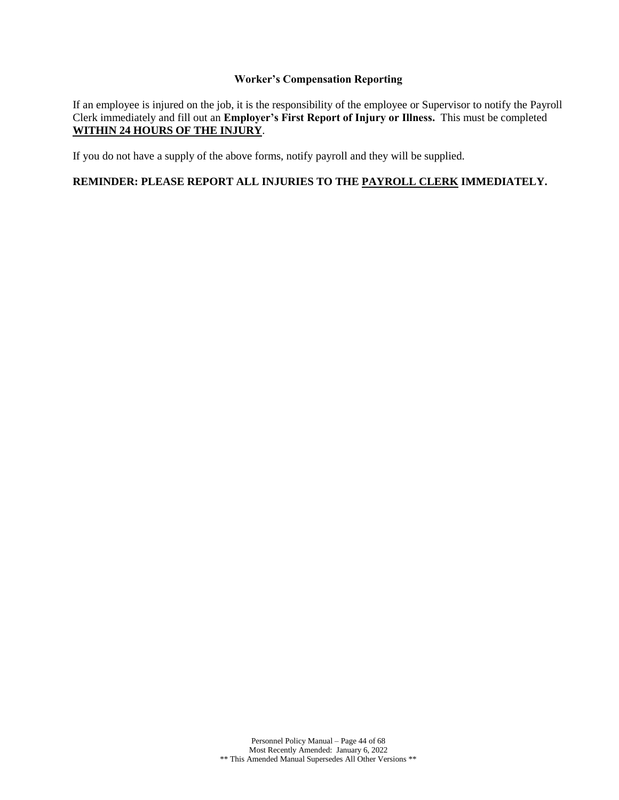### **Worker's Compensation Reporting**

<span id="page-43-0"></span>If an employee is injured on the job, it is the responsibility of the employee or Supervisor to notify the Payroll Clerk immediately and fill out an **Employer's First Report of Injury or Illness.** This must be completed **WITHIN 24 HOURS OF THE INJURY**.

If you do not have a supply of the above forms, notify payroll and they will be supplied.

## **REMINDER: PLEASE REPORT ALL INJURIES TO THE PAYROLL CLERK IMMEDIATELY.**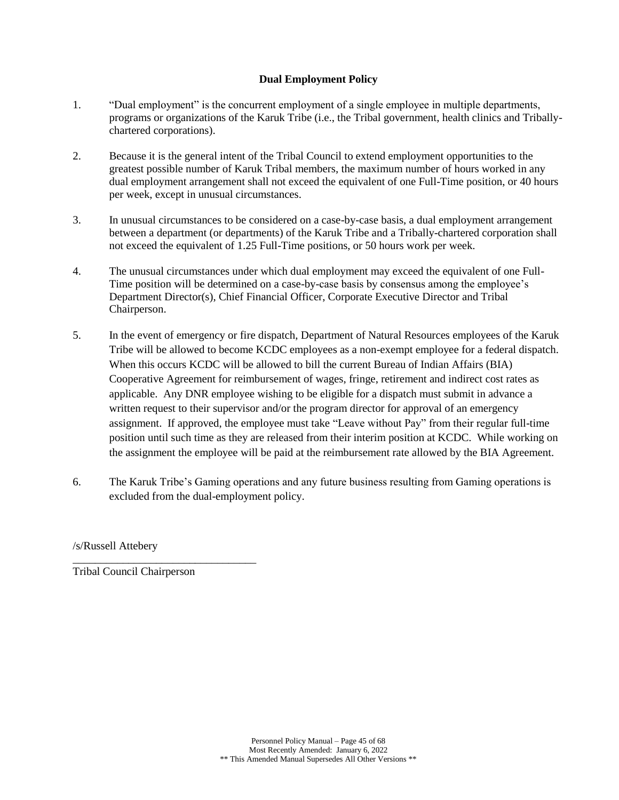## **Dual Employment Policy**

- <span id="page-44-0"></span>1. "Dual employment" is the concurrent employment of a single employee in multiple departments, programs or organizations of the Karuk Tribe (i.e., the Tribal government, health clinics and Triballychartered corporations).
- 2. Because it is the general intent of the Tribal Council to extend employment opportunities to the greatest possible number of Karuk Tribal members, the maximum number of hours worked in any dual employment arrangement shall not exceed the equivalent of one Full-Time position, or 40 hours per week, except in unusual circumstances.
- 3. In unusual circumstances to be considered on a case-by-case basis, a dual employment arrangement between a department (or departments) of the Karuk Tribe and a Tribally-chartered corporation shall not exceed the equivalent of 1.25 Full-Time positions, or 50 hours work per week.
- 4. The unusual circumstances under which dual employment may exceed the equivalent of one Full-Time position will be determined on a case-by-case basis by consensus among the employee's Department Director(s), Chief Financial Officer, Corporate Executive Director and Tribal Chairperson.
- 5. In the event of emergency or fire dispatch, Department of Natural Resources employees of the Karuk Tribe will be allowed to become KCDC employees as a non-exempt employee for a federal dispatch. When this occurs KCDC will be allowed to bill the current Bureau of Indian Affairs (BIA) Cooperative Agreement for reimbursement of wages, fringe, retirement and indirect cost rates as applicable. Any DNR employee wishing to be eligible for a dispatch must submit in advance a written request to their supervisor and/or the program director for approval of an emergency assignment. If approved, the employee must take "Leave without Pay" from their regular full-time position until such time as they are released from their interim position at KCDC. While working on the assignment the employee will be paid at the reimbursement rate allowed by the BIA Agreement.
- 6. The Karuk Tribe's Gaming operations and any future business resulting from Gaming operations is excluded from the dual-employment policy.

/s/Russell Attebery

Tribal Council Chairperson

\_\_\_\_\_\_\_\_\_\_\_\_\_\_\_\_\_\_\_\_\_\_\_\_\_\_\_\_\_\_\_\_\_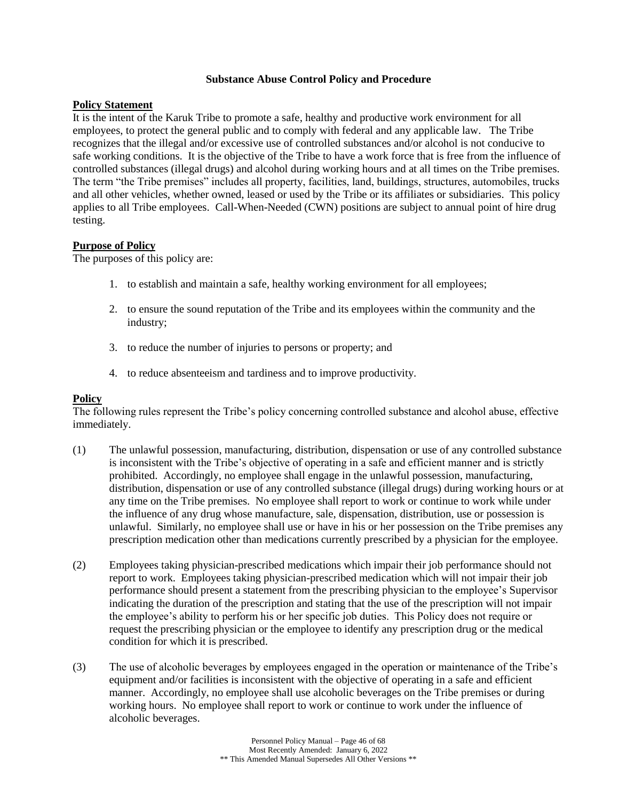#### **Substance Abuse Control Policy and Procedure**

### <span id="page-45-0"></span>**Policy Statement**

It is the intent of the Karuk Tribe to promote a safe, healthy and productive work environment for all employees, to protect the general public and to comply with federal and any applicable law. The Tribe recognizes that the illegal and/or excessive use of controlled substances and/or alcohol is not conducive to safe working conditions. It is the objective of the Tribe to have a work force that is free from the influence of controlled substances (illegal drugs) and alcohol during working hours and at all times on the Tribe premises. The term "the Tribe premises" includes all property, facilities, land, buildings, structures, automobiles, trucks and all other vehicles, whether owned, leased or used by the Tribe or its affiliates or subsidiaries. This policy applies to all Tribe employees. Call-When-Needed (CWN) positions are subject to annual point of hire drug testing.

### **Purpose of Policy**

The purposes of this policy are:

- 1. to establish and maintain a safe, healthy working environment for all employees;
- 2. to ensure the sound reputation of the Tribe and its employees within the community and the industry;
- 3. to reduce the number of injuries to persons or property; and
- 4. to reduce absenteeism and tardiness and to improve productivity.

#### **Policy**

The following rules represent the Tribe's policy concerning controlled substance and alcohol abuse, effective immediately.

- (1) The unlawful possession, manufacturing, distribution, dispensation or use of any controlled substance is inconsistent with the Tribe's objective of operating in a safe and efficient manner and is strictly prohibited. Accordingly, no employee shall engage in the unlawful possession, manufacturing, distribution, dispensation or use of any controlled substance (illegal drugs) during working hours or at any time on the Tribe premises. No employee shall report to work or continue to work while under the influence of any drug whose manufacture, sale, dispensation, distribution, use or possession is unlawful. Similarly, no employee shall use or have in his or her possession on the Tribe premises any prescription medication other than medications currently prescribed by a physician for the employee.
- (2) Employees taking physician-prescribed medications which impair their job performance should not report to work. Employees taking physician-prescribed medication which will not impair their job performance should present a statement from the prescribing physician to the employee's Supervisor indicating the duration of the prescription and stating that the use of the prescription will not impair the employee's ability to perform his or her specific job duties. This Policy does not require or request the prescribing physician or the employee to identify any prescription drug or the medical condition for which it is prescribed.
- (3) The use of alcoholic beverages by employees engaged in the operation or maintenance of the Tribe's equipment and/or facilities is inconsistent with the objective of operating in a safe and efficient manner. Accordingly, no employee shall use alcoholic beverages on the Tribe premises or during working hours. No employee shall report to work or continue to work under the influence of alcoholic beverages.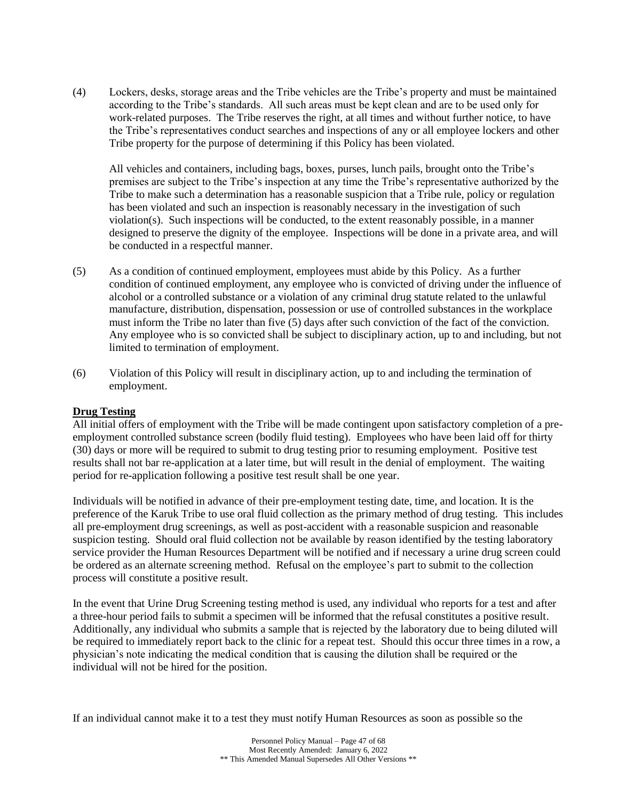(4) Lockers, desks, storage areas and the Tribe vehicles are the Tribe's property and must be maintained according to the Tribe's standards. All such areas must be kept clean and are to be used only for work-related purposes. The Tribe reserves the right, at all times and without further notice, to have the Tribe's representatives conduct searches and inspections of any or all employee lockers and other Tribe property for the purpose of determining if this Policy has been violated.

All vehicles and containers, including bags, boxes, purses, lunch pails, brought onto the Tribe's premises are subject to the Tribe's inspection at any time the Tribe's representative authorized by the Tribe to make such a determination has a reasonable suspicion that a Tribe rule, policy or regulation has been violated and such an inspection is reasonably necessary in the investigation of such violation(s). Such inspections will be conducted, to the extent reasonably possible, in a manner designed to preserve the dignity of the employee. Inspections will be done in a private area, and will be conducted in a respectful manner.

- (5) As a condition of continued employment, employees must abide by this Policy. As a further condition of continued employment, any employee who is convicted of driving under the influence of alcohol or a controlled substance or a violation of any criminal drug statute related to the unlawful manufacture, distribution, dispensation, possession or use of controlled substances in the workplace must inform the Tribe no later than five (5) days after such conviction of the fact of the conviction. Any employee who is so convicted shall be subject to disciplinary action, up to and including, but not limited to termination of employment.
- (6) Violation of this Policy will result in disciplinary action, up to and including the termination of employment.

### **Drug Testing**

All initial offers of employment with the Tribe will be made contingent upon satisfactory completion of a preemployment controlled substance screen (bodily fluid testing). Employees who have been laid off for thirty (30) days or more will be required to submit to drug testing prior to resuming employment. Positive test results shall not bar re-application at a later time, but will result in the denial of employment. The waiting period for re-application following a positive test result shall be one year.

Individuals will be notified in advance of their pre-employment testing date, time, and location. It is the preference of the Karuk Tribe to use oral fluid collection as the primary method of drug testing. This includes all pre-employment drug screenings, as well as post-accident with a reasonable suspicion and reasonable suspicion testing. Should oral fluid collection not be available by reason identified by the testing laboratory service provider the Human Resources Department will be notified and if necessary a urine drug screen could be ordered as an alternate screening method. Refusal on the employee's part to submit to the collection process will constitute a positive result.

In the event that Urine Drug Screening testing method is used, any individual who reports for a test and after a three-hour period fails to submit a specimen will be informed that the refusal constitutes a positive result. Additionally, any individual who submits a sample that is rejected by the laboratory due to being diluted will be required to immediately report back to the clinic for a repeat test. Should this occur three times in a row, a physician's note indicating the medical condition that is causing the dilution shall be required or the individual will not be hired for the position.

If an individual cannot make it to a test they must notify Human Resources as soon as possible so the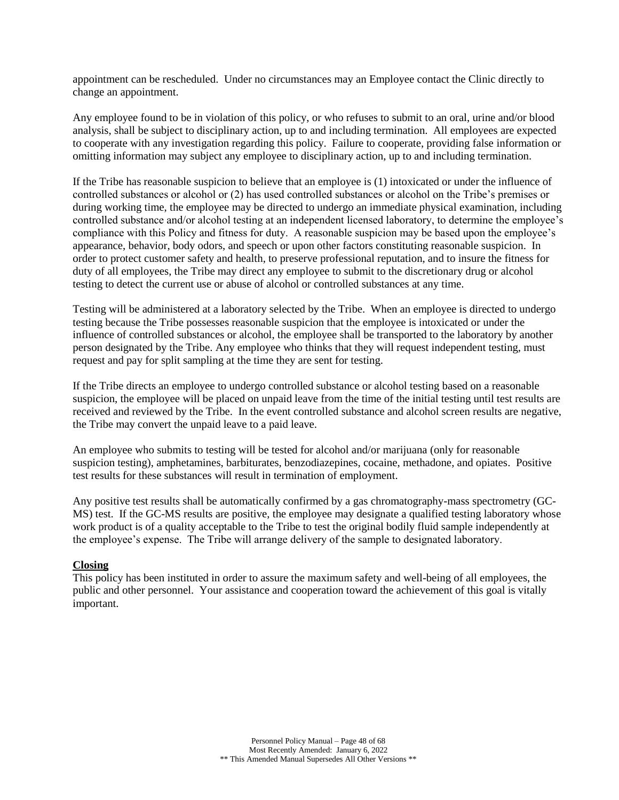appointment can be rescheduled. Under no circumstances may an Employee contact the Clinic directly to change an appointment.

Any employee found to be in violation of this policy, or who refuses to submit to an oral, urine and/or blood analysis, shall be subject to disciplinary action, up to and including termination. All employees are expected to cooperate with any investigation regarding this policy. Failure to cooperate, providing false information or omitting information may subject any employee to disciplinary action, up to and including termination.

If the Tribe has reasonable suspicion to believe that an employee is (1) intoxicated or under the influence of controlled substances or alcohol or (2) has used controlled substances or alcohol on the Tribe's premises or during working time, the employee may be directed to undergo an immediate physical examination, including controlled substance and/or alcohol testing at an independent licensed laboratory, to determine the employee's compliance with this Policy and fitness for duty. A reasonable suspicion may be based upon the employee's appearance, behavior, body odors, and speech or upon other factors constituting reasonable suspicion. In order to protect customer safety and health, to preserve professional reputation, and to insure the fitness for duty of all employees, the Tribe may direct any employee to submit to the discretionary drug or alcohol testing to detect the current use or abuse of alcohol or controlled substances at any time.

Testing will be administered at a laboratory selected by the Tribe. When an employee is directed to undergo testing because the Tribe possesses reasonable suspicion that the employee is intoxicated or under the influence of controlled substances or alcohol, the employee shall be transported to the laboratory by another person designated by the Tribe. Any employee who thinks that they will request independent testing, must request and pay for split sampling at the time they are sent for testing.

If the Tribe directs an employee to undergo controlled substance or alcohol testing based on a reasonable suspicion, the employee will be placed on unpaid leave from the time of the initial testing until test results are received and reviewed by the Tribe. In the event controlled substance and alcohol screen results are negative, the Tribe may convert the unpaid leave to a paid leave.

An employee who submits to testing will be tested for alcohol and/or marijuana (only for reasonable suspicion testing), amphetamines, barbiturates, benzodiazepines, cocaine, methadone, and opiates. Positive test results for these substances will result in termination of employment.

Any positive test results shall be automatically confirmed by a gas chromatography-mass spectrometry (GC-MS) test. If the GC-MS results are positive, the employee may designate a qualified testing laboratory whose work product is of a quality acceptable to the Tribe to test the original bodily fluid sample independently at the employee's expense. The Tribe will arrange delivery of the sample to designated laboratory.

## **Closing**

This policy has been instituted in order to assure the maximum safety and well-being of all employees, the public and other personnel. Your assistance and cooperation toward the achievement of this goal is vitally important.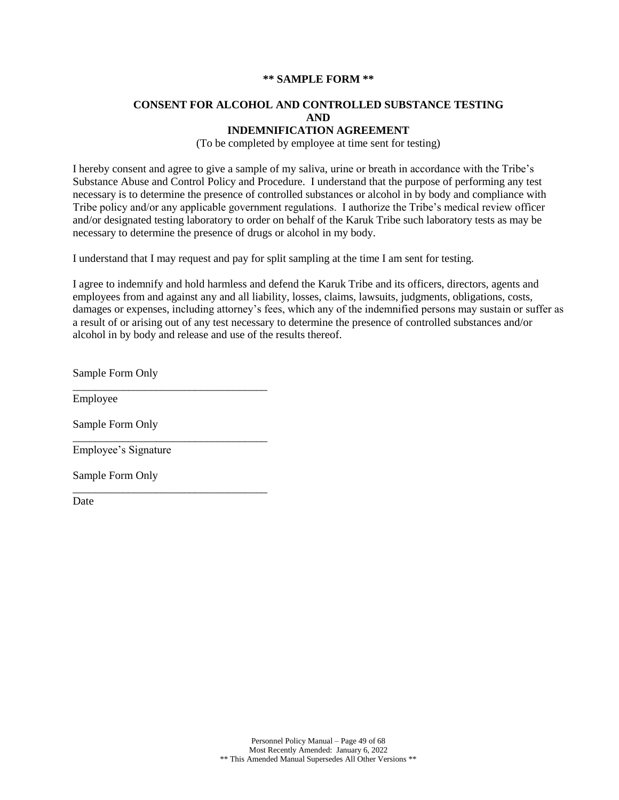#### **\*\* SAMPLE FORM \*\***

## **CONSENT FOR ALCOHOL AND CONTROLLED SUBSTANCE TESTING AND**

## **INDEMNIFICATION AGREEMENT**

(To be completed by employee at time sent for testing)

I hereby consent and agree to give a sample of my saliva, urine or breath in accordance with the Tribe's Substance Abuse and Control Policy and Procedure. I understand that the purpose of performing any test necessary is to determine the presence of controlled substances or alcohol in by body and compliance with Tribe policy and/or any applicable government regulations. I authorize the Tribe's medical review officer and/or designated testing laboratory to order on behalf of the Karuk Tribe such laboratory tests as may be necessary to determine the presence of drugs or alcohol in my body.

I understand that I may request and pay for split sampling at the time I am sent for testing.

I agree to indemnify and hold harmless and defend the Karuk Tribe and its officers, directors, agents and employees from and against any and all liability, losses, claims, lawsuits, judgments, obligations, costs, damages or expenses, including attorney's fees, which any of the indemnified persons may sustain or suffer as a result of or arising out of any test necessary to determine the presence of controlled substances and/or alcohol in by body and release and use of the results thereof.

Sample Form Only

\_\_\_\_\_\_\_\_\_\_\_\_\_\_\_\_\_\_\_\_\_\_\_\_\_\_\_\_\_\_\_\_\_\_\_

\_\_\_\_\_\_\_\_\_\_\_\_\_\_\_\_\_\_\_\_\_\_\_\_\_\_\_\_\_\_\_\_\_\_\_

\_\_\_\_\_\_\_\_\_\_\_\_\_\_\_\_\_\_\_\_\_\_\_\_\_\_\_\_\_\_\_\_\_\_\_

Employee

Sample Form Only

Employee's Signature

Sample Form Only

Date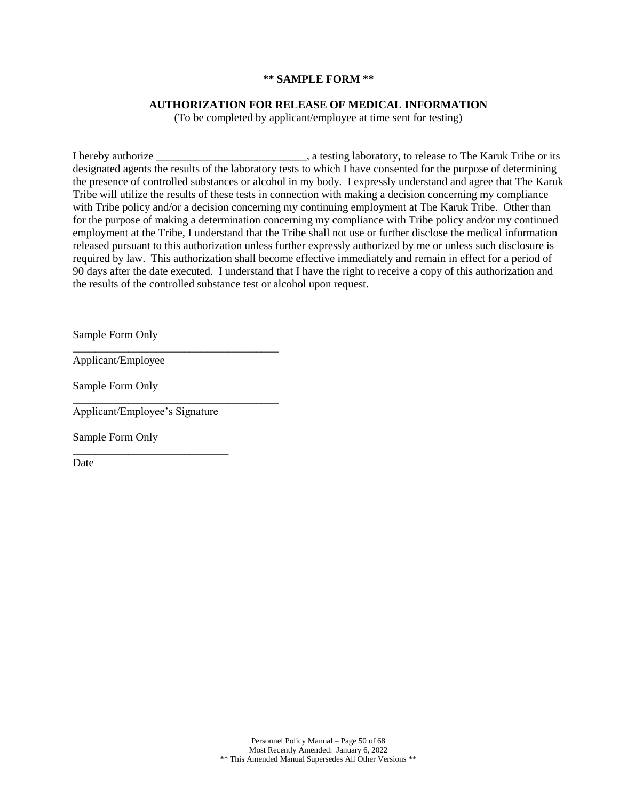#### **\*\* SAMPLE FORM \*\***

#### **AUTHORIZATION FOR RELEASE OF MEDICAL INFORMATION**

(To be completed by applicant/employee at time sent for testing)

I hereby authorize \_\_\_\_\_\_\_\_\_\_\_\_\_\_\_\_\_\_\_\_\_\_\_\_\_\_\_, a testing laboratory, to release to The Karuk Tribe or its designated agents the results of the laboratory tests to which I have consented for the purpose of determining the presence of controlled substances or alcohol in my body. I expressly understand and agree that The Karuk Tribe will utilize the results of these tests in connection with making a decision concerning my compliance with Tribe policy and/or a decision concerning my continuing employment at The Karuk Tribe. Other than for the purpose of making a determination concerning my compliance with Tribe policy and/or my continued employment at the Tribe, I understand that the Tribe shall not use or further disclose the medical information released pursuant to this authorization unless further expressly authorized by me or unless such disclosure is required by law. This authorization shall become effective immediately and remain in effect for a period of 90 days after the date executed. I understand that I have the right to receive a copy of this authorization and the results of the controlled substance test or alcohol upon request.

Sample Form Only

Applicant/Employee

Sample Form Only

Applicant/Employee's Signature

\_\_\_\_\_\_\_\_\_\_\_\_\_\_\_\_\_\_\_\_\_\_\_\_\_\_\_\_

\_\_\_\_\_\_\_\_\_\_\_\_\_\_\_\_\_\_\_\_\_\_\_\_\_\_\_\_\_\_\_\_\_\_\_\_\_

\_\_\_\_\_\_\_\_\_\_\_\_\_\_\_\_\_\_\_\_\_\_\_\_\_\_\_\_\_\_\_\_\_\_\_\_\_

Sample Form Only

Date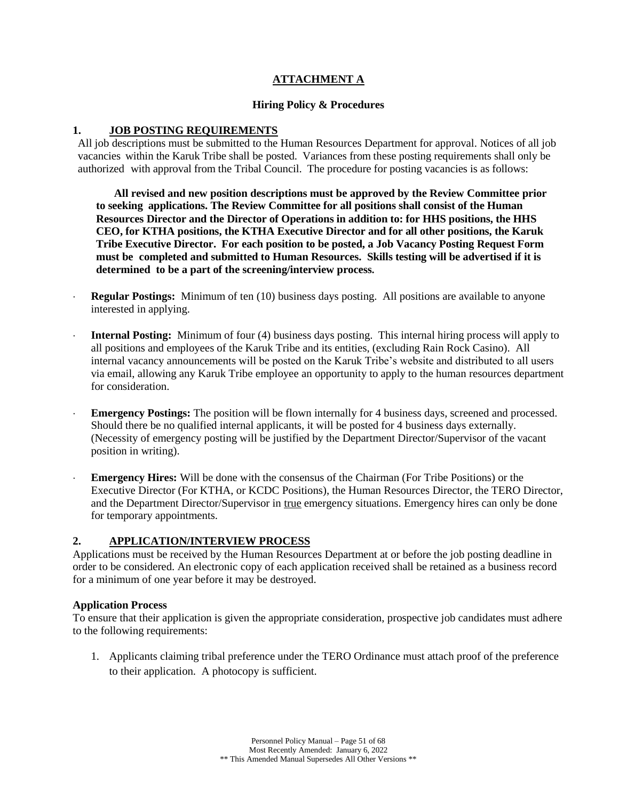## **ATTACHMENT A**

## **Hiring Policy & Procedures**

## <span id="page-50-0"></span>**1. JOB POSTING REQUIREMENTS**

All job descriptions must be submitted to the Human Resources Department for approval. Notices of all job vacancies within the Karuk Tribe shall be posted. Variances from these posting requirements shall only be authorized with approval from the Tribal Council. The procedure for posting vacancies is as follows:

**All revised and new position descriptions must be approved by the Review Committee prior to seeking applications. The Review Committee for all positions shall consist of the Human Resources Director and the Director of Operations in addition to: for HHS positions, the HHS CEO, for KTHA positions, the KTHA Executive Director and for all other positions, the Karuk Tribe Executive Director. For each position to be posted, a Job Vacancy Posting Request Form must be completed and submitted to Human Resources. Skills testing will be advertised if it is determined to be a part of the screening/interview process.**

- **Regular Postings:** Minimum of ten (10) business days posting. All positions are available to anyone interested in applying.
- **Internal Posting:** Minimum of four (4) business days posting.This internal hiring process will apply to all positions and employees of the Karuk Tribe and its entities, (excluding Rain Rock Casino). All internal vacancy announcements will be posted on the Karuk Tribe's website and distributed to all users via email, allowing any Karuk Tribe employee an opportunity to apply to the human resources department for consideration.
- **Emergency Postings:** The position will be flown internally for 4 business days, screened and processed. Should there be no qualified internal applicants, it will be posted for 4 business days externally. (Necessity of emergency posting will be justified by the Department Director/Supervisor of the vacant position in writing).
- **Emergency Hires:** Will be done with the consensus of the Chairman (For Tribe Positions) or the Executive Director (For KTHA, or KCDC Positions), the Human Resources Director, the TERO Director, and the Department Director/Supervisor in true emergency situations. Emergency hires can only be done for temporary appointments.

### **2. APPLICATION/INTERVIEW PROCESS**

Applications must be received by the Human Resources Department at or before the job posting deadline in order to be considered. An electronic copy of each application received shall be retained as a business record for a minimum of one year before it may be destroyed.

### **Application Process**

To ensure that their application is given the appropriate consideration, prospective job candidates must adhere to the following requirements:

1. Applicants claiming tribal preference under the TERO Ordinance must attach proof of the preference to their application. A photocopy is sufficient.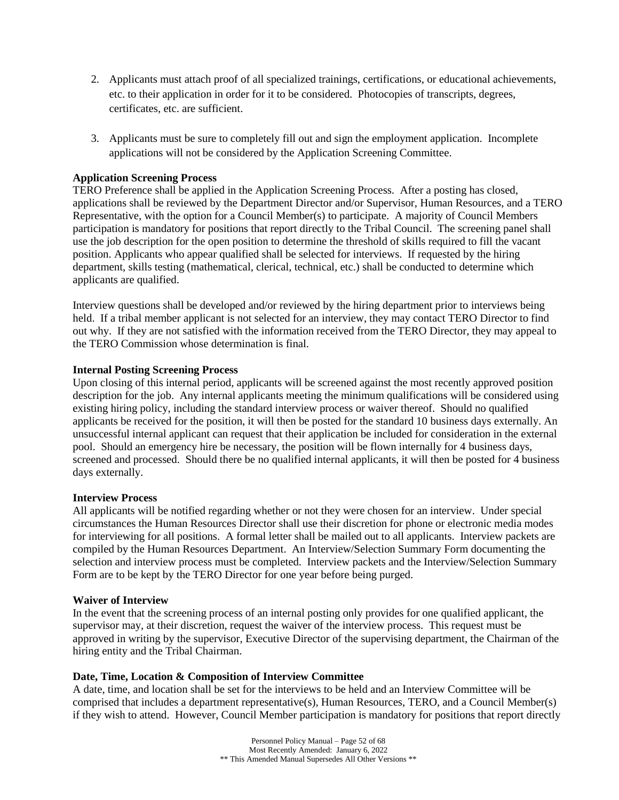- 2. Applicants must attach proof of all specialized trainings, certifications, or educational achievements, etc. to their application in order for it to be considered. Photocopies of transcripts, degrees, certificates, etc. are sufficient.
- 3. Applicants must be sure to completely fill out and sign the employment application. Incomplete applications will not be considered by the Application Screening Committee.

## **Application Screening Process**

TERO Preference shall be applied in the Application Screening Process. After a posting has closed, applications shall be reviewed by the Department Director and/or Supervisor, Human Resources, and a TERO Representative, with the option for a Council Member(s) to participate. A majority of Council Members participation is mandatory for positions that report directly to the Tribal Council. The screening panel shall use the job description for the open position to determine the threshold of skills required to fill the vacant position. Applicants who appear qualified shall be selected for interviews. If requested by the hiring department, skills testing (mathematical, clerical, technical, etc.) shall be conducted to determine which applicants are qualified.

Interview questions shall be developed and/or reviewed by the hiring department prior to interviews being held. If a tribal member applicant is not selected for an interview, they may contact TERO Director to find out why. If they are not satisfied with the information received from the TERO Director, they may appeal to the TERO Commission whose determination is final.

### **Internal Posting Screening Process**

Upon closing of this internal period, applicants will be screened against the most recently approved position description for the job. Any internal applicants meeting the minimum qualifications will be considered using existing hiring policy, including the standard interview process or waiver thereof. Should no qualified applicants be received for the position, it will then be posted for the standard 10 business days externally. An unsuccessful internal applicant can request that their application be included for consideration in the external pool. Should an emergency hire be necessary, the position will be flown internally for 4 business days, screened and processed. Should there be no qualified internal applicants, it will then be posted for 4 business days externally.

#### **Interview Process**

All applicants will be notified regarding whether or not they were chosen for an interview. Under special circumstances the Human Resources Director shall use their discretion for phone or electronic media modes for interviewing for all positions. A formal letter shall be mailed out to all applicants. Interview packets are compiled by the Human Resources Department. An Interview/Selection Summary Form documenting the selection and interview process must be completed. Interview packets and the Interview/Selection Summary Form are to be kept by the TERO Director for one year before being purged.

### **Waiver of Interview**

In the event that the screening process of an internal posting only provides for one qualified applicant, the supervisor may, at their discretion, request the waiver of the interview process. This request must be approved in writing by the supervisor, Executive Director of the supervising department, the Chairman of the hiring entity and the Tribal Chairman.

#### **Date, Time, Location & Composition of Interview Committee**

A date, time, and location shall be set for the interviews to be held and an Interview Committee will be comprised that includes a department representative(s), Human Resources, TERO, and a Council Member(s) if they wish to attend. However, Council Member participation is mandatory for positions that report directly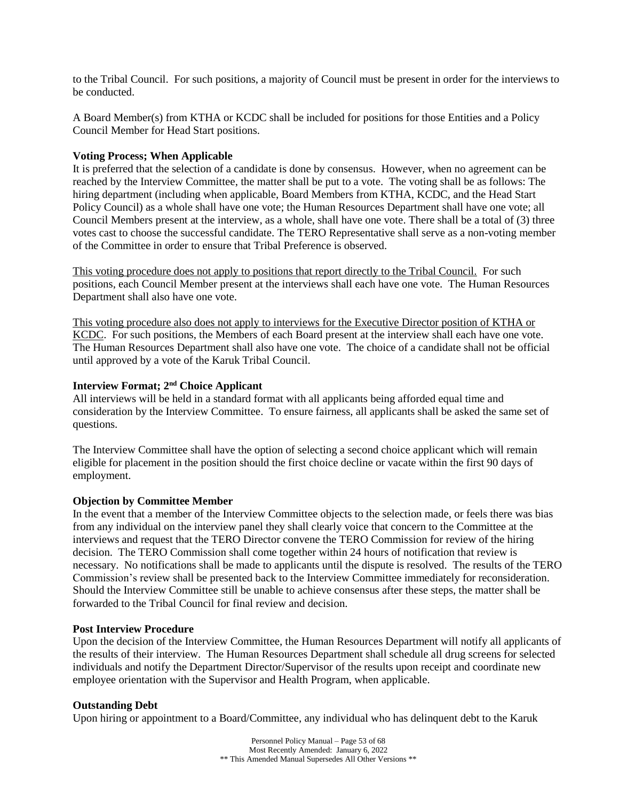to the Tribal Council. For such positions, a majority of Council must be present in order for the interviews to be conducted.

A Board Member(s) from KTHA or KCDC shall be included for positions for those Entities and a Policy Council Member for Head Start positions.

#### **Voting Process; When Applicable**

It is preferred that the selection of a candidate is done by consensus. However, when no agreement can be reached by the Interview Committee, the matter shall be put to a vote. The voting shall be as follows: The hiring department (including when applicable, Board Members from KTHA, KCDC, and the Head Start Policy Council) as a whole shall have one vote; the Human Resources Department shall have one vote; all Council Members present at the interview, as a whole, shall have one vote. There shall be a total of (3) three votes cast to choose the successful candidate. The TERO Representative shall serve as a non-voting member of the Committee in order to ensure that Tribal Preference is observed.

This voting procedure does not apply to positions that report directly to the Tribal Council. For such positions, each Council Member present at the interviews shall each have one vote. The Human Resources Department shall also have one vote.

This voting procedure also does not apply to interviews for the Executive Director position of KTHA or KCDC. For such positions, the Members of each Board present at the interview shall each have one vote. The Human Resources Department shall also have one vote. The choice of a candidate shall not be official until approved by a vote of the Karuk Tribal Council.

## **Interview Format; 2nd Choice Applicant**

All interviews will be held in a standard format with all applicants being afforded equal time and consideration by the Interview Committee. To ensure fairness, all applicants shall be asked the same set of questions.

The Interview Committee shall have the option of selecting a second choice applicant which will remain eligible for placement in the position should the first choice decline or vacate within the first 90 days of employment.

#### **Objection by Committee Member**

In the event that a member of the Interview Committee objects to the selection made, or feels there was bias from any individual on the interview panel they shall clearly voice that concern to the Committee at the interviews and request that the TERO Director convene the TERO Commission for review of the hiring decision. The TERO Commission shall come together within 24 hours of notification that review is necessary. No notifications shall be made to applicants until the dispute is resolved. The results of the TERO Commission's review shall be presented back to the Interview Committee immediately for reconsideration. Should the Interview Committee still be unable to achieve consensus after these steps, the matter shall be forwarded to the Tribal Council for final review and decision.

#### **Post Interview Procedure**

Upon the decision of the Interview Committee, the Human Resources Department will notify all applicants of the results of their interview. The Human Resources Department shall schedule all drug screens for selected individuals and notify the Department Director/Supervisor of the results upon receipt and coordinate new employee orientation with the Supervisor and Health Program, when applicable.

#### **Outstanding Debt**

Upon hiring or appointment to a Board/Committee, any individual who has delinquent debt to the Karuk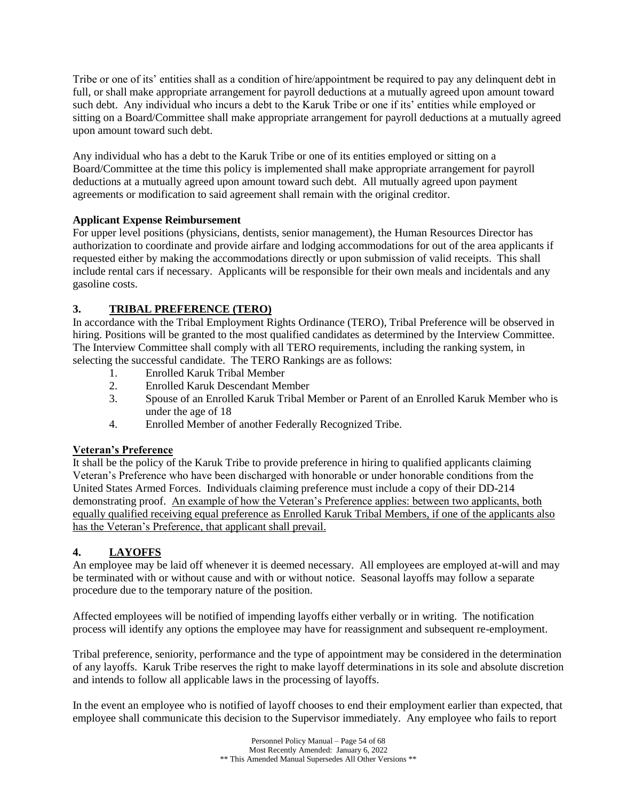Tribe or one of its' entities shall as a condition of hire/appointment be required to pay any delinquent debt in full, or shall make appropriate arrangement for payroll deductions at a mutually agreed upon amount toward such debt. Any individual who incurs a debt to the Karuk Tribe or one if its' entities while employed or sitting on a Board/Committee shall make appropriate arrangement for payroll deductions at a mutually agreed upon amount toward such debt.

Any individual who has a debt to the Karuk Tribe or one of its entities employed or sitting on a Board/Committee at the time this policy is implemented shall make appropriate arrangement for payroll deductions at a mutually agreed upon amount toward such debt. All mutually agreed upon payment agreements or modification to said agreement shall remain with the original creditor.

## **Applicant Expense Reimbursement**

For upper level positions (physicians, dentists, senior management), the Human Resources Director has authorization to coordinate and provide airfare and lodging accommodations for out of the area applicants if requested either by making the accommodations directly or upon submission of valid receipts. This shall include rental cars if necessary. Applicants will be responsible for their own meals and incidentals and any gasoline costs.

## **3. TRIBAL PREFERENCE (TERO)**

In accordance with the Tribal Employment Rights Ordinance (TERO), Tribal Preference will be observed in hiring. Positions will be granted to the most qualified candidates as determined by the Interview Committee. The Interview Committee shall comply with all TERO requirements, including the ranking system, in selecting the successful candidate. The TERO Rankings are as follows:

- 1. Enrolled Karuk Tribal Member
- 2. Enrolled Karuk Descendant Member
- 3. Spouse of an Enrolled Karuk Tribal Member or Parent of an Enrolled Karuk Member who is under the age of 18
- 4. Enrolled Member of another Federally Recognized Tribe.

## **Veteran's Preference**

It shall be the policy of the Karuk Tribe to provide preference in hiring to qualified applicants claiming Veteran's Preference who have been discharged with honorable or under honorable conditions from the United States Armed Forces. Individuals claiming preference must include a copy of their DD-214 demonstrating proof. An example of how the Veteran's Preference applies: between two applicants, both equally qualified receiving equal preference as Enrolled Karuk Tribal Members, if one of the applicants also has the Veteran's Preference, that applicant shall prevail.

## **4. LAYOFFS**

An employee may be laid off whenever it is deemed necessary. All employees are employed at-will and may be terminated with or without cause and with or without notice. Seasonal layoffs may follow a separate procedure due to the temporary nature of the position.

Affected employees will be notified of impending layoffs either verbally or in writing. The notification process will identify any options the employee may have for reassignment and subsequent re-employment.

Tribal preference, seniority, performance and the type of appointment may be considered in the determination of any layoffs. Karuk Tribe reserves the right to make layoff determinations in its sole and absolute discretion and intends to follow all applicable laws in the processing of layoffs.

In the event an employee who is notified of layoff chooses to end their employment earlier than expected, that employee shall communicate this decision to the Supervisor immediately. Any employee who fails to report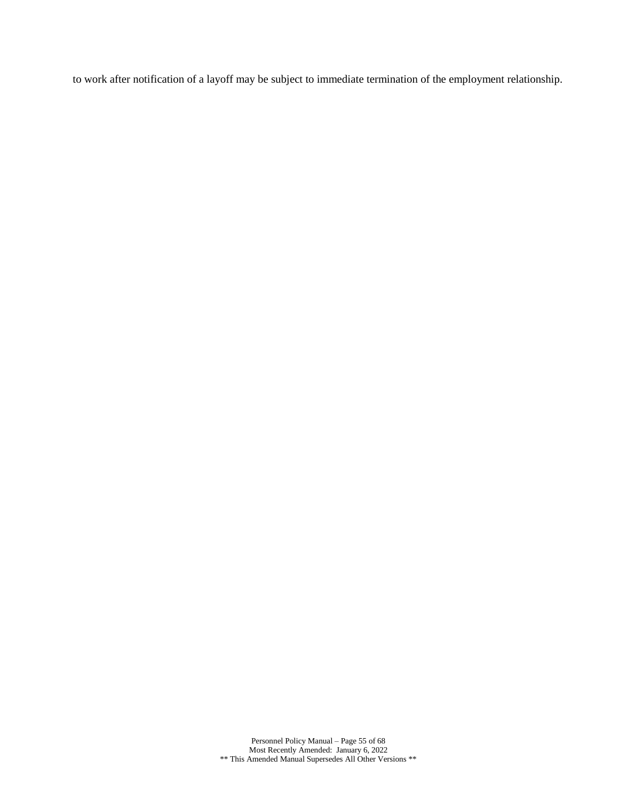to work after notification of a layoff may be subject to immediate termination of the employment relationship.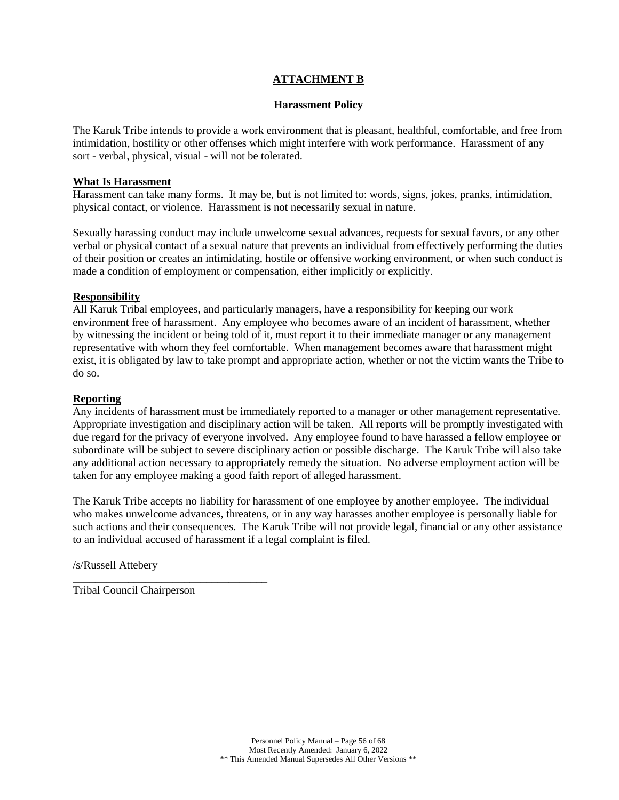## **ATTACHMENT B**

#### **Harassment Policy**

<span id="page-55-0"></span>The Karuk Tribe intends to provide a work environment that is pleasant, healthful, comfortable, and free from intimidation, hostility or other offenses which might interfere with work performance. Harassment of any sort - verbal, physical, visual - will not be tolerated.

#### **What Is Harassment**

Harassment can take many forms. It may be, but is not limited to: words, signs, jokes, pranks, intimidation, physical contact, or violence. Harassment is not necessarily sexual in nature.

Sexually harassing conduct may include unwelcome sexual advances, requests for sexual favors, or any other verbal or physical contact of a sexual nature that prevents an individual from effectively performing the duties of their position or creates an intimidating, hostile or offensive working environment, or when such conduct is made a condition of employment or compensation, either implicitly or explicitly.

### **Responsibility**

All Karuk Tribal employees, and particularly managers, have a responsibility for keeping our work environment free of harassment. Any employee who becomes aware of an incident of harassment, whether by witnessing the incident or being told of it, must report it to their immediate manager or any management representative with whom they feel comfortable. When management becomes aware that harassment might exist, it is obligated by law to take prompt and appropriate action, whether or not the victim wants the Tribe to do so.

### **Reporting**

Any incidents of harassment must be immediately reported to a manager or other management representative. Appropriate investigation and disciplinary action will be taken. All reports will be promptly investigated with due regard for the privacy of everyone involved. Any employee found to have harassed a fellow employee or subordinate will be subject to severe disciplinary action or possible discharge. The Karuk Tribe will also take any additional action necessary to appropriately remedy the situation. No adverse employment action will be taken for any employee making a good faith report of alleged harassment.

The Karuk Tribe accepts no liability for harassment of one employee by another employee. The individual who makes unwelcome advances, threatens, or in any way harasses another employee is personally liable for such actions and their consequences. The Karuk Tribe will not provide legal, financial or any other assistance to an individual accused of harassment if a legal complaint is filed.

/s/Russell Attebery

Tribal Council Chairperson

\_\_\_\_\_\_\_\_\_\_\_\_\_\_\_\_\_\_\_\_\_\_\_\_\_\_\_\_\_\_\_\_\_\_\_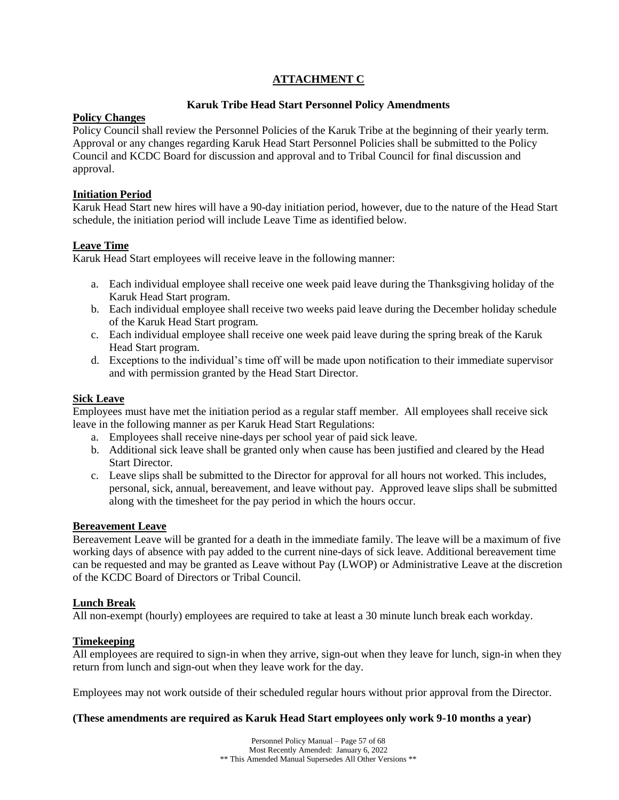## **ATTACHMENT C**

## **Karuk Tribe Head Start Personnel Policy Amendments**

## **Policy Changes**

Policy Council shall review the Personnel Policies of the Karuk Tribe at the beginning of their yearly term. Approval or any changes regarding Karuk Head Start Personnel Policies shall be submitted to the Policy Council and KCDC Board for discussion and approval and to Tribal Council for final discussion and approval.

## **Initiation Period**

Karuk Head Start new hires will have a 90-day initiation period, however, due to the nature of the Head Start schedule, the initiation period will include Leave Time as identified below.

## **Leave Time**

Karuk Head Start employees will receive leave in the following manner:

- a. Each individual employee shall receive one week paid leave during the Thanksgiving holiday of the Karuk Head Start program.
- b. Each individual employee shall receive two weeks paid leave during the December holiday schedule of the Karuk Head Start program.
- c. Each individual employee shall receive one week paid leave during the spring break of the Karuk Head Start program.
- d. Exceptions to the individual's time off will be made upon notification to their immediate supervisor and with permission granted by the Head Start Director.

## **Sick Leave**

Employees must have met the initiation period as a regular staff member. All employees shall receive sick leave in the following manner as per Karuk Head Start Regulations:

- a. Employees shall receive nine-days per school year of paid sick leave.
- b. Additional sick leave shall be granted only when cause has been justified and cleared by the Head Start Director.
- c. Leave slips shall be submitted to the Director for approval for all hours not worked. This includes, personal, sick, annual, bereavement, and leave without pay. Approved leave slips shall be submitted along with the timesheet for the pay period in which the hours occur.

### **Bereavement Leave**

Bereavement Leave will be granted for a death in the immediate family. The leave will be a maximum of five working days of absence with pay added to the current nine-days of sick leave. Additional bereavement time can be requested and may be granted as Leave without Pay (LWOP) or Administrative Leave at the discretion of the KCDC Board of Directors or Tribal Council.

## **Lunch Break**

All non-exempt (hourly) employees are required to take at least a 30 minute lunch break each workday.

### **Timekeeping**

All employees are required to sign-in when they arrive, sign-out when they leave for lunch, sign-in when they return from lunch and sign-out when they leave work for the day.

Employees may not work outside of their scheduled regular hours without prior approval from the Director.

### **(These amendments are required as Karuk Head Start employees only work 9-10 months a year)**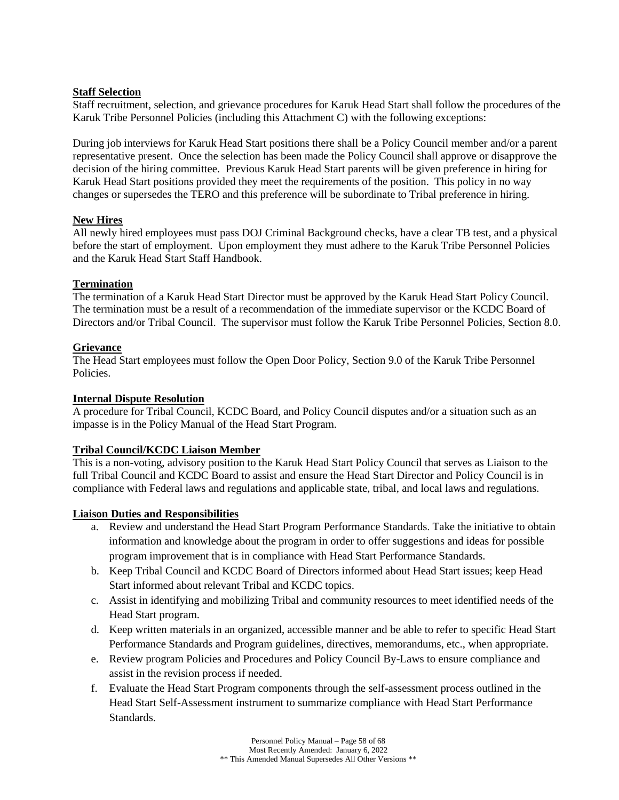## **Staff Selection**

Staff recruitment, selection, and grievance procedures for Karuk Head Start shall follow the procedures of the Karuk Tribe Personnel Policies (including this Attachment C) with the following exceptions:

During job interviews for Karuk Head Start positions there shall be a Policy Council member and/or a parent representative present. Once the selection has been made the Policy Council shall approve or disapprove the decision of the hiring committee. Previous Karuk Head Start parents will be given preference in hiring for Karuk Head Start positions provided they meet the requirements of the position. This policy in no way changes or supersedes the TERO and this preference will be subordinate to Tribal preference in hiring.

## **New Hires**

All newly hired employees must pass DOJ Criminal Background checks, have a clear TB test, and a physical before the start of employment. Upon employment they must adhere to the Karuk Tribe Personnel Policies and the Karuk Head Start Staff Handbook.

## **Termination**

The termination of a Karuk Head Start Director must be approved by the Karuk Head Start Policy Council. The termination must be a result of a recommendation of the immediate supervisor or the KCDC Board of Directors and/or Tribal Council. The supervisor must follow the Karuk Tribe Personnel Policies, Section 8.0.

## **Grievance**

The Head Start employees must follow the Open Door Policy, Section 9.0 of the Karuk Tribe Personnel Policies.

### **Internal Dispute Resolution**

A procedure for Tribal Council, KCDC Board, and Policy Council disputes and/or a situation such as an impasse is in the Policy Manual of the Head Start Program.

### **Tribal Council/KCDC Liaison Member**

This is a non-voting, advisory position to the Karuk Head Start Policy Council that serves as Liaison to the full Tribal Council and KCDC Board to assist and ensure the Head Start Director and Policy Council is in compliance with Federal laws and regulations and applicable state, tribal, and local laws and regulations.

### **Liaison Duties and Responsibilities**

- a. Review and understand the Head Start Program Performance Standards. Take the initiative to obtain information and knowledge about the program in order to offer suggestions and ideas for possible program improvement that is in compliance with Head Start Performance Standards.
- b. Keep Tribal Council and KCDC Board of Directors informed about Head Start issues; keep Head Start informed about relevant Tribal and KCDC topics.
- c. Assist in identifying and mobilizing Tribal and community resources to meet identified needs of the Head Start program.
- d. Keep written materials in an organized, accessible manner and be able to refer to specific Head Start Performance Standards and Program guidelines, directives, memorandums, etc., when appropriate.
- e. Review program Policies and Procedures and Policy Council By-Laws to ensure compliance and assist in the revision process if needed.
- f. Evaluate the Head Start Program components through the self-assessment process outlined in the Head Start Self-Assessment instrument to summarize compliance with Head Start Performance Standards.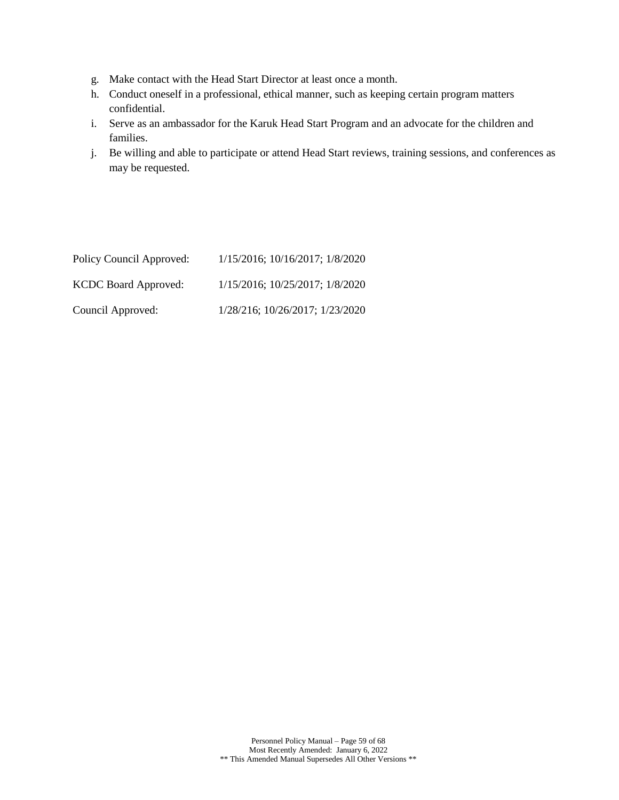- g. Make contact with the Head Start Director at least once a month.
- h. Conduct oneself in a professional, ethical manner, such as keeping certain program matters confidential.
- i. Serve as an ambassador for the Karuk Head Start Program and an advocate for the children and families.
- j. Be willing and able to participate or attend Head Start reviews, training sessions, and conferences as may be requested.

| Policy Council Approved:    | 1/15/2016; 10/16/2017; 1/8/2020 |
|-----------------------------|---------------------------------|
| <b>KCDC</b> Board Approved: | 1/15/2016; 10/25/2017; 1/8/2020 |
| Council Approved:           | 1/28/216; 10/26/2017; 1/23/2020 |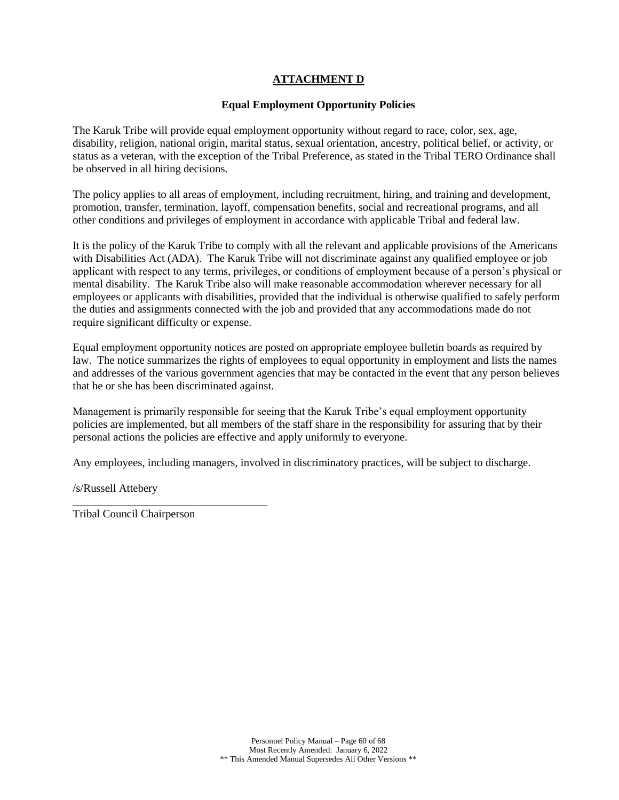## **ATTACHMENT D**

## **Equal Employment Opportunity Policies**

<span id="page-59-0"></span>The Karuk Tribe will provide equal employment opportunity without regard to race, color, sex, age, disability, religion, national origin, marital status, sexual orientation, ancestry, political belief, or activity, or status as a veteran, with the exception of the Tribal Preference, as stated in the Tribal TERO Ordinance shall be observed in all hiring decisions.

The policy applies to all areas of employment, including recruitment, hiring, and training and development, promotion, transfer, termination, layoff, compensation benefits, social and recreational programs, and all other conditions and privileges of employment in accordance with applicable Tribal and federal law.

It is the policy of the Karuk Tribe to comply with all the relevant and applicable provisions of the Americans with Disabilities Act (ADA). The Karuk Tribe will not discriminate against any qualified employee or job applicant with respect to any terms, privileges, or conditions of employment because of a person's physical or mental disability. The Karuk Tribe also will make reasonable accommodation wherever necessary for all employees or applicants with disabilities, provided that the individual is otherwise qualified to safely perform the duties and assignments connected with the job and provided that any accommodations made do not require significant difficulty or expense.

Equal employment opportunity notices are posted on appropriate employee bulletin boards as required by law. The notice summarizes the rights of employees to equal opportunity in employment and lists the names and addresses of the various government agencies that may be contacted in the event that any person believes that he or she has been discriminated against.

Management is primarily responsible for seeing that the Karuk Tribe's equal employment opportunity policies are implemented, but all members of the staff share in the responsibility for assuring that by their personal actions the policies are effective and apply uniformly to everyone.

Any employees, including managers, involved in discriminatory practices, will be subject to discharge.

/s/Russell Attebery

Tribal Council Chairperson

\_\_\_\_\_\_\_\_\_\_\_\_\_\_\_\_\_\_\_\_\_\_\_\_\_\_\_\_\_\_\_\_\_\_\_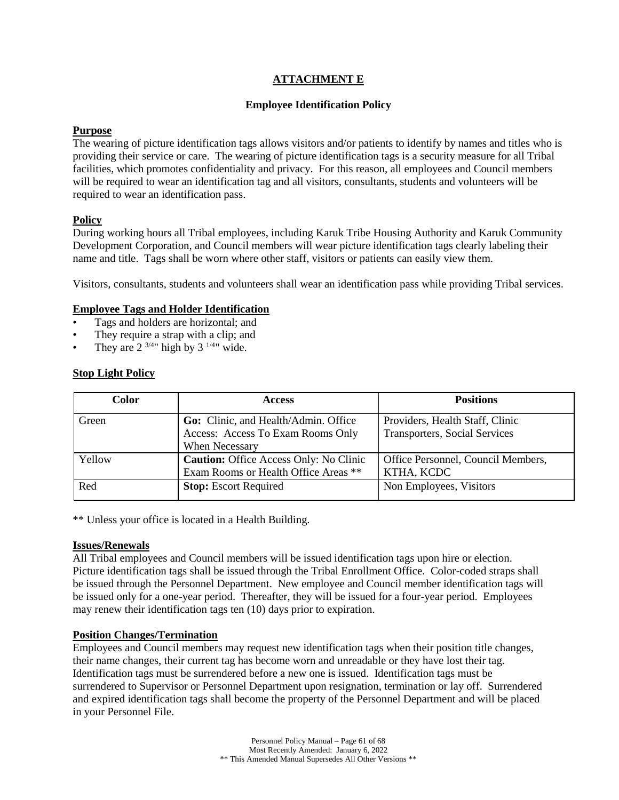## **ATTACHMENT E**

## **Employee Identification Policy**

## <span id="page-60-0"></span>**Purpose**

The wearing of picture identification tags allows visitors and/or patients to identify by names and titles who is providing their service or care. The wearing of picture identification tags is a security measure for all Tribal facilities, which promotes confidentiality and privacy. For this reason, all employees and Council members will be required to wear an identification tag and all visitors, consultants, students and volunteers will be required to wear an identification pass.

## **Policy**

During working hours all Tribal employees, including Karuk Tribe Housing Authority and Karuk Community Development Corporation, and Council members will wear picture identification tags clearly labeling their name and title. Tags shall be worn where other staff, visitors or patients can easily view them.

Visitors, consultants, students and volunteers shall wear an identification pass while providing Tribal services.

## **Employee Tags and Holder Identification**

- Tags and holders are horizontal; and
- They require a strap with a clip; and
- They are  $2^{3/4}$ " high by  $3^{1/4}$ " wide.

## **Stop Light Policy**

| <b>Color</b> | <b>Access</b>                                 | <b>Positions</b>                     |
|--------------|-----------------------------------------------|--------------------------------------|
| Green        | Go: Clinic, and Health/Admin. Office          | Providers, Health Staff, Clinic      |
|              | Access: Access To Exam Rooms Only             | <b>Transporters, Social Services</b> |
|              | When Necessary                                |                                      |
| Yellow       | <b>Caution:</b> Office Access Only: No Clinic | Office Personnel, Council Members,   |
|              | Exam Rooms or Health Office Areas **          | KTHA, KCDC                           |
| Red          | <b>Stop:</b> Escort Required                  | Non Employees, Visitors              |

\*\* Unless your office is located in a Health Building.

### **Issues/Renewals**

All Tribal employees and Council members will be issued identification tags upon hire or election. Picture identification tags shall be issued through the Tribal Enrollment Office. Color-coded straps shall be issued through the Personnel Department. New employee and Council member identification tags will be issued only for a one-year period. Thereafter, they will be issued for a four-year period. Employees may renew their identification tags ten (10) days prior to expiration.

### **Position Changes/Termination**

Employees and Council members may request new identification tags when their position title changes, their name changes, their current tag has become worn and unreadable or they have lost their tag. Identification tags must be surrendered before a new one is issued. Identification tags must be surrendered to Supervisor or Personnel Department upon resignation, termination or lay off. Surrendered and expired identification tags shall become the property of the Personnel Department and will be placed in your Personnel File.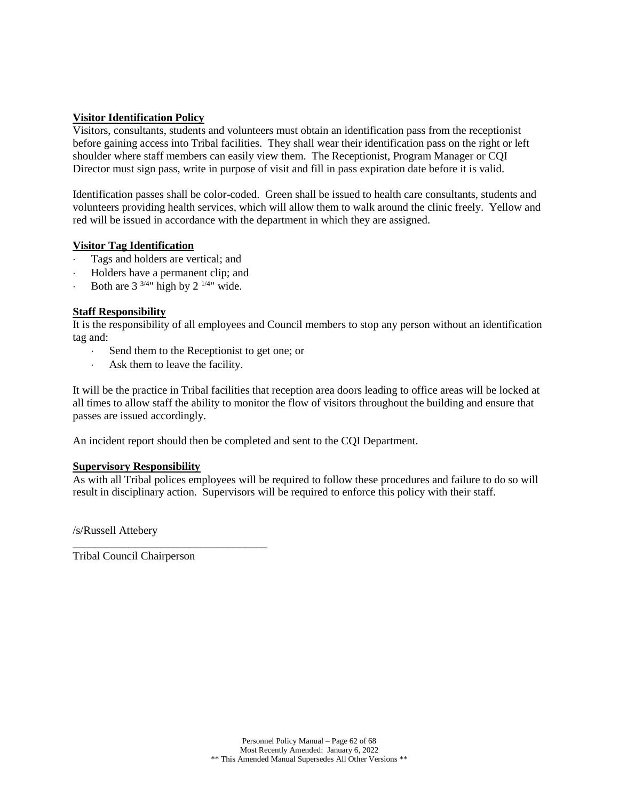## **Visitor Identification Policy**

Visitors, consultants, students and volunteers must obtain an identification pass from the receptionist before gaining access into Tribal facilities. They shall wear their identification pass on the right or left shoulder where staff members can easily view them. The Receptionist, Program Manager or CQI Director must sign pass, write in purpose of visit and fill in pass expiration date before it is valid.

Identification passes shall be color-coded. Green shall be issued to health care consultants, students and volunteers providing health services, which will allow them to walk around the clinic freely. Yellow and red will be issued in accordance with the department in which they are assigned.

### **Visitor Tag Identification**

- Tags and holders are vertical; and
- Holders have a permanent clip; and
- Both are  $3^{3/4}$ " high by  $2^{1/4}$ " wide.

## **Staff Responsibility**

It is the responsibility of all employees and Council members to stop any person without an identification tag and:

- Send them to the Receptionist to get one; or
- Ask them to leave the facility.

\_\_\_\_\_\_\_\_\_\_\_\_\_\_\_\_\_\_\_\_\_\_\_\_\_\_\_\_\_\_\_\_\_\_\_

It will be the practice in Tribal facilities that reception area doors leading to office areas will be locked at all times to allow staff the ability to monitor the flow of visitors throughout the building and ensure that passes are issued accordingly.

An incident report should then be completed and sent to the CQI Department.

### **Supervisory Responsibility**

As with all Tribal polices employees will be required to follow these procedures and failure to do so will result in disciplinary action. Supervisors will be required to enforce this policy with their staff.

/s/Russell Attebery

Tribal Council Chairperson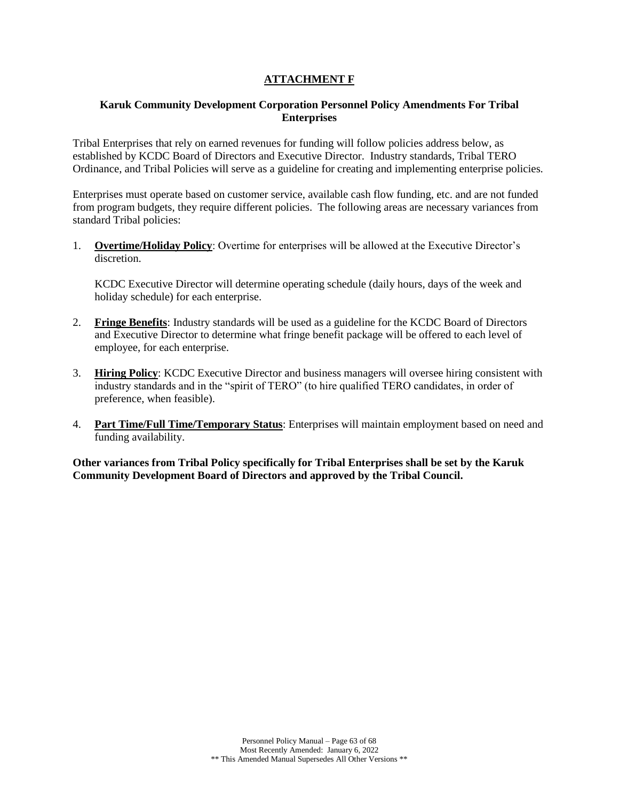## **ATTACHMENT F**

## <span id="page-62-0"></span>**Karuk Community Development Corporation Personnel Policy Amendments For Tribal Enterprises**

Tribal Enterprises that rely on earned revenues for funding will follow policies address below, as established by KCDC Board of Directors and Executive Director. Industry standards, Tribal TERO Ordinance, and Tribal Policies will serve as a guideline for creating and implementing enterprise policies.

Enterprises must operate based on customer service, available cash flow funding, etc. and are not funded from program budgets, they require different policies. The following areas are necessary variances from standard Tribal policies:

1. **Overtime/Holiday Policy**: Overtime for enterprises will be allowed at the Executive Director's discretion.

KCDC Executive Director will determine operating schedule (daily hours, days of the week and holiday schedule) for each enterprise.

- 2. **Fringe Benefits**: Industry standards will be used as a guideline for the KCDC Board of Directors and Executive Director to determine what fringe benefit package will be offered to each level of employee, for each enterprise.
- 3. **Hiring Policy**: KCDC Executive Director and business managers will oversee hiring consistent with industry standards and in the "spirit of TERO" (to hire qualified TERO candidates, in order of preference, when feasible).
- 4. **Part Time/Full Time/Temporary Status**: Enterprises will maintain employment based on need and funding availability.

**Other variances from Tribal Policy specifically for Tribal Enterprises shall be set by the Karuk Community Development Board of Directors and approved by the Tribal Council.**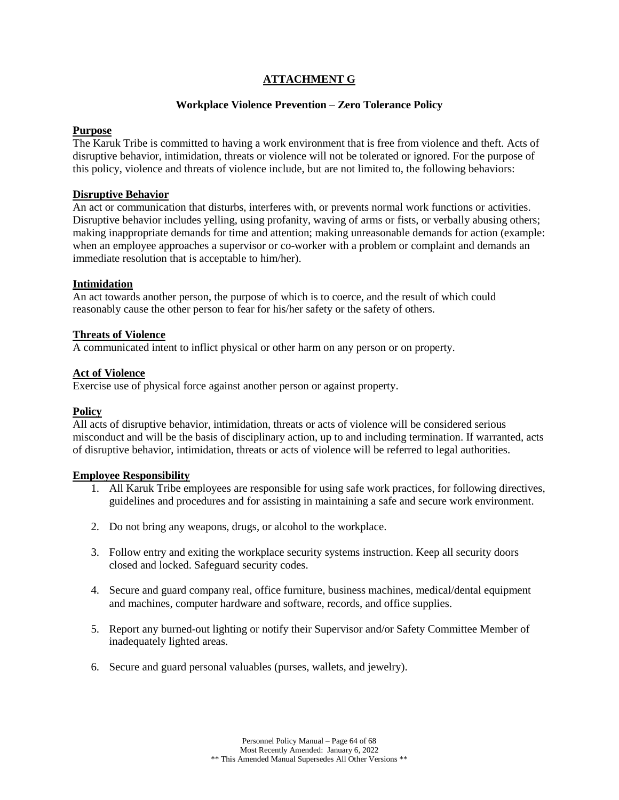## **ATTACHMENT G**

### **Workplace Violence Prevention – Zero Tolerance Policy**

### <span id="page-63-0"></span>**Purpose**

The Karuk Tribe is committed to having a work environment that is free from violence and theft. Acts of disruptive behavior, intimidation, threats or violence will not be tolerated or ignored. For the purpose of this policy, violence and threats of violence include, but are not limited to, the following behaviors:

### **Disruptive Behavior**

An act or communication that disturbs, interferes with, or prevents normal work functions or activities. Disruptive behavior includes yelling, using profanity, waving of arms or fists, or verbally abusing others; making inappropriate demands for time and attention; making unreasonable demands for action (example: when an employee approaches a supervisor or co-worker with a problem or complaint and demands an immediate resolution that is acceptable to him/her).

#### **Intimidation**

An act towards another person, the purpose of which is to coerce, and the result of which could reasonably cause the other person to fear for his/her safety or the safety of others.

#### **Threats of Violence**

A communicated intent to inflict physical or other harm on any person or on property.

## **Act of Violence**

Exercise use of physical force against another person or against property.

### **Policy**

All acts of disruptive behavior, intimidation, threats or acts of violence will be considered serious misconduct and will be the basis of disciplinary action, up to and including termination. If warranted, acts of disruptive behavior, intimidation, threats or acts of violence will be referred to legal authorities.

#### **Employee Responsibility**

- 1. All Karuk Tribe employees are responsible for using safe work practices, for following directives, guidelines and procedures and for assisting in maintaining a safe and secure work environment.
- 2. Do not bring any weapons, drugs, or alcohol to the workplace.
- 3. Follow entry and exiting the workplace security systems instruction. Keep all security doors closed and locked. Safeguard security codes.
- 4. Secure and guard company real, office furniture, business machines, medical/dental equipment and machines, computer hardware and software, records, and office supplies.
- 5. Report any burned-out lighting or notify their Supervisor and/or Safety Committee Member of inadequately lighted areas.
- 6. Secure and guard personal valuables (purses, wallets, and jewelry).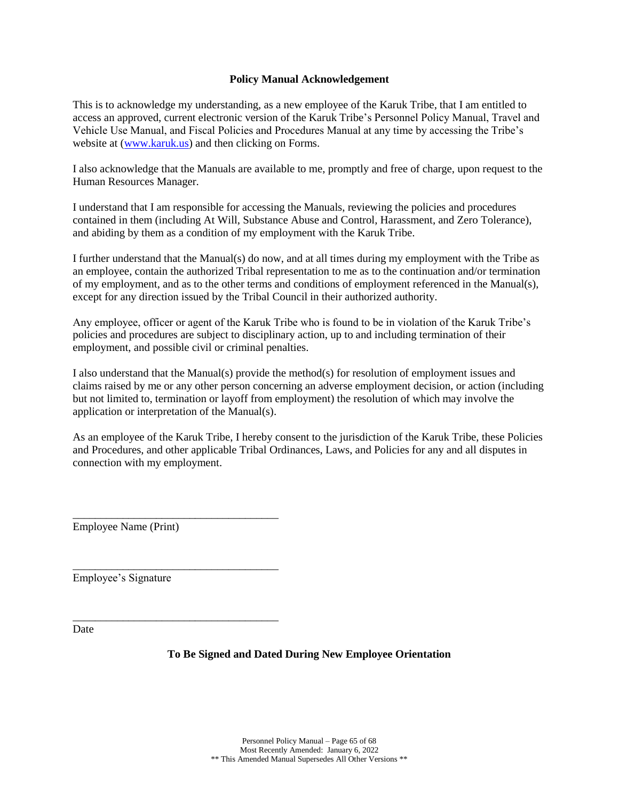### **Policy Manual Acknowledgement**

<span id="page-64-0"></span>This is to acknowledge my understanding, as a new employee of the Karuk Tribe, that I am entitled to access an approved, current electronic version of the Karuk Tribe's Personnel Policy Manual, Travel and Vehicle Use Manual, and Fiscal Policies and Procedures Manual at any time by accessing the Tribe's website at [\(www.karuk.us\)](http://www.karuk.us/) and then clicking on Forms.

I also acknowledge that the Manuals are available to me, promptly and free of charge, upon request to the Human Resources Manager.

I understand that I am responsible for accessing the Manuals, reviewing the policies and procedures contained in them (including At Will, Substance Abuse and Control, Harassment, and Zero Tolerance), and abiding by them as a condition of my employment with the Karuk Tribe.

I further understand that the Manual(s) do now, and at all times during my employment with the Tribe as an employee, contain the authorized Tribal representation to me as to the continuation and/or termination of my employment, and as to the other terms and conditions of employment referenced in the Manual(s), except for any direction issued by the Tribal Council in their authorized authority.

Any employee, officer or agent of the Karuk Tribe who is found to be in violation of the Karuk Tribe's policies and procedures are subject to disciplinary action, up to and including termination of their employment, and possible civil or criminal penalties.

I also understand that the Manual(s) provide the method(s) for resolution of employment issues and claims raised by me or any other person concerning an adverse employment decision, or action (including but not limited to, termination or layoff from employment) the resolution of which may involve the application or interpretation of the Manual(s).

As an employee of the Karuk Tribe, I hereby consent to the jurisdiction of the Karuk Tribe, these Policies and Procedures, and other applicable Tribal Ordinances, Laws, and Policies for any and all disputes in connection with my employment.

Employee Name (Print)

\_\_\_\_\_\_\_\_\_\_\_\_\_\_\_\_\_\_\_\_\_\_\_\_\_\_\_\_\_\_\_\_\_\_\_\_\_

\_\_\_\_\_\_\_\_\_\_\_\_\_\_\_\_\_\_\_\_\_\_\_\_\_\_\_\_\_\_\_\_\_\_\_\_\_

\_\_\_\_\_\_\_\_\_\_\_\_\_\_\_\_\_\_\_\_\_\_\_\_\_\_\_\_\_\_\_\_\_\_\_\_\_

Employee's Signature

Date

### **To Be Signed and Dated During New Employee Orientation**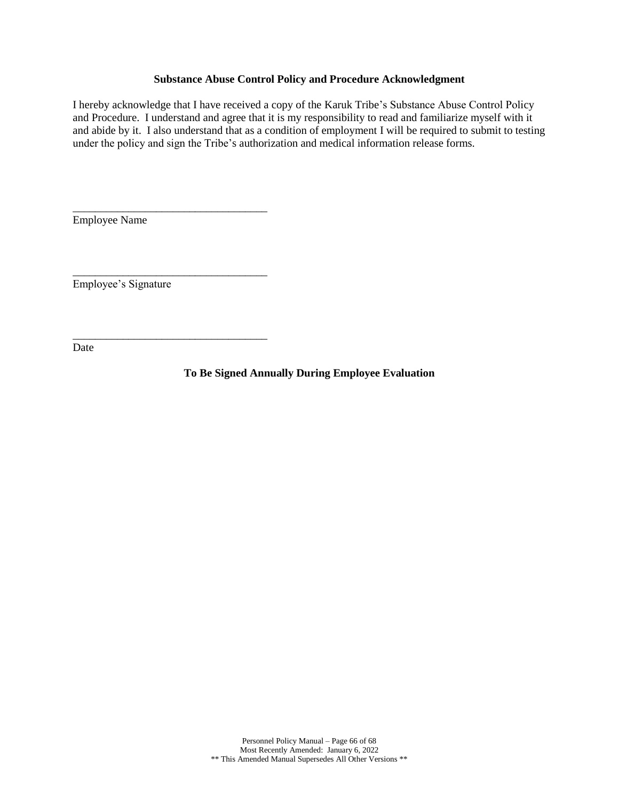#### **Substance Abuse Control Policy and Procedure Acknowledgment**

<span id="page-65-0"></span>I hereby acknowledge that I have received a copy of the Karuk Tribe's Substance Abuse Control Policy and Procedure. I understand and agree that it is my responsibility to read and familiarize myself with it and abide by it. I also understand that as a condition of employment I will be required to submit to testing under the policy and sign the Tribe's authorization and medical information release forms.

Employee Name

\_\_\_\_\_\_\_\_\_\_\_\_\_\_\_\_\_\_\_\_\_\_\_\_\_\_\_\_\_\_\_\_\_\_\_

\_\_\_\_\_\_\_\_\_\_\_\_\_\_\_\_\_\_\_\_\_\_\_\_\_\_\_\_\_\_\_\_\_\_\_

\_\_\_\_\_\_\_\_\_\_\_\_\_\_\_\_\_\_\_\_\_\_\_\_\_\_\_\_\_\_\_\_\_\_\_

Employee's Signature

Date

**To Be Signed Annually During Employee Evaluation**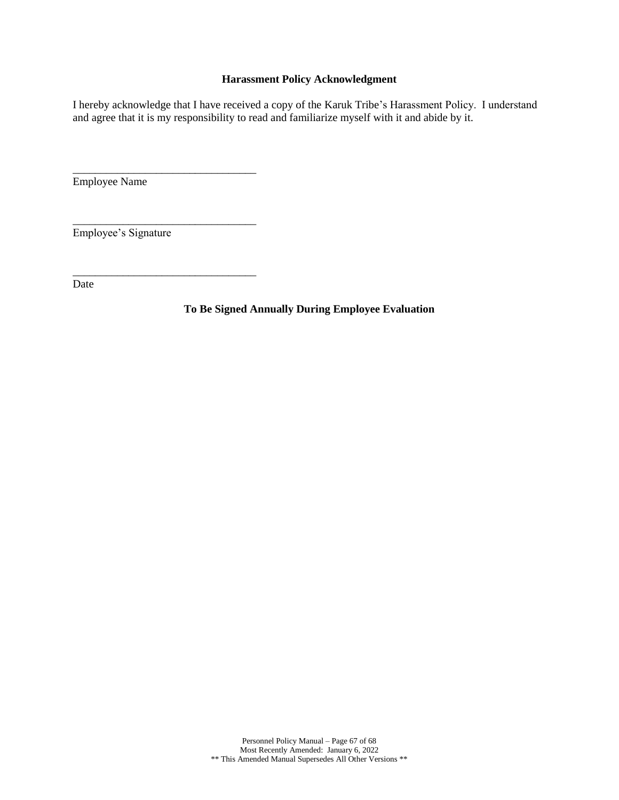## **Harassment Policy Acknowledgment**

<span id="page-66-0"></span>I hereby acknowledge that I have received a copy of the Karuk Tribe's Harassment Policy. I understand and agree that it is my responsibility to read and familiarize myself with it and abide by it.

Employee Name

Employee's Signature

\_\_\_\_\_\_\_\_\_\_\_\_\_\_\_\_\_\_\_\_\_\_\_\_\_\_\_\_\_\_\_\_\_

\_\_\_\_\_\_\_\_\_\_\_\_\_\_\_\_\_\_\_\_\_\_\_\_\_\_\_\_\_\_\_\_\_

\_\_\_\_\_\_\_\_\_\_\_\_\_\_\_\_\_\_\_\_\_\_\_\_\_\_\_\_\_\_\_\_\_

Date

**To Be Signed Annually During Employee Evaluation**